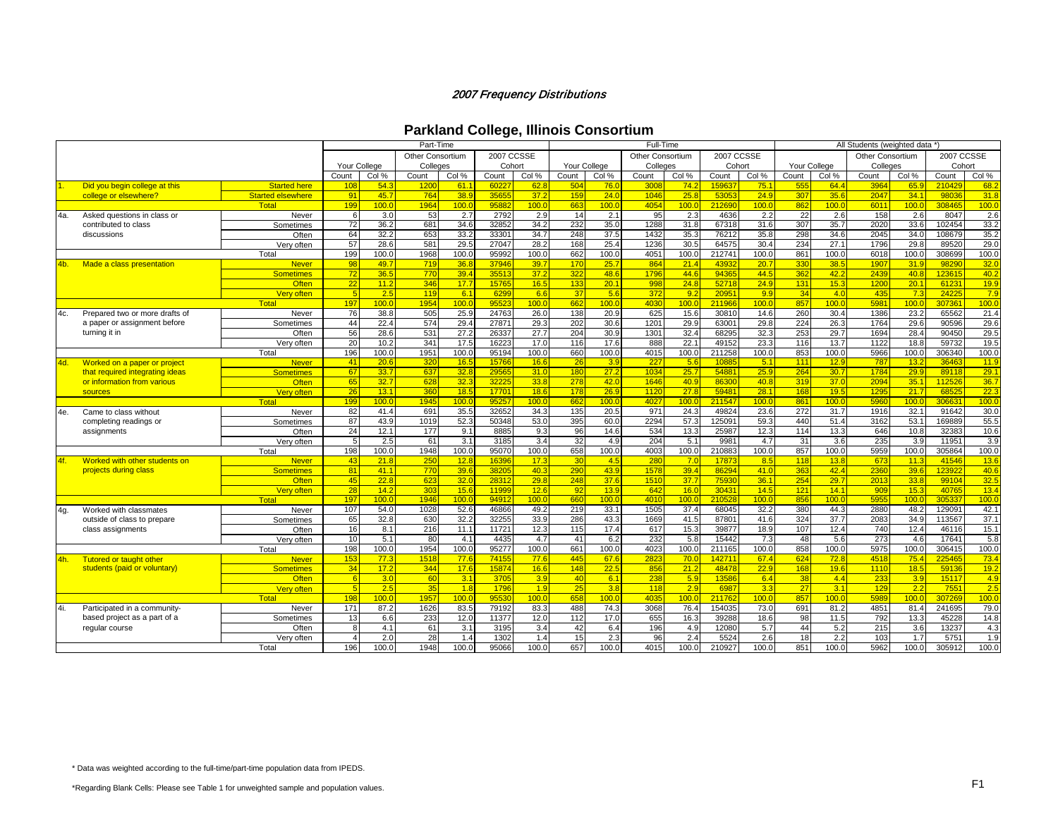|  |  |  | <b>Parkland College, Illinois Consortium</b> |
|--|--|--|----------------------------------------------|
|--|--|--|----------------------------------------------|

|     |                                 |                          |                          |                  | Part-Time               |       |                |       |              |                  | Full-Time        |                  |            |                  |       |                  | All Students (weighted data *) |              |               |       |
|-----|---------------------------------|--------------------------|--------------------------|------------------|-------------------------|-------|----------------|-------|--------------|------------------|------------------|------------------|------------|------------------|-------|------------------|--------------------------------|--------------|---------------|-------|
|     |                                 |                          |                          |                  | <b>Other Consortium</b> |       | 2007 CCSSE     |       |              |                  | Other Consortium |                  | 2007 CCSSE |                  |       |                  | Other Consortium               |              | 2007 CCSSE    |       |
|     |                                 |                          | <b>Your College</b>      |                  | Colleges                |       | Cohort         |       | Your College |                  | Colleges         |                  | Cohort     |                  |       | Your College     | Colleges                       |              | Cohort        |       |
|     |                                 |                          | Count                    | Col %            | Count                   | Col % | Count          | Col % | Count        | Col %            | Count            | Col %            | Count      | Col %            | Count | Col %            | Count                          | Col %        | Count         | Col % |
|     | Did you begin college at this   | <b>Started here</b>      | 108                      | 54.3             | 1200                    | 61.1  | 6022           | 62.8  | 504          | 76.0             | 3008             | 74.2             | 159637     | 75.1             | 555   | 64.4             | 3964                           | 65.9         | 21042         | 68.2  |
|     | college or elsewhere?           | <b>Started elsewhere</b> | 91                       | 45.7             | 764                     | 38.9  | 3565           | 37.2  | 159          | 24.0             | 1046             | 25.8             | 53053      | 24.9             | 307   | 35.6             | 2047                           | 34.1         | 9803          | 31.8  |
|     |                                 | Total                    | 199                      | 100.0            | 1964                    | 100.0 | 9588           | 100.0 | 663          | 100.0            | 4054             | 100 <sub>c</sub> | 212690     | 100 <sub>c</sub> | 862   | 100.0            | 6011                           | 100.0        | 30846         | 100.0 |
| 4a. | Asked questions in class or     | Never                    | -6                       | 3.0              | 53                      | 2.7   | 2792           | 2.9   | 14           | 2.1              | 95               | 2.3              | 4636       | 2.2              | 22    | 2.6              | 158                            | 2.6          | 8047          | 2.6   |
|     | contributed to class            | Sometimes                | 72                       | 36.2             | 681                     | 34.6  | 32852          | 34.2  | 232          | 35.0             | 1288             | 31.8             | 67318      | 31.6             | 307   | 35.7             | 2020                           | 33.6         | 102454        | 33.2  |
|     | discussions                     | Often                    | 64                       | 32.2             | 653                     | 33.2  | 33301          | 34.7  | 248          | 37.5             | 1432             | 35.3             | 76212      | 35.8             | 298   | 34.6             | 2045                           | 34.0         | 108679        | 35.2  |
|     |                                 | Very often               | 57                       | 28.6             | 581                     | 29.5  | 27047          | 28.2  | 168          | 25.4             | 1236             | 30.5             | 64575      | 30.4             | 234   | 27.1             | 1796                           | 29.8         | 89520         | 29.0  |
|     |                                 | Total                    | 199                      | 100.0            | 1968                    | 100.0 | 95992          | 100.0 | 662          | 100.0            | 4051             | 100.0            | 212741     | 100.0            | 861   | 100.0            | 6018                           | 100.0        | 308699        | 100.0 |
| 4b. | Made a class presentation       | <b>Never</b>             | 98                       | 49.7             | 719                     | 36.8  | 3794           | 39.7  | 170          | 25.7             | 864              | 21.4             | 43932      | 20.7             | 330   | 38.5             | 1907                           | 31.9         | 9829          | 32.0  |
|     |                                 | <b>Sometimes</b>         | 72                       | 36.5             | 770                     | 39.4  | 3551           | 37.2  | 322          | 48.6             | 1796             | 44.6             | 9436       | 44.5             | 362   | 42.2             | 2439                           | 40.8         | 12361         | 40.2  |
|     |                                 | Often                    | $\overline{22}$          | 11.2             | 346                     | 17.7  | 15765          | 16.5  | 133          | 20.1             | 998              | 24.8             | 52718      | 24.9             | 131   | 15.3             | 1200                           | 20.1         | 6123          | 19.9  |
|     |                                 | Very often               | -5                       | 2.5              | 119                     | 6.1   | 6299           | 6.6   | 37           | 5.6              | 372              | 9.2              | 20951      | 9.9              | 34    | 4.0              | 435                            | 7.3          | 2422          | 7.9   |
|     |                                 | Total                    | 197                      | 100 <sub>c</sub> | 1954                    | 100.0 | 9552           | 100.0 | 662          | 100.0            | 4030             | 100.0            | 211966     | 100.0            | 857   | 100 <sub>c</sub> | 5981                           | 100.0        | 30736         | 100.0 |
| 4c. | Prepared two or more drafts of  | Never                    | 76                       | 38.8             | 505                     | 25.9  | 24763          | 26.0  | 138          | 20.9             | 625              | 15.6             | 30810      | 14.6             | 260   | 30.4             | 1386                           | 23.2         | 65562         | 21.4  |
|     | a paper or assignment before    | Sometimes                | 44                       | 22.4             | 574                     | 29.4  | 2787'          | 29.3  | 202          | 30.6             | 1201             | 29.9             | 63001      | 29.8             | 224   | 26.3             | 1764                           | 29.6         | 90596         | 29.6  |
|     | turning it in                   | Often                    | 56                       | 28.6             | 531                     | 27.2  | 26337          | 27.7  | 204          | 30.9             | 1301             | 32.4             | 68295      | 32.3             | 253   | 29.7             | 1694                           | 28.4         | 90450         | 29.5  |
|     |                                 | Very often               | 20                       | 10.2             | 341                     | 17.5  | 16223          | 17.0  | 116          | 17.6             | 888              | 22.1             | 49152      | 23.3             | 116   | 13.7             | 1122                           | 18.8         | 59732         | 19.5  |
|     |                                 | Total                    | 196                      | 100.0            | 1951                    | 100.0 | 95194          | 100.0 | 660          | 100.0            | 4015             | 100.0            | 211258     | 100.0            | 853   | 100.0            | 5966                           | 100.0        | 306340        | 100.0 |
|     |                                 | <b>Never</b>             | 41                       | 20.6             | 320                     | 16.5  | 15766          | 16.6  | 26           | 3.9              | 227              | 5.6              | 1088       | 5.1              | 111   | 12.9             | 787                            | 13.2         | 3646          | 11.9  |
| 4d. | Worked on a paper or project    |                          | 67                       | 33.7             | 637                     | 32.8  | 2956           | 31.0  | 180          | 27.2             | 1034             | 25.7             | 54881      | 25.9             | 264   | 30.7             | 1784                           | 29.9         | 8911          | 29.1  |
|     | that required integrating ideas | <b>Sometimes</b>         |                          |                  |                         |       |                |       |              |                  |                  |                  |            |                  |       |                  |                                |              |               |       |
|     | or information from various     | Often                    | 65                       | 32.7             | 628                     | 32.3  | 32225<br>1770' | 33.8  | 278<br>178   | 42.0             | 1646<br>1120     | 40.9<br>27.8     | 86300      | 40.8             | 319   | 37.0             | 2094<br>1295                   | 35.1<br>21.7 | 11252<br>6852 | 36.7  |
|     | sources                         | <b>Very often</b>        | 26                       | 13.1             | 360                     | 18.5  |                | 18.6  |              | 26.9             |                  |                  | 59481      | 28.1             | 168   | 19.5             |                                |              |               | 22.3  |
|     |                                 | Total                    | 199                      | 100.0            | 1945                    | 100.0 | 95257          | 100.0 | 662          | 100.0            | 4027             | 100.0            | 211547     | 100 <sub>0</sub> | 861   | 100.0            | 5960                           | 100.0        | 30663         | 100.0 |
| 4e. | Came to class without           | Never                    | 82                       | 41.4             | 691                     | 35.5  | 32652          | 34.3  | 135          | 20.5             | 971              | 24.3             | 49824      | 23.6             | 272   | 31.7             | 1916                           | 32.1         | 91642         | 30.0  |
|     | completing readings or          | Sometimes                | 87                       | 43.9             | 1019                    | 52.3  | 50348          | 53.0  | 395          | 60.C             | 2294             | 57.3             | 125091     | 59.3             | 440   | 51.4             | 3162                           | 53.1         | 169889        | 55.5  |
|     | assignments                     | Often                    | 24                       | 12.1             | 177                     | 9.1   | 8885           | 9.3   | 96           | 14.6             | 534              | 13.3             | 25987      | 12.3             | 114   | 13.3             | 646                            | 10.8         | 32383         | 10.6  |
|     |                                 | Verv often               | 5                        | 2.5              | 61                      | 3.1   | 3185           | 3.4   | 32           | 4.9              | 204              | 5.1              | 9981       | 4.7              | 31    | 3.6              | 235                            | 3.9          | 11951         | 3.9   |
|     |                                 | Total                    | 198                      | 100.0            | 1948                    | 100.0 | 95070          | 100.0 | 658          | 100.0            | 4003             | 100.0            | 210883     | 100.0            | 857   | 100.0            | 5959                           | 100.0        | 305864        | 100.0 |
| 4f. | Worked with other students on   | <b>Never</b>             | 43                       | 21.8             | 250                     | 12.8  | 1639           | 17.3  | 30           | 4.5              | 280              | 7.0              | 17873      | 8.5              | 118   | 13.8             | 673                            | 11.3         | 4154          | 13.6  |
|     | projects during class           | <b>Sometimes</b>         | 81                       | 41.1             | 770                     | 39.6  | 3820           | 40.3  | 290          | 43.9             | 1578             | 39.4             | 86294      | 41.0             | 363   | 42.4             | 2360                           | 39.6         | 12392         | 40.6  |
|     |                                 | Often                    | 45                       | 22.8             | 623                     | 32.0  | 2831           | 29.8  | 248          | 37.6             | 1510             | 37.7             | 75930      | 36.1             | 254   | 29.7             | 2013                           | 33.8         | 9910          | 32.5  |
|     |                                 | <b>Very often</b>        | 28                       | 14.2             | 303                     | 15.6  | 11999          | 12.6  | 92           | 13.9             | 642              | 16.0             | 30431      | 14.5             | 121   | 14.1             | 909                            | 15.3         | 4076          | 13.4  |
|     |                                 | Total                    | 197                      | 100.0            | 1946                    | 100.0 | 9491           | 100.0 | 660          | 100.0            | 4010             | 100.0            | 21052      | 100.0            | 856   | 100.0            | 595                            | 100.0        | 30533         | 100.0 |
| 4g. | Worked with classmates          | Never                    | 107                      | 54.0             | 1028                    | 52.6  | 46866          | 49.2  | 219          | 33.1             | 1505             | 37.4             | 68045      | 32.2             | 380   | 44.3             | 2880                           | 48.2         | 129091        | 42.1  |
|     | outside of class to prepare     | Sometimes                | 65                       | 32.8             | 630                     | 32.2  | 32255          | 33.9  | 286          | 43.3             | 1669             | 41.5             | 87801      | 41.6             | 324   | 37.7             | 2083                           | 34.9         | 11356         | 37.1  |
|     | class assignments               | Often                    | 16                       | 8.1              | 216                     | 11.1  | 11721          | 12.3  | 115          | 17.4             | 617              | 15.3             | 39877      | 18.9             | 107   | 12.4             | 740                            | 12.4         | 46116         | 15.1  |
|     |                                 | Very often               | 10                       | 5.1              | 80                      | 4.1   | 4435           | 4.7   | 41           | 6.2              | 232              | 5.8              | 15442      | 7.3              | 48    | 5.6              | 273                            | 4.6          | 17641         | 5.8   |
|     |                                 | Total                    | 198                      | 100.0            | 1954                    | 100.0 | 95277          | 100.0 | 661          | 100.0            | 4023             | 100.0            | 211165     | 100.0            | 858   | 100.0            | 5975                           | 100.0        | 306415        | 100.0 |
| 4h. | <b>Tutored or taught other</b>  | <b>Never</b>             | 153                      | 77.3             | 1518                    | 77.6  | 74155          | 77.6  | 445          | 67.6             | 2823             | 70.0             | 14271      | 67.4             | 624   | 72.8             | 4518                           | 75.4         | 22546         | 73.4  |
|     | students (paid or voluntary)    | <b>Sometimes</b>         | 34                       | 17.2             | 344                     | 17.6  | 1587           | 16.6  | 148          | 22.5             | 856              | 21.2             | 48478      | 22.9             | 168   | 19.6             | 1110                           | 18.5         | 5913          | 19.2  |
|     |                                 | <b>Often</b>             | -6                       | 3.0              | 60                      | 3.1   | 3705           | 3.9   | 40           | 6.1              | 238              | 5.9              | 13586      | 6.4              | 38    | 4.4              | 233                            | 3.9          | 1511          | 4.9   |
|     |                                 | Verv often               | $\sqrt{2}$               | 2.5              | 35                      | 1.8   | 1796           | 1.9   | 25           | 3.8              | 118              | 2.9              | 6987       | 3.3              | 27    | 3.1              | 129                            | 2.2          | 755           | 2.5   |
|     |                                 | Total                    | 198                      | 100.0            | 1957                    | 100.0 | 9553           | 100.0 | 658          | 100 <sub>c</sub> | 4035             | 100.0            | 211762     | 100.0            | 857   | 100.0            | 5989                           | 100.0        | 30726         | 100.0 |
| 4i. | Participated in a community-    | Never                    | 171                      | 87.2             | 1626                    | 83.5  | 79192          | 83.3  | 488          | 74.3             | 3068             | 76.4             | 154035     | 73.0             | 691   | 81.2             | 4851                           | 81.4         | 241695        | 79.0  |
|     | based project as a part of a    | Sometimes                | 13                       | 6.6              | 233                     | 12.0  | 11377          | 12.0  | 112          | 17.0             | 655              | 16.3             | 39288      | 18.6             | 98    | 11.5             | 792                            | 13.3         | 45228         | 14.8  |
|     | reqular course                  | Often                    | -8                       | 4.1              | 61                      | 3.1   | 3195           | 3.4   | 42           | 6.4              | 196              | 4.9              | 12080      | 5.7              | 44    | 5.2              | 215                            | 3.6          | 13237         | 4.3   |
|     |                                 | Verv often               | $\boldsymbol{\varDelta}$ | 2.0              | 28                      | 1.4   | 1302           | 1.4   | 15           | 2.3              | 96               | 2.4              | 5524       | 2.6              | 18    | 2.2              | 103                            | 1.7          | 5751          | 1.9   |
|     |                                 | Total                    | 196                      | 100.0            | 1948                    | 100.0 | 95066          | 100.0 | 657          | 100.0            | 4015             | 100.0            | 210927     | 100.0            | 851   | 100.0            | 5962                           | 100.0        | 305912        | 100.0 |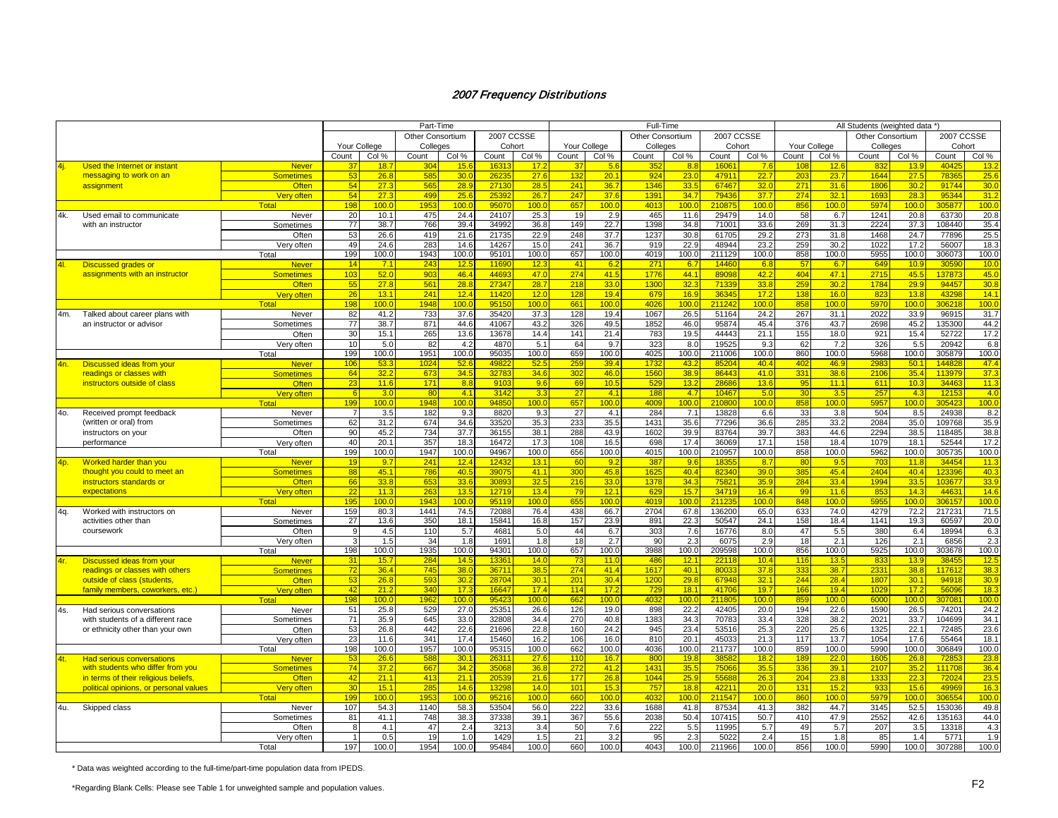|     |                                        |                   |                 |                  | Part-Time        |       |                   |                  |                 |              | Full-Time        |       |                   |                  |              |                  | All Students (weighted data *) |              |                 |       |
|-----|----------------------------------------|-------------------|-----------------|------------------|------------------|-------|-------------------|------------------|-----------------|--------------|------------------|-------|-------------------|------------------|--------------|------------------|--------------------------------|--------------|-----------------|-------|
|     |                                        |                   |                 |                  | Other Consortium |       | <b>2007 CCSSE</b> |                  |                 |              | Other Consortium |       | <b>2007 CCSSE</b> |                  |              |                  | Other Consortium               |              | 2007 CCSSE      |       |
|     |                                        |                   | Your College    |                  | Colleges         |       | Cohort            |                  | Your College    |              | Colleges         |       | Cohort            |                  | Your College |                  | Colleges                       |              | Cohort          |       |
|     |                                        |                   | Count           | Col %            | Count            | Col % | Count             | Col %            | Count           | Col %        | Count            | Col % | Count             | Col %            | Count        | Col %            | Count                          | Col %        | Count           | Col % |
| 4i. | Used the Internet or instant           | <b>Never</b>      | 37              | 18.              | 30               | 15.6  | 163               | 17.2             |                 | 5.6          | 35               | 8.8   | 1606              | 7.6              | 10i          | 12.              | 83                             | 13.9         | 4042            | 13.2  |
|     | messaging to work on an                | <b>Sometimes</b>  | 53              | 26.8             | 58               | 30.0  | 2623              | 27.6             | 132             | 20.7         | 924              | 23.0  | 4791              | 22.7             | 203          | 23.7             | 1644                           | 27.5         | 7836            | 25.6  |
|     | assignment                             | <b>Often</b>      | 54              | 27.3             | 565              | 28.9  | 2713              | 28.5             | 241             | 36.7         | 1346             | 33.5  | 67467             | 32.0             | 271          | 31.6             | 1806                           | 30.2         | 91744           | 30.0  |
|     |                                        | Very often        | 54              | 27.3             | 499              | 25.6  | 2539              | 26.7             | 247             | 37.6         | 139 <sup>4</sup> | 34.7  | 79436             | 37.7             | 274          | 32.1             | 1693                           | 28.3         | 95344           | 31.2  |
|     |                                        | Total             | 198             | 100.0            | 195              | 100.0 | 95070             | 100.0            | 657             | 100.0        | 4013             | 100.0 | 210875            | 100 <sub>c</sub> | 856          | 100.0            | 5974                           | 100.0        | 305877          | 100.0 |
| 4k. | Used email to communicate              | Never             | 20              | 10.1             | 475              | 24.4  | 24107             | 25.3             | 19              | 2.9          | 465              | 11.6  | 29479             | 14.0             | 58           | 6.7              | 1241                           | 20.8         | 63730           | 20.8  |
|     | with an instructor                     | Sometimes         | 77              | 38.7             | 766              | 39.4  | 34992             | 36.8             | 149             | 22.7         | 1398             | 34.8  | 71001             | 33.6             | 269          | 31.3             | 2224                           | 37.3         | 108440          | 35.4  |
|     |                                        | Often             | 53              | 26.6             | 419              | 21.6  | 21735             | 22.9             | 248             | 37.7         | 1237             | 30.8  | 61705             | 29.2             | 273          | 31.8             | 1468                           | 24.7         | 77896           | 25.5  |
|     |                                        | Very often        | 49              | 24.6             | 283              | 14.6  | 14267             | 15.0             | 241             | 36.7         | 919              | 22.9  | 48944             | 23.2             | 259          | 30.2             | 1022                           | 17.2         | 56007           | 18.3  |
|     |                                        | Total             | 199             | 100.0            | 1943             | 100.0 | 95101             | 100.0            | 657             | 100.0        | 4019             | 100.0 | 211129            | 100.0            | 858          | 100.0            | 5955                           | 100.0        | 306073          | 100.0 |
|     |                                        | <b>Never</b>      | 14              | 7.1              | 243              | 12.5  | 1169              | 12.3             | 41              | 6.2          | 27'              | 6.7   | 14460             | 6.8              | 57           | 6.7              | 649                            | 10.9         | 30590           | 10.0  |
| 4I. | Discussed grades or                    |                   | 103             | 52.0             | 903              | 46.4  | 4469              | 47.0             | 274             | 41.5         | 1776             | 44.1  | 8909              | 42.2             | 404          | 47.1             | 2715                           | 45.5         |                 | 45.0  |
|     | assignments with an instructor         | <b>Sometimes</b>  |                 |                  |                  |       |                   |                  |                 |              |                  |       |                   |                  |              |                  |                                |              | 137873          |       |
|     |                                        | Often             | 55              | 27.8             | 561              | 28.8  | 27347             | 28.7             | 218             | 33.0         | 1300             | 32.3  | 71339             | 33.8             | 259          | 30.2             | 1784                           | 29.9         | 94457           | 30.8  |
|     |                                        | <b>Very often</b> | $\overline{26}$ | 13.1             | 241              | 12.4  | 1142              | 12.0             | 128             | 19.4         | 679              | 16.9  | 36345             | 17.2             | 138          | 16 <sub>c</sub>  | 823                            | 13.8         | 43298           | 14.1  |
|     |                                        | Total             | 198             | 100.0            | 1948             | 100.0 | 9515              | 100.0            | 661             | 100.0        | 402              | 100.0 | 211242            | 100.0            | 858          | 100.0            | 5970                           | 100.0        | 306218          | 100.  |
| 4m. | Talked about career plans with         | Never             | 82              | 41.2             | 733              | 37.6  | 35420             | 37.3             | 128             | 19.4         | 1067             | 26.5  | 51164             | 24.2             | 267          | 31.1             | 2022                           | 33.9         | 96915           | 31.7  |
|     | an instructor or advisor               | Sometimes         | 77              | 38.7             | 871              | 44.6  | 41067             | 43.2             | 326             | 49.5         | 1852             | 46.0  | 95874             | 45.4             | 376          | 43.7             | 2698                           | 45.2         | 135300          | 44.2  |
|     |                                        | Often             | 30              | 15.1             | 265              | 13.6  | 13678             | 14.4             | 141             | 21.4         | 783              | 19.5  | 44443             | 21.1             | 155          | 18.0             | 921                            | 15.4         | 52722           | 17.2  |
|     |                                        | Verv often        | 10              | 5.0              | 82               | 4.2   | 4870              | 5.1              | 64              | 9.7          | 323              | 8.0   | 19525             | 9.3              | 62           | 7.2              | 326                            | 5.5          | 20942           | 6.8   |
|     |                                        | Total             | 199             | 100.0            | 1951             | 100.0 | 95035             | 100.0            | 659             | 100.0        | 4025             | 100.0 | 211006            | 100.0            | 860          | 100.0            | 5968                           | 100.0        | 305879          | 100.0 |
| 4n. | <b>Discussed ideas from your</b>       | <b>Never</b>      | 106             | 53.3             | 102 <sub>1</sub> | 52.6  | 4982              | 52.5             | 259             | 39.4         | 1732             | 43.2  | 8520              | 40.4             | 402          | 46.9             | 2983                           | 50.1         | 144828          | 47.4  |
|     | readings or classes with               | <b>Sometimes</b>  | 64              | 32.2             | 673              | 34.5  | 3278              | 34.6             | 302             | 46.0         | 1560             | 38.9  | 86443             | 41.0             | 331          | 38.6             | 2106                           | 35.4         | 113979          | 37.3  |
|     | instructors outside of class           | <b>Often</b>      | 23              | 11.6             | 171              | 8.8   | 9103              | 9.6              | 69              | 10.5         | 529              | 13.2  | 2868              | 13.6             | 95           | 11.1             | 611                            | 10.3         | 34463           | 11.3  |
|     |                                        | Very often        |                 | 3.0              | $-80$            | 4.1   | 3142              | 3.3              | 27              | 4.1          | 188              | 4.7   | 10467             | 5.0              | 30           | 3.5              | 257                            | 4.3          | 12153           | 4.0   |
|     |                                        | <b>Total</b>      | 199             | 100 <sub>c</sub> | 1948             | 100.0 | 9485              | 100.0            | 657             | 100.0        | 4009             | 100.0 | 210800            | 100.0            | 858          | 100.0            | 5957                           | 100.0        | 305423          | 100.0 |
| 40. | Received prompt feedback               | Never             |                 | 3.5              | 182              | 9.3   | 8820              | 9.3              | 27              | 4.1          | 284              | 7.1   | 13828             | 6.6              | 33           | 3.8              | 504                            | 8.5          | 24938           | 8.2   |
|     | (written or oral) from                 | Sometimes         | 62              | 31.2             | 674              | 34.6  | 33520             | 35.3             | 233             | 35.5         | 1431             | 35.6  | 77296             | 36.6             | 285          | 33.2             | 2084                           | 35.0         | 109768          | 35.9  |
|     | instructors on your                    | Often             | 90              | 45.2             | 734              | 37.7  | 36155             | 38.1             | 288             | 43.9         | 1602             | 39.9  | 83764             | 39.7             | 383          | 44.6             | 2294                           | 38.5         | 118485          | 38.8  |
|     | performance                            | Very often        | 40              | 20.1             | 357              | 18.3  | 16472             | 17.3             | 108             | 16.5         | 698              | 17.4  | 36069             | 17.1             | 158          | 18.4             | 1079                           | 18.1         | 52544           | 17.2  |
|     |                                        | Total             | 199             | 100.0            | 1947             | 100.0 | 94967             | 100.0            | 656             | 100.0        | 4015             | 100.0 | 210957            | 100.0            | 858          | 100.0            | 5962                           | 100.0        | 305735          | 100.0 |
| 4p. | <b>Worked harder than you</b>          | <b>Never</b>      | 19              | 9.7              | 241              | 12.4  | 1243              | 13.1             | <b>60</b>       | 9.2          | 387              | 9.6   | 1835              | 8.7              | 80           | 9.5              | 703                            | 11.8         | 34454           | 11.3  |
|     | thought you could to meet an           | <b>Sometimes</b>  | 88              | 45.1             | 786              | 40.5  | 3907              | 41.1             | 300             | 45.8         | 1625             | 40.4  | 82340             | 39.0             | 385          | 45.4             | 2404                           | 40.4         | 123396          | 40.3  |
|     | instructors standards or               | <b>Often</b>      | 66              | 33.8             | 653              | 33.6  | 3089              | 32.5             | 216             | 33.0         | 1378             | 34.3  | 7582              | 35.9             | 284          | 33.4             | 1994                           | 33.5         | 103677          | 33.9  |
|     | expectations                           | <b>Very often</b> | 22              | 11.3             | 263              | 13.5  | 1271              | 13.4             | 79              | 12.1         | 629              | 15.7  | 34719             | 16.4             | 99           | 11.6             | 853                            | 14.3         | 44631           | 14.6  |
|     |                                        | Total             | 195             | 100.0            | 194 <sup>°</sup> | 100.0 | 9511              | 100 <sub>c</sub> | 655             | 100.0        | 4019             | 100.0 | 211235            | 100 <sub>c</sub> | 848          | 100.0            | 5955                           | 100.0        | 306157          | 100.0 |
| 4q. | Worked with instructors on             | Never             | 159             | 80.3             | 1441             | 74.5  | 72088             | 76.4             | 438             | 66.7         | 2704             | 67.8  | 136200            | 65.0             | 633          | 74.0             | 4279                           | 72.2         | 217231          | 71.5  |
|     | activities other than                  | Sometimes         | 27              | 13.6             | 350              | 18.1  | 1584              | 16.8             | 157             | 23.9         | 891              | 22.3  | 50547             | 24.1             | 158          | 18.4             | 1141                           | 19.3         | 60597           | 20.0  |
|     | coursework                             | Often             | -9              | 4.5              | 110              | 5.7   | 468               | 5.0              | 44              | 6.7          | 303              | 7.6   | 16776             | 8.0              | 47           | 5.5              | 380                            | 6.4          | 18994           | 6.3   |
|     |                                        | Very often        |                 | 1.5              | 34               | 1.8   | 1691              | 1.8              | 18              | 2.7          | 90               | 2.3   | 6075              | 2.9              | 18           | 2.1              | 126                            | 2.1          | 6856            | 2.3   |
|     |                                        | Total             | 198             | 100.0            | 1935             | 100.0 | 94301             | 100.0            | 657             | 100.0        | 3988             | 100.0 | 209598            | 100.0            | 856          | 100.0            | 5925                           | 100.0        | 303678          | 100.0 |
| 4r. | <b>Discussed ideas from your</b>       | <b>Never</b>      | 31              | 15.7             | 284              | 14.5  | 1336'             | 14.0             | 73              | 11.0         | 486              | 12.1  | 22118             | 10.4             | 116          | 13.5             | 833                            | 13.9         | 38455           | 12.5  |
|     | readings or classes with others        | <b>Sometimes</b>  | 72              | 36.4             | 745              | 38.0  | 3671              | 38.5             | 274             | 41.4         | 1617             | 40.1  | 8003              | 37.8             | 333          | 38.7             | 2331                           | 38.8         | 117612          | 38.3  |
|     | outside of class (students,            | Often             | 53              | 26.8             | 593              | 30.2  | 2870              | 30.1             | 201             | 30.4         | 1200             | 29.8  | 67948             | 32.1             | 244          | 28.4             | 1807                           | 30.1         | 94918           | 30.9  |
|     | family members, coworkers, etc.)       | Very often        | 42              | 21.2             | 340              | 17.3  | 1664              | 17.4             | 114             | 17.2         | 729              | 18.1  | 41706             | 19.7             | 166          | 19.4             | 1029                           | 17.2         | 56096           | 18.3  |
|     |                                        | Total             | 198             | 100.0            | 196              | 100.0 | 9542              | 100 <sub>c</sub> | 662             | 100.0        | 403              | 100.0 | 21180             | 100.0            | 859          | 100 <sub>c</sub> | 6000                           | 100.0        | 307081          | 100.  |
|     |                                        |                   |                 |                  |                  |       | 2535'             |                  |                 |              |                  | 22.2  |                   |                  |              |                  |                                |              |                 | 24.2  |
| 4s. | Had serious conversations              | Never             | 51<br>71        | 25.8<br>35.9     | 529<br>645       | 27.0  | 32808             | 26.6             | 126<br>270      | 19.0<br>40.8 | 898<br>1383      | 34.3  | 42405<br>70783    | 20.0<br>33.4     | 194<br>328   | 22.6<br>38.2     | 1590<br>2021                   | 26.5<br>33.7 | 74201<br>104699 | 34.1  |
|     | with students of a different race      | Sometimes         |                 |                  |                  | 33.0  |                   | 34.4             |                 |              |                  |       |                   |                  |              |                  |                                |              |                 |       |
|     | or ethnicity other than your own       | Often             | 53              | 26.8             | 442              | 22.6  | 21696             | 22.8             | 160             | 24.2         | 945              | 23.4  | 53516             | 25.3             | 220          | 25.6             | 1325                           | 22.1         | 72485           | 23.6  |
|     |                                        | Verv often        | 23              | 11.6             | 341              | 17.4  | 15460             | 16.2             | 106             | 16.0         | 810              | 20.1  | 45033             | 21.3             | 117          | 13.7             | 1054                           | 17.6         | 55464           | 18.1  |
|     |                                        | Total             | 198             | 100.0            | 1957             | 100.0 | 9531              | 100.0            | 662             | 100.0        | 4036             | 100.0 | 211737            | 100.0            | 859          | 100.0            | 5990                           | 100.0        | 306849          | 100.0 |
| 4t  | <b>Had serious conversations</b>       | <u>Never</u>      |                 | 26.6             |                  | 30.1  | 263               | 27.6             | 11 <sub>0</sub> | 16.7         | 80               | 19.8  |                   | 18.2             | 189          | 22.0             |                                | 26.8         |                 | 23.8  |
|     | with students who differ from you      | <b>Sometimes</b>  | 74              | 37.2             | 667              | 34.2  | 3506              | 36.8             | 272             | 41.2         | 143'             | 35.5  | 75066             | 35.5             | 336          | 39.1             | 2107                           | 35.2         | 111708          | 36.4  |
|     | in terms of their religious beliefs.   | <b>Often</b>      | 42              | 21.1             | 413              | 21.1  | 2053              | 21.6             | 177             | 26.8         | 1044             | 25.9  | 5568              | 26.3             | 204          | 23.8             | 1333                           | 22.3         | 72024           | 23.5  |
|     | political opinions, or personal values | <b>Very often</b> | 30              | 15.1             | 285              | 14.6  | 1329              | 14.0             | 101             | 15.3         | 757              | 18.8  | 42211             | 20.0             | 131          | 15.2             | 933                            | 15.6         | 49969           | 16.3  |
|     |                                        | Total             | 199             | 100.0            | 1953             | 100.0 | 9521              | 100.0            | 660             | 100.0        | 4032             | 100.0 | 211547            | 100 <sub>c</sub> | 860          | 100 <sub>c</sub> | 5979                           | 100.0        | 306554          | 100.0 |
| 4u. | Skipped class                          | Never             | 107             | 54.3             | 1140             | 58.3  | 53504             | 56.0             | 222             | 33.6         | 1688             | 41.8  | 87534             | 41.3             | 382          | 44.7             | 3145                           | 52.5         | 153036          | 49.8  |
|     |                                        | Sometimes         | 81              | 41.1             | 748              | 38.3  | 37338             | 39.1             | 367             | 55.6         | 2038             | 50.4  | 107415            | 50.7             | 410          | 47.9             | 2552                           | 42.6         | 135163          | 44.0  |
|     |                                        | Often             | -8              | 4.1              | 47               | 2.4   | 3213              | 3.4              | 50              | 7.6          | 222              | 5.5   | 11995             | 5.7              | 49           | 5.7              | 207                            | 3.5          | 13318           | 4.3   |
|     |                                        | Verv often        | $\mathbf{1}$    | 0.5              | 19               | 1.0   | 1429              | 1.5              | 21              | 3.2          | 95               | 2.3   | 5022              | 2.4              | 15           | 1.8              | 85                             | 1.4          | 5771            | 1.9   |
|     |                                        | Total             | 197             | 100.0            | 1954             | 100.0 | 95484             | 100.0            | 660             | 100.0        | 4043             | 100.0 | 211966            | 100.0            | 856          | 100.0            | 5990                           | 100.0        | 307288          | 100.0 |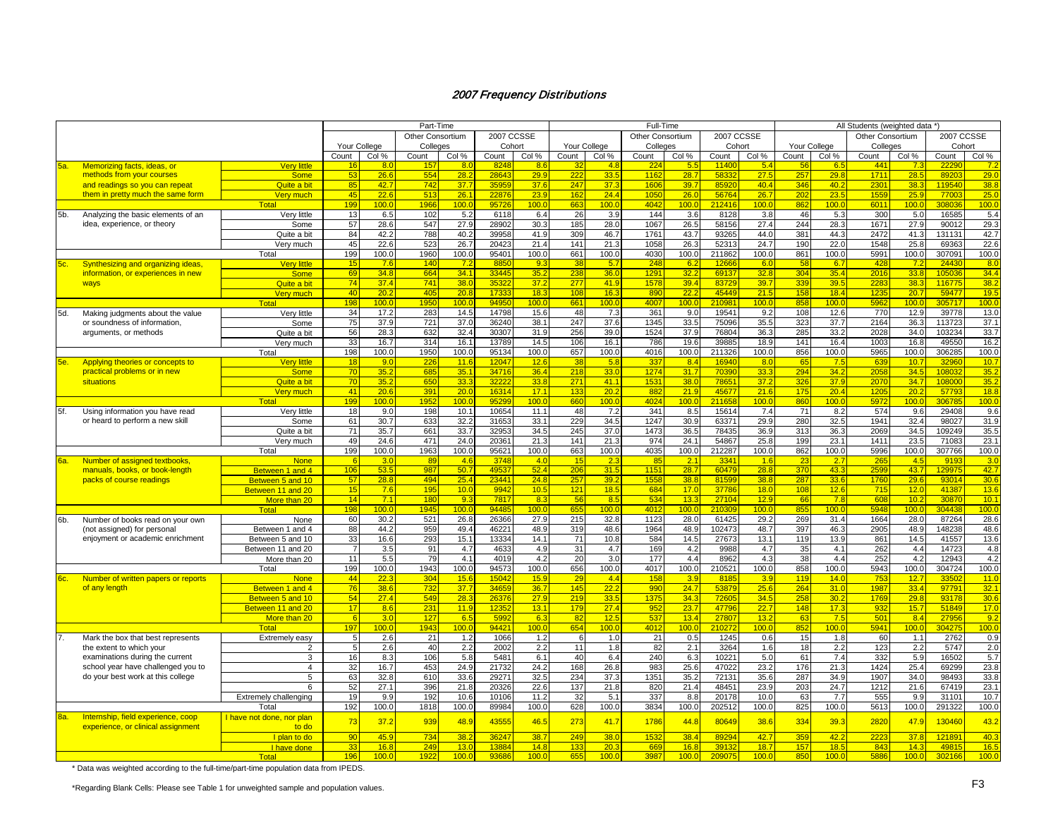|            |                                                                          |                                    |                |                | Part-Time        |                  |                   |                  |              |            | Full-Time        |            |                    |                  |              |                    | All Students (weighted data *) |                  |                   |            |
|------------|--------------------------------------------------------------------------|------------------------------------|----------------|----------------|------------------|------------------|-------------------|------------------|--------------|------------|------------------|------------|--------------------|------------------|--------------|--------------------|--------------------------------|------------------|-------------------|------------|
|            |                                                                          |                                    |                |                | Other Consortium |                  | <b>2007 CCSSE</b> |                  |              |            | Other Consortium |            | 2007 CCSSE         |                  |              |                    | <b>Other Consortium</b>        |                  | <b>2007 CCSSE</b> |            |
|            |                                                                          |                                    | Your College   |                | Colleges         |                  | Cohort            |                  | Your College |            | Colleges         |            | Cohort             |                  | Your College |                    | Colleges                       |                  | Cohort            |            |
|            |                                                                          |                                    | Count          | Col %          | Count            | Col %            | Count             | Col %            | Count        | Col %      | Count            | Col %      | Count              | Col %            | Count        | Col %              | Count                          | Col %            | Count             | Col %      |
| 5a.        | Memorizing facts, ideas, or                                              | <b>Very little</b>                 | 16             | -80            | 15               | -8.0             | 824               | -8.6             |              | 4.8        | -22              | -5.        | 1140               | 5.4              | 56           | -6                 | 441                            | 73               | 2229              | <u>7.2</u> |
|            | methods from your courses                                                | <b>Some</b>                        | 53             | 26.6           | 55 <sub>2</sub>  | 28.2             | 2864              | 29.9             | 222          | 33.5       | 1162             | 28.7       | 5833               | 27.5             | 257          | 29.8               | 1711                           | 28.5             | 8920              | 29.0       |
|            | and readings so you can repeat                                           | Quite a bit                        | 85             | 42.7           | 742              | 37.7             | 3595              | 37.6             | 247          | 37.3       | 1606             | 39.7       | 8592               | 40.4             | 346          | 40.2               | 2301                           | 38.3             | 119540            | 38.8       |
|            | them in pretty much the same form                                        | Verv much                          | 45             | 22.6           | 513              | 26.1             | 2287              | 23.9             | 162          | 24.4       | 1050             | 26.0       | 5676               | 26.7             | 202          | 23.                | 1559                           | 25.9             | 7700              | 25.0       |
|            |                                                                          | Tota                               | 199            | 100.0          | 196              | 100.0            | 9572              | 100.C            | 663          | 100.C      | 4042             | 00.0       | 212416             | 100.0            | 862          | 100.0              | 6011                           | 100.0            | 308036            | 100.0      |
| 5b.        | Analyzing the basic elements of an                                       | Very little                        | 13             | 6.5            | 102              | 5.2              | 6118              | 6.4              | 26           | 3.9        | 144              | 3.6        | 8128               | 3.8              | 46           | 5.3                | 300                            | 5.0              | 16585             | 5.4        |
|            | idea, experience, or theory                                              | Some                               | 57             | 28.6           | 547              | 27.9             | 28902             | 30.3             | 185          | 28.0       | 1067             | 26.5       | 58156              | 27.4             | 244          | 28.3               | 1671                           | 27.9             | 90012             | 29.3       |
|            |                                                                          | Quite a bit                        | 84             | 42.2           | 788              | 40.2             | 39958             | 41.9             | 309          | 46.7       | 1761             | 43.7       | 93265              | 44.0             | 381          | 44.3               | 2472                           | 41.3             | 131131            | 42.7       |
|            |                                                                          | Very much                          | 45             | 22.6           | 523              | 26.7             | 2042              | 21.4             | 141          | 21.3       | 1058             | 26.3       | 5231               | 24.7             | 190          | 22.0               | 1548                           | 25.8             | 6936              | 22.6       |
|            |                                                                          | Total                              | 199            | 100.0          | 1960             | 100.0            | 9540'             | 100.0            | 661          | 100.0      | 4030             | 100.0      | 211862             | 100.c            | 861          | 100.0              | 5991                           | 100.0            | 307091            | 100.0      |
| 5c.        | Synthesizing and organizing ideas,                                       | Very little                        | 15             | 7.6            | 140              | 7.2              | 885               | 9.3              | 38           | 5.7        | 248              | 6.2        | 1266               | 6.0              | 58           | 6.7                | 428                            | 7.2              | 24430             | 8.0        |
|            | information, or experiences in new                                       | <b>Some</b>                        | 69             | 34.8           | 664              | 34.1             | 33445             | 35.2             | 238          | 36.0       | 129'             | 32.2       | 69137              | 32.8             | 304          | 35.4               | 2016                           | 33.8             | 105036            | 34.4       |
|            | ways                                                                     | Quite a bit                        | 74             | 37.4           | 741              | 38.0             | 3532              | 37.2             | 277          | 41.9       | 1578             | 39.4       | 83729              | 39.7             | 339          | 39.5               | 2283                           | 38.3             | 116775            | 38.2       |
|            |                                                                          | Very much                          | 40             | 20.2           | 405              | 20.8             | 1733              | 18.3             | 108          | 16.3       | 890              | 22.2       | 45449              | 21.5             | 158          | 18.4               | 1235                           | 20.7             | 59477             | 19.5       |
|            |                                                                          | Total                              | 198            | 100.0          | 195              | 100.0            | 9495              | 100.0            | 661          | 100.0      | 4007             | 100.0      | 21098 <sup>-</sup> | 100.0            | 858          | 100.0              | 5962                           | 100.             | 305717            | 100.       |
| 5d.        | Making judgments about the value                                         | Very little                        | 34             | 17.2           | 283              | 14.5             | 14798             | 15.6             | 48           | 7.3        | 361              | 9.0        | 19541              | 9.2              | 108          | 12.6               | 770                            | 12.9             | 39778             | 13.0       |
|            | or soundness of information.                                             | Some                               | 75             | 37.9           | 721              | 37.0             | 36240             | 38.1             | 247          | 37.6       | 1345             | 33.5       | 75096              | 35.5             | 323          | 37.7               | 2164                           | 36.3             | 113723            | 37.1       |
|            | arguments, or methods                                                    | Quite a bit                        | 56             | 28.3           | 632              | 32.4             | 30307             | 31.9             | 256          | 39.0       | 1524             | 37.9       | 76804              | 36.3             | 285          | 33.2               | 2028                           | 34.0             | 103234            | 33.7       |
|            |                                                                          | Very much                          | 33             | 16.7           | 314              | 16.1             | 13789             | 14.5             | 106          | 16.1       | 786              | 19.6       | 39885              | 18.9             | 141          | 16.4               | 1003                           | 16.8             | 49550             | 16.2       |
|            |                                                                          | Total                              | 198            | 100.0          | 1950             | 100.0            | 95134             | 100.0            | 657          | 100.0      | 4016             | 100.0      | 211326             | 100.0            | 856          | 100.0              | 5965                           | 100.0            | 306285            | 100.0      |
| <b>5е.</b> | Applying theories or concepts to                                         | <b>Very little</b>                 | 18             | 9.0            | 226              | 11.6             | 1204              | 12.6             | 38           | 5.8        | 337              | 8.4        | 16940              | 8.0              | 65           | 7.5                | 639                            | 10.7             | 32960             | 10.7       |
|            | practical problems or in new                                             | <b>Some</b>                        | 70             | 35.2           | 685              | 35.1             | 3471              | 36.4             | 218          | 33.0       | 1274             | 31.7       | 7039               | 33.3             | 294          | 34.2               | 2058                           | 34.5             | 10803             | 35.2       |
|            | situations                                                               | Quite a bit                        | 70             | 35.2           | 650              | 33.3             | 3222              | 33.8             | 271          | 41.1       | 153'             | 38.0       | 7865               | 37.2             | 326          | 37.9               | 2070                           | 34.7             | 108000            | 35.2       |
|            |                                                                          | <b>Verv</b> much                   | 41             | 20.6           | 391              | 20.0             | 1631              | 17.1             | 133          | 20.2       | 88               | 21.9       | 45677              | 21.6             | 175          | 20.4               | 1205                           | 20.3             | 57793             | 18.8       |
|            |                                                                          | Tota                               | 199            | 100.0          | 195              | 100.0            | 9529              | 100.0            | 660          | 100.0      | 4024             | 100.0      | 21165              | 100.0            | 860          | 100.C              | 5972                           | 100.0            | 306785            | 100.0      |
| 5f.        | Using information you have read                                          | Very little                        | 18             | 9.0            | 198              | 10.1             | 10654             | 11.1             | 48           | 7.2        | 341              | 8.5        | 15614              | 7.4              | 71           | 8.2                | 574                            | 9.6              | 29408             | 9.6        |
|            | or heard to perform a new skill                                          | Some                               | 61             | 30.7           | 633              | 32.2             | 31653             | 33.1             | 229          | 34.5       | 1247             | 30.9       | 63371              | 29.9             | 280          | 32.5               | 1941                           | 32.4             | 98027             | 31.9       |
|            |                                                                          | Quite a bit                        | 71             | 35.7           | 661              | 33.7             | 32953             | 34.5             | 245          | 37.0       | 1473             | 36.5       | 78435              | 36.9             | 313          | 36.3               | 2069                           | 34.5             | 109249            | 35.5       |
|            |                                                                          | Very much                          | 49             | 24.6           | 471              | 24.0             | 2036              | 21.3             | 141          | 21.3       | 974              | 24.1       | 54867              | 25.8             | 199          | 23.1               | 1411                           | 23.5             | 71083             | 23.1       |
|            |                                                                          | Total                              | 199            | 100.0          | 1963             | 100.0            | 9562'             | 100.0            | 663          | 100.0      | 4035             | 100.0      | 212287             | 100.0            | 862          | 100.0              | 5996                           | 100.0            | 307766            | 100.0      |
| <u>ва.</u> | Number of assigned textbooks                                             | <b>None</b>                        |                | 3.0            | 89               | 4.6              | 3748              | 4.0              | 15           | 2.3        | 85               | 2.1        | 334'               | 1.6              | 23           | 2.7                | 265                            | 4.5              | 9193              | 3.0        |
|            | manuals, books, or book-length                                           | Between 1 and 4                    | 106            | 53.5           | 987              | 50.7             | 4953              | 52.4             | 206          | 31.5       | 115'             | 28.7       | 60479              | 28.8             | 370          | 43.3               | 2599                           | 43.7             | 129975            | 42.7       |
|            | packs of course readings                                                 | Between 5 and 10                   | 57             | 28.8           | 494              | 25.4             | 2344              | 24.8             | 257          | 39.2       | 1558             | 38.8       | 81599              | 38.8             | 287          | 33.6               | 1760                           | 29.6             | 93014             | 30.6       |
|            |                                                                          | Between 11 and 20                  | 15             | 7.6            | 195              | 10.0             | 9942              | 10.5             | 121          | 18.5       | 684              | 17.0       | 37786              | 18.0             | 108          | 12.6               | 715                            | 12.0             | 41387             | 13.6       |
|            |                                                                          | More than 20                       | 14             | 7.1            | 180              | 9.3              | 781               | 8.3              | 56           | 8.5        | 534              | 13.3       | 27104              | 12.9             | 66           | 7.8                | 608                            | 10.2             | 30870             | 10.1       |
|            |                                                                          | Tota                               | 198            | 100.0          | 1945             | 100.0            | 9448              | 100.0            | 655          | 100.0      | 4012             | 00.0       | 210309             | 100.0            | 855          | 100.0              | 5948                           | 100.0            | 304438            | 100.0      |
| 6b.        | Number of books read on your own                                         | None                               | 60             | 30.2           | 521              | 26.8             | 26366             | 27.9             | 215          | 32.8       | 1123             | 28.0       | 61425              | 29.2             | 269          | 31.4               | 1664                           | 28.0             | 87264             | 28.6       |
|            | (not assigned) for personal                                              | Between 1 and 4                    | 88             | 44.2           | 959              | 49.4             | 4622              | 48.9             | 319          | 48.6       | 1964             | 48.9       | 102473             | 48.7             | 397          | 46.3               | 2905                           | 48.9             | 148238            | 48.6       |
|            | enjoyment or academic enrichment                                         | Between 5 and 10                   | 33             | 16.6           | 293              | 15.1             | 13334             | 14.1             | 71           | 10.8       | 584              | 14.5       | 27673              | 13.1             | 119          | 13.9               | 861                            | 14.5             | 41557             | 13.6       |
|            |                                                                          | Between 11 and 20                  | $\overline{7}$ | 3.5            | 91               | 4.7              | 4633              | 4.9              | 31           | 4.7        | 169              | 4.2        | 9988               | 4.7              | 35           | 4.1                | 262                            | 4.4              | 14723             | 4.8        |
|            |                                                                          | More than 20                       | 11             | 5.5            | 79               | 4.1              | 4019              | 4.2              | 20           | 3.0        | 177              | 4.4        | 8962               | 4.3              | 38           | 4.4                | 252                            | 4.2              | 12943             | 4.2        |
|            |                                                                          | Total                              | 199            | 100.0          | 1943             | 100.0            | 94573             | 100.0            | 656          | 100.0      | 4017             | 100.0      | 210521             | 100.0            | 858          | 100.0              | 5943                           | 100.0            | 304724            | 100.0      |
| 6c.        | Number of written papers or reports                                      | <b>None</b>                        | 44             | 22.3           | 30 <sup>2</sup>  | 15.6             | 1504              | 15.9             | 29           | 4.4        | 158              | 3.9        | 818                | 3.9              | 119          | 14.0               | 753                            | 12.7             | 3350              | 11.0       |
|            | of any length                                                            | Between 1 and 4                    | 76             | 38.6           | 732              | 37.7             | 3465              | 36.7             | 145          | 22.2       | 99 <sub>0</sub>  | 24.7       | 5387               | 25.6             | 264          | 31.0               | 1987                           | 33.4             | 97791             | 32.1       |
|            |                                                                          | Between 5 and 10                   | 54             | 27.4           | 54 <sup>°</sup>  | 28.3             | 2637              | 27.9             | 219          | 33.5       | 1375             | 34.3       | 7260               | 34.5             | 258          | 30.2               | 1769                           | 29.8             | 93178             | 30.6       |
|            |                                                                          | Between 11 and 20                  | 17             | 8.6            | 231              | 11.9             | 1235              | 13.1             | 179          | 27.4       | 952              | 23.7       | 47796              | 22.7             | 148          | 17.3               | 932                            | 15.7             | 51849             | 17.0       |
|            |                                                                          | More than 20                       | - 6            | 3 <sub>0</sub> | 127              | 6.5              | 599               | 6.3              | 82           | 12.5       | 537              | 13.4       | 27807              | 13.2             | 63           | 7.5                | 501                            | 8.4              | 27956             | 9.2        |
|            |                                                                          | Tota                               | 197            | 100.0          | 1943             | 100.0            | 9442              | 100 <sub>c</sub> | 654          | 100.0      | 4012             | 100.0      | 21027              | 100 <sub>c</sub> | 852          | 100.0              | 5941                           | 100 <sub>c</sub> | 304275            | 100.0      |
|            |                                                                          |                                    |                |                |                  |                  |                   |                  |              |            |                  |            |                    |                  |              |                    |                                |                  |                   |            |
| 7.         | Mark the box that best represents                                        | Extremely easy<br>$\overline{2}$   | 5<br>-5        | 2.6<br>2.6     | 21<br>40         | 1.2<br>2.2       | 1066<br>2002      | 1.2<br>2.2       | 6<br>11      | 1.0<br>1.8 | 21<br>82         | 0.5<br>2.1 | 1245<br>3264       | 0.6<br>1.6       | 15<br>18     | 1.8<br>2.2         | 60<br>123                      | 1.1<br>2.2       | 2762<br>5747      | 0.9<br>2.0 |
|            | the extent to which your                                                 |                                    |                |                |                  |                  |                   |                  | 40           |            |                  |            |                    |                  |              |                    |                                |                  |                   |            |
|            | examinations during the current                                          | 3                                  | 16             | 8.3            | 106              | 5.8              | 548'              | 6.1              |              | 6.4        | 240              | 6.3        | 10221<br>47022     | 5.0              | 61           | 7.4                | 332<br>1424                    | 5.9              | 16502             | 5.7        |
|            | school year have challenged you to                                       | $\overline{4}$                     | 32             | 16.7           | 453              | 24.9             | 21732<br>2927'    | 24.2             | 168          | 26.8       | 983<br>1351      | 25.6       | 72131              | 23.2             | 176<br>287   | 21.3               | 1907                           | 25.4             | 69299             | 23.8       |
|            | do your best work at this college                                        | 5                                  | 63             | 32.8           | 610              | 33.6             |                   | 32.5             | 234          | 37.3       |                  | 35.2       |                    | 35.6             |              | 34.9               |                                | 34.0             | 98493             | 33.8       |
|            |                                                                          | 6                                  | 52             | 27.1           | 396              | 21.8             | 20326             | 22.6             | 137          | 21.8       | 820              | 21.4       | 48451              | 23.9             | 203          | 24.7               | 1212                           | 21.6             | 67419             | 23.1       |
|            |                                                                          | Extremely challenging              | 19             | 9.9            | 192              | 10.6             | 10106             | 11.2             | 32           | 5.1        | 337              | 8.8        | 20178              | 10.0             | 63           | 7.7                | 555                            | 9.9              | 31101             | 10.7       |
|            |                                                                          | Total                              | 192            | 100.0          | 1818             | 100.0            | 89984             | 100.0            | 628          | 100.0      | 3834             | 100.0      | 202512             | 100.0            | 825          | 100.0              | 5613                           | 100.0            | 291322            | 100.0      |
| 8a.        | Internship, field experience, coop<br>experience, or clinical assignment | I have not done, nor plan<br>to do | 73             | 37.2           | 939              | 48.9             | 43555             | 46.5             | 273          | 41.7       | 1786             | 44.8       | 80649              | 38.6             | 334          | 39.3               | 2820                           | 47.9             | 130460            | 43.2       |
|            |                                                                          | I plan to do                       | 90             | 45.9           | 734              | 38.2             | 3624              | 38.7             | 249          | 38.0       | 1532             | 38.4       | 8929               | 42.7             | 359          | 42.2               | 2223                           | 37.8             | 121891            | 40.3       |
|            |                                                                          | I have done                        | 33             | 16.8           | 249              | 13.0             | 1388              | 14.8             | 133          | 20.3       | 669              | 16.8       | 39132              | 18.7             | 157          | 18.5               | 843                            | 14.3             | 49815             | 16.5       |
|            |                                                                          | Total                              | 196            | 1ሰበ            |                  | 100 <sub>l</sub> | റാഭ               | 100.0            | 655          | 100.0      | 398              | 100 $0$    | 20007              | 100.0            | 850          | 100 $\overline{0}$ | 5886                           | 100.0            | 302166            | 100.0      |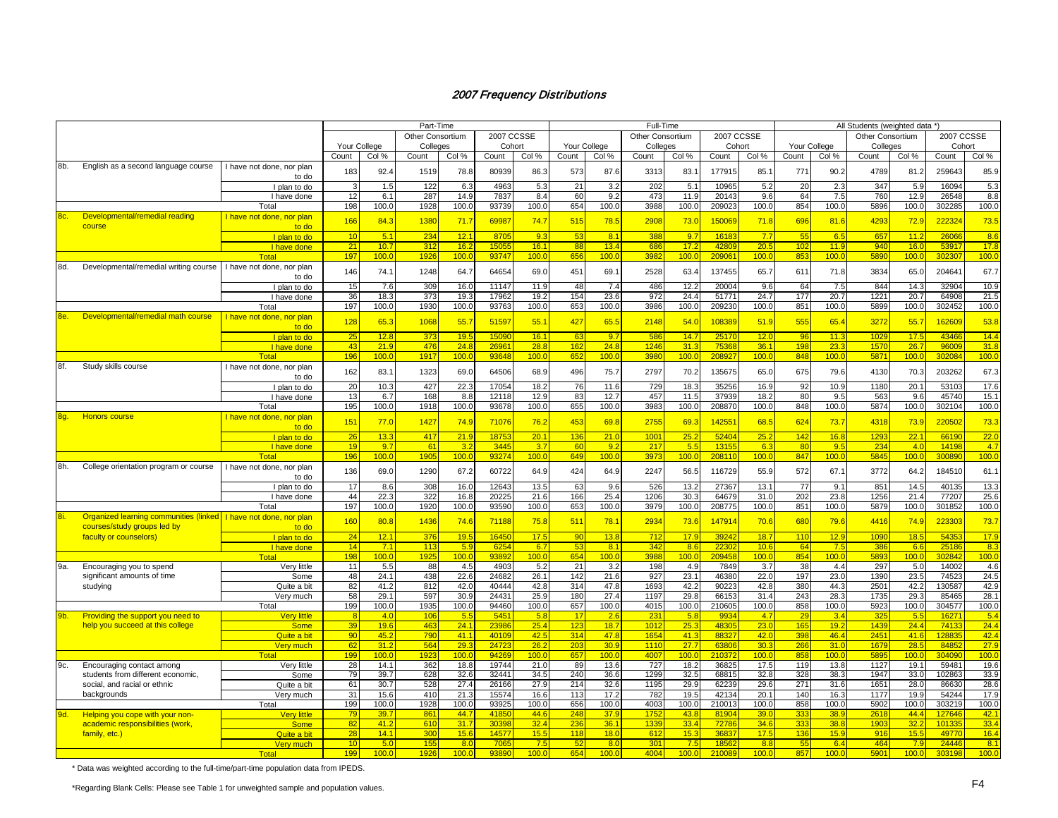|            |                                                                     |                           |              |       | Part-Time               |       |                   |                  |              |                  | Full-Time               |                  |                   |                  |                 |                  | All Students (weighted data *) |                  |            |       |
|------------|---------------------------------------------------------------------|---------------------------|--------------|-------|-------------------------|-------|-------------------|------------------|--------------|------------------|-------------------------|------------------|-------------------|------------------|-----------------|------------------|--------------------------------|------------------|------------|-------|
|            |                                                                     |                           |              |       | <b>Other Consortium</b> |       | <b>2007 CCSSE</b> |                  |              |                  | <b>Other Consortium</b> |                  | <b>2007 CCSSE</b> |                  |                 |                  | <b>Other Consortium</b>        |                  | 2007 CCSSE |       |
|            |                                                                     |                           | Your College |       | Colleges                |       | Cohort            |                  | Your College |                  | Colleges                |                  | Cohort            |                  | Your College    |                  | Colleges                       |                  | Cohort     |       |
|            |                                                                     |                           | Count        | Col % | Count                   | Col % | Count             | Col %            | Count        | Col %            | Count                   | Col %            | Count             | Col %            | Count           | Col %            | Count                          | Col %            | Count      | Col % |
|            |                                                                     |                           |              |       |                         |       |                   |                  |              |                  |                         |                  |                   |                  |                 |                  |                                |                  |            |       |
| 8b.        | English as a second language course                                 | I have not done, nor plan | 183          | 92.4  | 1519                    | 78.8  | 80939             | 86.3             | 573          | 87.6             | 3313                    | 83.1             | 177915            | 85.7             | 771             | 90.2             | 4789                           | 81.2             | 259643     | 85.9  |
|            |                                                                     | to do                     |              |       |                         |       |                   |                  |              |                  |                         |                  |                   |                  |                 |                  |                                |                  |            |       |
|            |                                                                     | I plan to do              |              | 1.5   | 122                     | 6.3   | 4963              | 5.3              | 21           | 3.2              | 202                     | 5.1              | 10965             | 5.2              | 20              | 2.3              | 347                            | 5.9              | 16094      | 5.3   |
|            |                                                                     | I have done               | 12           | 6.1   | 287                     | 14.9  | 7837              | 8.4              | 60           | 9.2              | 473                     | 11.9             | 20143             | 9.6              | 64              | 7.5              | 760                            | 12.9             | 26548      | 8.8   |
|            |                                                                     | Total                     | 198          | 100.0 | 1928                    | 100.0 | 93739             | 100.0            | 654          | 100.0            | 3988                    | 100.0            | 209023            | 100.0            | 854             | 100.0            | 5896                           | 100.0            | 302285     | 100.0 |
| 8c.        | Developmental/remedial reading                                      | I have not done, nor plan | 166          | 84.3  | 1380                    | 71.7  | 6998              | 74.7             | 515          | 78.5             | 2908                    | 73.0             | 150069            | 71.8             | 696             | 81.6             | 4293                           | 72.9             | 222324     | 73.5  |
|            | course                                                              | to do                     |              |       |                         |       |                   |                  |              |                  |                         |                  |                   |                  |                 |                  |                                |                  |            |       |
|            |                                                                     | I plan to do              | 10           | 5.1   | 234                     | 12.1  | 8705              | 9.3              | 53           | 8.1              | 385                     | 9.7              | 16183             | 7.7              | 55              | 6.5              | 657                            | 11.2             | 26066      | 8.6   |
|            |                                                                     | I have done               | 21           | 10.7  | 312                     | 16.2  | 1505              | 16.1             | 88           | 13.4             | 686                     | 17.2             | 4280              | 20.5             | 102             | 11.9             | 940                            | 16.0             | 53917      | 17.8  |
|            |                                                                     | Total                     | 197          | 100.0 | 192                     | 100.0 | 93747             | 100.0            | 656          | 100.0            | 3982                    | 100.0            | 20906             | 100.0            | 853             | 100.0            | 5890                           | 100.0            | 302307     | 100.0 |
| 8d.        | Developmental/remedial writing course                               | I have not done, nor plan |              |       |                         |       | 64654             |                  |              |                  |                         |                  | 137455            |                  |                 |                  |                                |                  |            |       |
|            |                                                                     | to do                     | 146          | 74.1  | 1248                    | 64.7  |                   | 69.0             | 451          | 69.              | 2528                    | 63.4             |                   | 65.7             | 611             | 71.8             | 3834                           | 65.C             | 204641     | 67.7  |
|            |                                                                     | I plan to do              | 15           | 7.6   | 309                     | 16.0  | 11147             | 11.9             | 48           | 7.4              | 486                     | 12.2             | 20004             | 9.6              | 64              | 7.5              | 844                            | 14.3             | 32904      | 10.9  |
|            |                                                                     | I have done               | 36           | 18.3  | 373                     | 19.3  | 17962             | 19.2             | 154          | 23.6             | 972                     | 24.4             | 51771             | 24.7             | 177             | 20.7             | 1221                           | 20.7             | 64908      | 21.5  |
|            |                                                                     | Total                     | 197          | 100.0 | 1930                    | 100.0 | 93763             | 100.0            | 653          | 100.0            | 3986                    | 100.0            | 209230            | 100.0            | 851             | 100.0            | 5899                           | 100.0            | 302452     | 100.0 |
| 8e.        | Developmental/remedial math course                                  | I have not done, nor plan |              |       |                         |       |                   |                  |              |                  |                         |                  |                   |                  |                 |                  |                                |                  |            |       |
|            |                                                                     | to do                     | 128          | 65.3  | 1068                    | 55.7  | 51597             | 55.1             | 427          | 65.5             | 2148                    | 54.0             | 108389            | 51.9             | 555             | 65.4             | 3272                           | 55.7             | 162609     | 53.8  |
|            |                                                                     | I plan to do              | 25           | 12.8  | 373                     | 19.5  | 15090             | 16.1             | 63           | 9.7              | 586                     | 14.7             | 25170             | 12.0             | 96              | 11.3             | 1029                           | 17.5             | 43466      | 14.4  |
|            |                                                                     | I have done               | 43           | 21.9  | 476                     | 24.8  | 2696              | 28.8             | 162          | 24.8             | 1246                    | 31.3             | 75368             | 36.1             | 198             | 23.3             | 1570                           | 26.7             | 96009      | 31.8  |
|            |                                                                     | <b>Total</b>              | 196          | 100.0 | 1917                    | 100.0 | 9364              | 100.0            | 652          | 100 <sub>1</sub> | 3980                    | 100 <sub>0</sub> | 20892             | 100 <sub>c</sub> | 848             | 100.0            | 5871                           | 100.0            | 302084     | 100.0 |
|            |                                                                     |                           |              |       |                         |       |                   |                  |              |                  |                         |                  |                   |                  |                 |                  |                                |                  |            |       |
| 8f.        | Study skills course                                                 | I have not done, nor plan | 162          | 83.1  | 1323                    | 69.0  | 64506             | 68.9             | 496          | 75.7             | 2797                    | 70.2             | 135675            | 65.0             | 675             | 79.6             | 4130                           | 70.3             | 203262     | 67.3  |
|            |                                                                     | to do                     |              |       |                         |       |                   |                  |              |                  |                         |                  |                   |                  |                 |                  |                                |                  |            |       |
|            |                                                                     | I plan to do              | 20           | 10.3  | 427                     | 22.3  | 17054             | 18.2             | 76           | 11.6             | 729                     | 18.3             | 35256             | 16.9             | 92              | 10.9             | 1180                           | 20.1             | 53103      | 17.6  |
|            |                                                                     | I have done               | 13           | 6.7   | 168                     | 8.8   | 12118             | 12.9             | 83           | 12.7             | 457                     | 11.5             | 37939             | 18.2             | 80              | 9.5              | 563                            | 9.6              | 45740      | 15.1  |
|            |                                                                     | Total                     | 195          | 100.0 | 1918                    | 100.0 | 93678             | 100.0            | 655          | 100.0            | 3983                    | 100.0            | 208870            | 100.0            | 848             | 100.0            | 5874                           | 100.0            | 302104     | 100.0 |
| 8g.        | <b>Honors course</b>                                                | I have not done, nor plan | 151          | 77.0  | 1427                    | 74.9  | 71076             | 76.2             | 453          | 69.8             | 2755                    | 69.3             | 14255             | 68.5             | 62 <sup>2</sup> | 73.7             | 4318                           | 73.9             | 220502     | 73.3  |
|            |                                                                     | to do                     |              |       |                         |       |                   |                  |              |                  |                         |                  |                   |                  |                 |                  |                                |                  |            |       |
|            |                                                                     | I plan to do              | 26           | 13.3  | 417                     | 21.9  | 18753             | 20.1             | 136          | 21.0             | 100 <sup>4</sup>        | 25.2             | 52404             | 25.2             | 142             | 16.8             | 1293                           | 22.1             | 66190      | 22.0  |
|            |                                                                     | I have done               | 19           | 9.7   | 61                      | 3.2   | 3445              | 3.7              | 60           | 9.2              | 217                     | 5.5              | 1315              | 6.3              | 80              | 9.5              | 234                            | 4.0              | 14198      | 4.7   |
|            |                                                                     | Total                     | 196          | 100.0 | 1905                    | 100.0 | 9327              | 100.0            | 649          | 100.0            | 3973                    | 100.0            | 208110            | 100.0            | 847             | 100.0            | 5845                           | 100.0            | 300890     | 100.0 |
| 8h.        | College orientation program or course                               | I have not done, nor plan |              |       |                         |       |                   |                  |              |                  |                         |                  |                   |                  |                 |                  |                                |                  |            |       |
|            |                                                                     | to do                     | 136          | 69.0  | 1290                    | 67.2  | 60722             | 64.9             | 424          | 64.9             | 2247                    | 56.5             | 116729            | 55.9             | 572             | 67.1             | 3772                           | 64.2             | 184510     | 61.1  |
|            |                                                                     | I plan to do              | 17           | 8.6   | 308                     | 16.0  | 12643             | 13.5             | 63           | 9.6              | 526                     | 13.2             | 27367             | 13.1             | 77              | 9.1              | 851                            | 14.5             | 40135      | 13.3  |
|            |                                                                     | I have done               | 44           | 22.3  | 322                     | 16.8  | 20225             | 21.6             | 166          | 25.4             | 1206                    | 30.3             | 64679             | 31.0             | 202             | 23.8             | 1256                           | 21.4             | 77207      | 25.6  |
|            |                                                                     | Total                     | 197          | 100.0 | 1920                    | 100.0 | 93590             | 100.0            | 653          | 100.0            | 3979                    | 100.0            | 208775            | 100.0            | 851             | 100.0            | 5879                           | 100.0            | 301852     | 100.0 |
| 8i.        |                                                                     |                           |              |       |                         |       |                   |                  |              |                  |                         |                  |                   |                  |                 |                  |                                |                  |            |       |
|            | Organized learning communities (linked   I have not done, nor plan  |                           | 160          | 80.8  | 1436                    | 74.6  | 71188             | 75.8             | 511          | 78.1             | 2934                    | 73.6             | 147914            | 70.6             | 680             | 79.6             | 4416                           | 74.9             | 223303     | 73.7  |
|            | courses/study groups led by                                         | to do                     |              |       |                         |       |                   |                  |              |                  |                         |                  |                   |                  |                 |                  |                                |                  |            |       |
|            | faculty or counselors)                                              | I plan to do              | 24           | 12.1  | 376                     | 19.5  | 16450             | 17.5             | 90           | 13.8             | 712                     | 17.9             | 39242             | 18.7             | 110             | 12.9             | 1090                           | 18.5             | 54353      | 17.9  |
|            |                                                                     | I have done               | 14           | 7.1   | 113                     | 5.9   | 625               | 6.7              | 53           | 8.1              | 342                     | 8.6              | 22302             | 10.6             | 64              | 7.5              | 386                            | 6.6              | 25186      | 8.3   |
|            |                                                                     | <b>Total</b>              | 198          | 100.0 | 1925                    | 100.0 | 9389              | 100.0            | 654          | 100.0            | 3988                    | 100.0            | 209458            | 100 <sub>c</sub> | 854             | 100 <sub>c</sub> | 5893                           | 100 <sub>c</sub> | 302842     | 100.0 |
| 9a.        | Encouraging you to spend                                            | Very little               | 11           | 5.5   | 88                      | 4.5   | 4903              | 5.2              | 21           | 3.2              | 198                     | 4.9              | 7849              | 3.7              | 38              | 4.4              | 297                            | 5.0              | 14002      | 4.6   |
|            | significant amounts of time                                         | Some                      | 48           | 24.1  | 438                     | 22.6  | 24682             | 26.1             | 142          | 21.6             | 927                     | 23.1             | 46380             | 22.0             | 197             | 23.0             | 1390                           | 23.5             | 74523      | 24.5  |
|            | studying                                                            | Quite a bit               | 82           | 41.2  | 812                     | 42.0  | 40444             | 42.8             | 314          | 47.8             | 1693                    | 42.2             | 90223             | 42.8             | 380             | 44.3             | 2501                           | 42.2             | 130587     | 42.9  |
|            |                                                                     | Very much                 | 58           | 29.1  | 597                     | 30.9  | 24431             | 25.9             | 180          | 27.4             | 1197                    | 29.8             | 66153             | 31.4             | 243             | 28.3             | 1735                           | 29.3             | 85465      | 28.1  |
|            |                                                                     | Total                     | 199          | 100.0 | 1935                    | 100.0 | 94460             | 100.0            | 657          | 100.0            | 4015                    | 100.0            | 210605            | 100.0            | 858             | 100.0            | 5923                           | 100.0            | 304577     | 100.0 |
| <u>9b.</u> | <b>Providing the support you need to</b>                            | <b>Very little</b>        | -8           | 4.0   | 106                     | 5.5   | 545'              | 5.8              | 17           | 2.6              | $23^{\circ}$            | 5.8              | 9934              | 4.7              | 29              | 3.4              | 325                            | 5.5              | 16271      | 5.4   |
|            | help you succeed at this college                                    | <b>Some</b>               | 39           | 19.6  | 463                     | 24.1  | 2398              | 25.4             | 123          | 18.7             | 1012                    | 25.3             | 48305             | 23.0             | 165             | 19.2             | 1439                           | 24.4             | 74133      | 24.4  |
|            |                                                                     | Quite a bit               | 90           | 45.2  | 790                     | 41.1  | 4010              | 42.5             | 314          | 47.8             | 1654                    | 41.3             | 8832              | 42.0             | 398             | 46.4             | 2451                           | 41.6             | 12883      | 42.4  |
|            |                                                                     | Very much                 | 62           | 31.2  | 564                     | 29.3  | 2472              | 26.2             | 203          | 30.9             | 1110                    | 27.7             | 6380              | 30.3             | 266             | 31.0             | 1679                           | 28.5             | 84852      | 27.9  |
|            |                                                                     | Total                     | 199          | 100.0 | 192                     | 100.0 | 9426              | 100 <sub>c</sub> | 657          | 100 <sub>1</sub> | 4007                    | 100.0            | 21037             | 100 <sub>c</sub> | 858             | 100.0            | 5895                           | 100.0            | 304090     | 100.0 |
| 9c.        | Encouraging contact among                                           | Very little               | 28           | 14.1  | 362                     | 18.8  | 19744             | 21.0             | 89           | 13.6             | 727                     | 18.2             | 36825             | 17.5             | 119             | 13.8             | 1127                           | 19.1             | 59481      | 19.6  |
|            | students from different economic,                                   | Some                      | 79           | 39.7  | 628                     | 32.6  | 32441             | 34.5             | 240          | 36.6             | 1299                    | 32.5             | 68815             | 32.8             | 328             | 38.3             | 1947                           | 33.0             | 102863     | 33.9  |
|            | social, and racial or ethnic                                        | Quite a bit               | 61           | 30.7  | 528                     | 27.4  | 26166             | 27.9             | 214          | 32.6             | 1195                    | 29.9             | 62239             | 29.6             | 271             | 31.6             | 1651                           | 28.0             | 86630      | 28.6  |
|            | backgrounds                                                         | Very much                 | 31           | 15.6  | 410                     | 21.3  | 15574             | 16.6             | 113          | 17.2             | 782                     | 19.5             | 42134             | 20.1             | 140             | 16.3             | 1177                           | 19.9             | 54244      | 17.9  |
|            |                                                                     | Total                     | 199          | 100.0 | 1928                    | 100.0 | 93925             | 100.0            | 656          | 100.0            | 4003                    | 100.0            | 210013            | 100.0            | 858             | 100.0            | 5902                           | 100.0            | 303219     | 100.0 |
| 9d.        |                                                                     | <b>Very little</b>        | 79           | 39.7  | 861                     | 44.7  | 4185              | 44.6             | 248          | 37.9             | 1752                    | 43.8             | 81904             | 39.0             | 333             | 38.9             | 2618                           | 44.4             | 127646     | 42.1  |
|            | Helping you cope with your non-<br>academic responsibilities (work, | <b>Some</b>               | 82           | 41.2  | 610                     | 31.7  | 3039              | 32.4             | 236          | 36.7             | 1339                    | 33.4             | 72786             | 34.6             | 333             | 38.8             | 1903                           | 32.2             | 101335     | 33.4  |
|            |                                                                     |                           | 28           | 14.1  | 300                     |       | 1457              | 15.5             | 118          | 18.0             | 612                     | 15.3             | 3683              |                  |                 | 15.9             | 916                            | 15.5             | 49770      | 16.4  |
|            | family, etc.)                                                       | Quite a bit               |              |       |                         | 15.6  |                   |                  |              |                  |                         |                  |                   | 17.5             | 136             |                  |                                |                  |            |       |
|            |                                                                     | Verv much                 | 10           | 5.0   | 155                     | 8.0   | 706               | 7.5              | 52           | 8.0              | 30 <sup>2</sup>         | 7.5              | 1856              | 8.8              | 55              | 6.4              | 464                            | 7.9              | 24446      | 8.1   |
|            |                                                                     | Tota                      | 199          | 100.0 | 192                     | 100.0 | 93890             | 100.0            | 654          | 100.0            | 4004                    | 100.0            | 210089            | 100.0            | 857             | 100.0            | 5901                           | 100.0            | 303198     | 100.0 |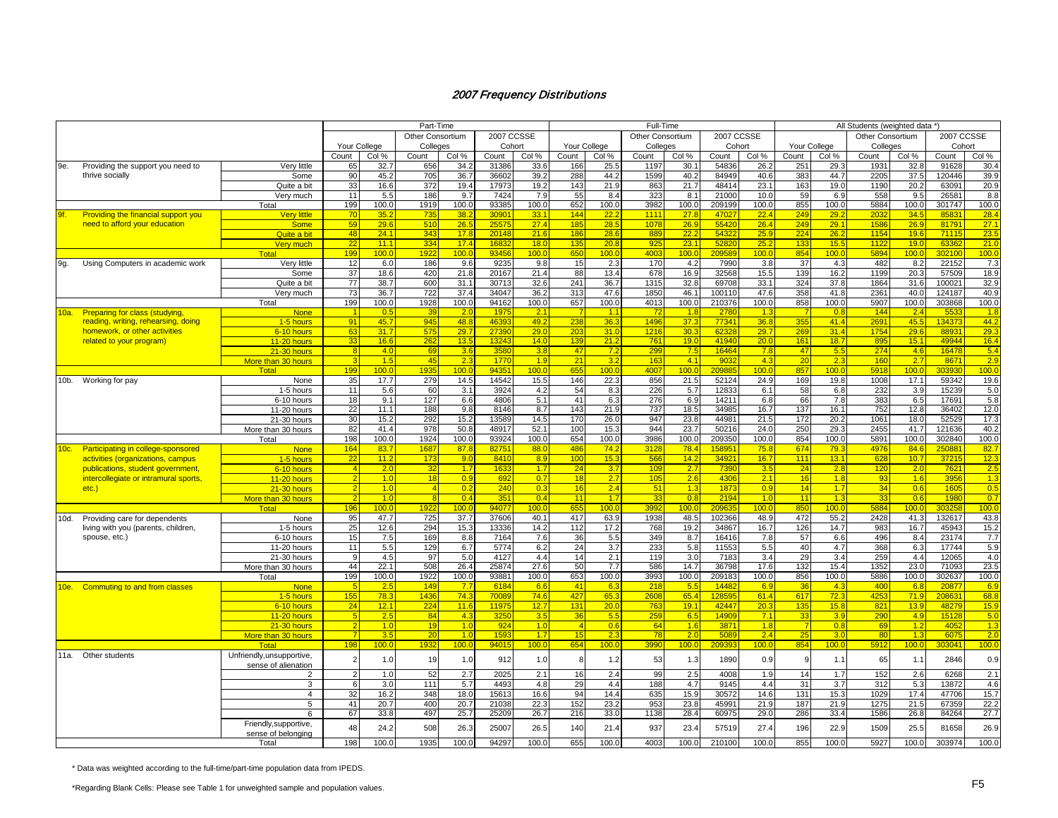|         |                                       |                                             |              |             | Part-Time        |                |               |                  |                      |              | Full-Time        |             |                |                  |                 |                  | All Students (weighted data *) |             |                 |                  |
|---------|---------------------------------------|---------------------------------------------|--------------|-------------|------------------|----------------|---------------|------------------|----------------------|--------------|------------------|-------------|----------------|------------------|-----------------|------------------|--------------------------------|-------------|-----------------|------------------|
|         |                                       |                                             |              |             | Other Consortium |                | 2007 CCSSE    |                  |                      |              | Other Consortium |             |                | 2007 CCSSE       |                 |                  | <b>Other Consortium</b>        |             | 2007 CCSSE      |                  |
|         |                                       |                                             | Your College |             | Colleges         |                | Cohort        |                  | Your College         |              | Colleges         |             |                | Cohort           |                 | Your College     | Colleges                       |             | Cohort          |                  |
|         |                                       |                                             | Count        | Col %       | Count            | Col %          | Count         | Col %            | Count                | Col %        | Count            | Col %       | Count          | Col %            | Count           | Col %            | Count                          | Col %       | Count           | Col %            |
| 9e.     | Providing the support you need to     | Very little                                 | 65           | 32.7        | 656              | 34.2           | 31386         | 33.6             | 166                  | 25.5         | 1197             | 30.1        | 54836          | 26.2             | 251             | 29.3             | 1931                           | 32.8        | 91628           | 30.4             |
|         | thrive socially                       | Some                                        | 90           | 45.2        | 705              | 36.7           | 36602         | 39.2             | 288                  | 44.2         | 1599             | 40.2        | 84949          | 40.6             | 383             | 44.7             | 2205                           | 37.5        | 120446          | 39.9             |
|         |                                       | Quite a bit                                 | 33           | 16.6        | 372              | 19.4           | 17973         | 19.2             | 143                  | 21.9         | 863              | 21.7        | 48414          | 23.1             | 163             | 19.0             | 1190                           | 20.2        | 63091           | 20.9             |
|         |                                       | Very much                                   | 11           | 5.5         | 186              | 9.7            | 7424          | 7.9              | 55                   | 8.4          | 323              | 8.1         | 21000          | 10.0             | 59              | 6.9              | 558                            | 9.5         | 26581           | 8.8              |
|         |                                       | Total                                       | 199          | 100.0       | 1919             | 100.0          | 93385         | 100.0            | 652                  | 100.0        | 3982             | 100.0       | 209199         | 100.0            | 855             | 100.0            | 5884                           | 100.0       | 301747          | 100.0            |
| 9f.     | Providing the financial support you   | Very little                                 |              | 35.2        | 73               | 38.2           | 3090          | 33.1             | 144                  | <u> 22.2</u> | 111'             | 27.8        | 4702           | 22.4             | 249             | 29.2             | 203                            | 34.5        | 85831           | 28.4             |
|         | need to afford your education         | <b>Some</b>                                 | 59           | 29.6        | 510              | 26.5           | 2557          | 27.4             | 185                  | 28.5         | 1078             | 26.9        | 55420          | 26.4             | 249             | 29.1             | 1586                           | 26.9        | 81791           | 27.1             |
|         |                                       | Quite a bit                                 | 48           | 24.1        | 34 <sup>2</sup>  | 17.8           | 2014          | 21.6             | 186                  | 28.6         | 889              | 22.2        | 5432           | 25.9             | 224             | 26.2             | 1154                           | 19.6        | 71115           | 23.5             |
|         |                                       | Very much                                   | 22           | 11.1        | 334              | 17.4           | 1683          | 18.0             | 135                  | 20.8         | 925              | 23.1        | 5282           | 25.2             | 133             | 15.5             | 1122                           | 19.0        | 6336            | 21.0             |
|         |                                       | Total                                       | 199          | 100.0       | 1922             | 100.0          | 9345          | 100 <sub>c</sub> | 650                  | 100.0        | 4003             | 100.0       | 20958          | 100.0            | 854             | 100 <sub>c</sub> | 5894                           | 100.0       | 302100          | 100.0            |
| 9g.     | Using Computers in academic work      | Very little                                 | 12           | 6.0         | 186              | 9.6            | 9235          | 9.8              | 15                   | 2.3          | 170              | 4.2         | 7990           | 3.8              | 37              | 4.3              | 482                            | 8.2         | 22152           | 7.3              |
|         |                                       | Some                                        | 37           | 18.6        | 420              | 21.8           | 20167         | 21.4             | 88                   | 13.4         | 678              | 16.9        | 32568          | 15.5             | 139             | 16.2             | 1199                           | 20.3        | 57509           | 18.9             |
|         |                                       | Quite a bit                                 | 77           | 38.7        | 600              | 31.1           | 30713         | 32.6             | 241                  | 36.7         | 1315             | 32.8        | 69708          | 33.1             | 324             | 37.8             | 1864                           | 31.6        | 100021          | 32.9             |
|         |                                       | Very much                                   | 73           | 36.7        | 722              | 37.4           | 34047         | 36.2             | 313                  | 47.6         | 1850             | 46.1        | 100110         | 47.6             | 358             | 41.8             | 2361                           | 40.0        | 124187          | 40.9             |
|         |                                       | Total                                       | 199          | 100.0       | 1928             | 100.0          | 94162         | 100.0            | 657                  | 100.0        | 4013             | 100.0       | 210376         | 100.0            | 858             | 100.0            | 5907                           | 100.0       | 303868          | 100.0            |
| 10a.    | <b>Preparing for class (studying,</b> | <b>None</b>                                 |              | 0.5         | -39              | 2.0            | 197           | 2.1              | - 7                  | 1.1          | - 72             | 1.8         | 2780           | 1.3              |                 | 0.8              | 144                            | 2.4         | 553             | 1.8              |
|         | reading, writing, rehearsing, doing   | 1-5 hours                                   | 91           | 45.7        | 945              | 48.8           | 4639          | 49.2             | 238                  | 36.3         | 1496             | 37.3        | 77341          | 36.8             | 355             | 41.4             | 2691                           | 45.5        | 134373          | 44.2             |
|         | homework, or other activities         | 6-10 hours                                  | 63           | 31.7        | 575              | 29.7           | 2739          | 29.0             | 203                  | 31.0         | 1216             | 30.3        | 62328          | 29.7             | 269             | 31.4             | 1754                           | 29.6        | 88931           | 29.3             |
|         | related to your program)              | 11-20 hours                                 | 33           | 16.6        | 262              | 13.5           | 1324          | 14.0             | 139                  | 21.2         | 761              | 19.0        | 41940          | 20 <sub>c</sub>  | 16 <sup>′</sup> | 18.7             | 895                            | 15.1        | 49944           | 16.4             |
|         |                                       | $21-30$ hours                               |              | 4.0         | -69              | 3.6            | 358           | 3.8              | 47                   | 7.2          | 299              | 7.5         | 16464          | 7.8              | 47              | 5.5              | 274                            | 4.6         | 16478           | 5.4              |
|         |                                       | More than 30 hours                          |              | 1.5         | 45               | 2.3            | 177           | 1.9              | 21                   | 3.2          | 163              | 4.1         | 903            | 4.3              | 20              | 2.3              | 160                            | 2.7         | 8671            | 2.9              |
|         |                                       | Total                                       | 199          | 100.0       | 1935             | 100.0          | 9435          | 100 <sub>c</sub> | 655                  | 100.0        | 4007             | 100.0       | 20988          | 100 <sub>c</sub> | 857             | 100.0            | 5918                           | 100.0       | 303930          | 100 <sub>c</sub> |
| $10b$ . | Working for pay                       | None                                        | 35           | 17.7        | 279              | 14.5           | 14542         | 15.5             | 146                  | 22.3         | 856              | 21.5        | 52124          | 24.9             | 169             | 19.8             | 1008                           | 17.1        | 59342           | 19.6             |
|         |                                       | 1-5 hours                                   | 11           | 5.6         | 60               | 3.1            | 3924          | 4.2              | 54                   | 8.3          | 226              | 5.7         | 12833          | 6.1              | 58              | 6.8              | 232                            | 3.9         | 15239           | 5.0              |
|         |                                       | 6-10 hours                                  | 18           | 9.1         | 127              | 6.6            | 4806          | 5.1              | 41                   | 6.3          | 276              | 6.9         | 14211          | 6.8              | 66              | 7.8              | 383                            | 6.5         | 17691           | 5.8              |
|         |                                       | 11-20 hours                                 | 22           | 11.1        | 188              | 9.8            | 8146          | 8.7              | 143                  | 21.9         | 737              | 18.5        | 34985          | 16.7             | 137             | 16.1             | 752                            | 12.8        | 36402           | 12.0             |
|         |                                       | 21-30 hours                                 | 30           | 15.2        | 292              | 15.2           | 13589         | 14.5             | 170                  | 26.0         | 947              | 23.8        | 44981          | 21.5             | 172             | 20.2             | 1061                           | 18.0        | 52529           | 17.3             |
|         |                                       | More than 30 hours                          | 82           | 41.4        | 978              | 50.8           | 48917         | 52.1             | 100                  | 15.3         | 944              | 23.7        | 50216          | 24.0             | 250             | 29.3             | 2455                           | 41.7        | 121636          | 40.2             |
|         |                                       | Total                                       | 198          | 100.0       | 1924             | 100.0          | 93924         | 100.0            | 654                  | 100.0        | 3986             | 100.0       | 209350         | 100.0            | 854             | 100.0            | 5891                           | 100.0       | 302840          | 100.0            |
| 10c.    | Participating in college-sponsored    | <b>None</b>                                 | 164          | 83.7        | 1687             | 87.8           | 8275          | 88.0             | 486                  | 74.2         | 3120             | 78.4        | 15895          | 75.8             | 674             | 79.3             | 4976                           | 84.6        | 250881          | 82.7             |
|         | activities (organizations, campus     | 1-5 hours                                   | 22           | 11.2        | 173              | 9 <sub>0</sub> | 8410          | 8.9              | 100                  | 15.3         | 566              | 14.2        | 34921          | 16.7             | 111             | 13.1             | 628                            | 10.7        | 3721            | 12.3             |
|         | publications, student government,     | 6-10 hours                                  |              | 2.0         | 32               | 1.7            | 163           | 1.7              | 24                   | 3.7          | 10 <sub>s</sub>  | 2.7         | 7390           | 3.5              | 24              | 2.8              | 120                            | 2.0         | 7621            | 2.5              |
|         | intercollegiate or intramural sports, | 11-20 hours                                 |              | 1.0         | 18               | 0.9            | 692           | 0.7              | 18                   | 2.7          | 105              | 2.6         | 4306           | 2.1              | 16              | 1.8              | 93                             | 1.6         | 3956            | 1.3              |
|         | $etc.$ )                              | 21-30 hours                                 |              | 1.0         | $\overline{4}$   | 0.2            | 240           | 0.3              | 16                   | 2.4          | 51               | 1.3         | 1873           | 0.9              | 14              | 1.7              | 34                             | 0.6         | 1605            | 0.5              |
|         |                                       | More than 30 hours                          |              | 1.0         |                  | 0.4            | 35'           | 0.4              | 11                   | 1.7          | 33               | 0.8         | 2194           | 1.0              | 11              | 1.3              | 33                             | 0.6         | 1980            | 0.7              |
|         |                                       | <b>Total</b>                                | 196          | 100.0       | 1922             | 100.0          | 94077         | 100 <sub>c</sub> | 655                  | 100.0        | 3992             | 100.0       | 20963          | 100 <sub>c</sub> | 850             | 100 <sub>c</sub> | 5884                           | 100.0       | 303258          | 100 <sub>c</sub> |
| 10d.    | Providing care for dependents         | None                                        | 95           | 47.7        | 725              | 37.7           | 37606         | 40.1             | 417                  | 63.9         | 1938             | 48.5        | 102366         | 48.9             | 472             | 55.2             | 2428                           | 41.3        | 132617          | 43.8             |
|         | living with you (parents, children,   | 1-5 hours                                   | 25           | 12.6        | 294              | 15.3           | 13336         | 14.2             | 112                  | 17.2         | 768              | 19.2        | 34867          | 16.7             | 126             | 14.7             | 983                            | 16.7        | 45943           | 15.2             |
|         | spouse, etc.)                         | 6-10 hours                                  | 15           | 7.5         | 169              | 8.8            | 7164          | 7.6              | 36                   | 5.5          | 349              | 8.7         | 16416          | 7.8              | 57              | 6.6              | 496                            | 8.4         | 23174           | 7.7              |
|         |                                       | 11-20 hours                                 | 11           | 5.5         | 129              | 6.7            | 5774          | 6.2              | 24                   | 3.7          | 233              | 5.8         | 11553          | 5.5              | 40              | 4.7              | 368                            | 6.3         | 17744           | 5.9              |
|         |                                       | 21-30 hours                                 |              | 4.5         | 97               | 5.0            | 4127          | 4.4              | 14                   | 2.1          | 119              | 3.0         | 7183           | 3.4              | 29              | 3.4              | 259                            | 4.4         | 12065           | 4.0              |
|         |                                       | More than 30 hours                          | 44           | 22.1        | 508              | 26.4           | 25874         | 27.6             | 50                   | 7.7          | 586              | 14.7        | 36798          | 17.6             | 132             | 15.4             | 1352                           | 23.0        | 71093           | 23.5             |
|         |                                       | Total                                       | 199          | 100.0       | 1922             | 100.0          | 93881         | 100.0            | 653                  | 100.0        | 3993             | 100.0       | 209183         | 100.0            | 856             | 100.0            | 5886                           | 100.0       | 302637          | 100.0            |
| 10e.    | Commuting to and from classes         | <b>None</b>                                 | 155          | 2.5<br>78.3 | 149<br>1436      | 7.7            | 6184<br>7008  | 6.6<br>74.6      | 41<br>427            | 6.3<br>65.3  | 218<br>260       | 5.5<br>65.4 | 1448<br>12859  | 6.9<br>61.4      | 36<br>617       | 4.3<br>72.3      | 400<br>425                     | 6.8<br>71.9 | 20877<br>20863' | 6.9<br>68.8      |
|         |                                       | 1-5 hours                                   |              |             |                  | 74.3           |               |                  |                      |              |                  |             |                |                  |                 |                  |                                |             |                 |                  |
|         |                                       | 6-10 hours                                  | 24           | 12.1<br>2.5 | 224              | 11.6<br>4.3    | 1197          | 12.7             | 131                  | 20.0         | 763<br>259       | 19.1<br>6.5 | 42447<br>14909 | 20.3<br>7.1      | 135<br>33       | 15.8             | 821<br>290                     | 13.9<br>4.9 | 48279<br>15128  | 15.9             |
|         |                                       | 11-20 hours<br>21-30 hours                  |              | 1.0         | 84<br>19         | 1.0            | 325<br>924    | 3.5<br>1.0       | 36<br>$\overline{4}$ | 5.5<br>0.6   | 64               | 1.6         | 3871           | 1.8              |                 | 3.9<br>0.8       | 69                             | 1.2         | 4052            | 5.0<br>1.3       |
|         |                                       |                                             |              | 3.5         |                  | 1.0            | 159           | 1.7              | 15                   |              |                  | 2.0         | 5089           | 2.4              |                 | 3.0              | 80                             | 1.3         | 6075            |                  |
|         |                                       | More than 30 hours<br>Total                 | 198          | 100.0       | 20<br>1932       | 100.0          | 94015         | 100.0            | 654                  | 2.3<br>100.0 | 78<br>3990       | 100.0       | 209393         | 100.0            | 25<br>854       | 100.0            | 5912                           | 100.0       | 303041          | 2.0<br>100.0     |
|         |                                       |                                             |              |             |                  |                |               |                  |                      |              |                  |             |                |                  |                 |                  |                                |             |                 |                  |
|         | 11a. Other students                   | Unfriendly, unsupportive,                   |              | 1.0         | 19               | 1.0            | 912           | 1.0              |                      | 1.2          | 53               | 1.3         | 1890           | 0.9              |                 | 1.1              | 65                             | 1.1         | 2846            | 0.9              |
|         |                                       | sense of alienation<br>$\mathfrak{p}$       |              | 1.0         | 52               | 2.7            | 2025          | 2.1              | 16                   | 2.4          | 99               | 2.5         | 4008           | 1.9              | 14              | 1.7              | 152                            | 2.6         | 6268            | 2.1              |
|         |                                       |                                             |              |             |                  | 5.7            |               |                  | 29                   |              | 188              |             |                | 4.4              | 31              | 3.7              | 312                            |             |                 | 4.6              |
|         |                                       | 3                                           | 6<br>32      | 3.0<br>16.2 | 111<br>348       | 18.0           | 4493<br>15613 | 4.8<br>16.6      | 94                   | 4.4<br>14.4  | 635              | 4.7<br>15.9 | 9145<br>30572  | 14.6             | 131             | 15.3             | 1029                           | 5.3<br>17.4 | 13872<br>47706  | 15.7             |
|         |                                       | $\overline{4}$<br>5                         | 41           | 20.7        | 400              | 20.7           | 21038         | 22.3             | 152                  | 23.2         | 953              | 23.8        | 45991          | 21.9             | 187             | 21.9             | 1275                           | 21.5        | 67359           | 22.2             |
|         |                                       | 6                                           | 67           | 33.8        | 497              | 25.7           | 25209         | 26.7             | 216                  | 33.0         | 1138             | 28.4        | 60975          | 29.0             | 286             | 33.4             | 1586                           | 26.8        | 84264           | 27.7             |
|         |                                       |                                             |              |             |                  |                |               |                  |                      |              |                  |             |                |                  |                 |                  |                                |             |                 |                  |
|         |                                       | Friendly, supportive,<br>sense of belonging | 48           | 24.2        | 508              | 26.3           | 25007         | 26.5             | 140                  | 21.4         | 937              | 23.4        | 57519          | 27.4             | 196             | 22.9             | 1509                           | 25.5        | 81658           | 26.9             |
|         |                                       | Total                                       | 198          | 100.0       | 1935             | 100.0          | 94297         | 100.0            | 655                  | 100.0        | 4003             | 100.0       | 210100         | 100.0            | 855             | 100.0            | 5927                           | 100.0       | 303974          | 100.0            |
|         |                                       |                                             |              |             |                  |                |               |                  |                      |              |                  |             |                |                  |                 |                  |                                |             |                 |                  |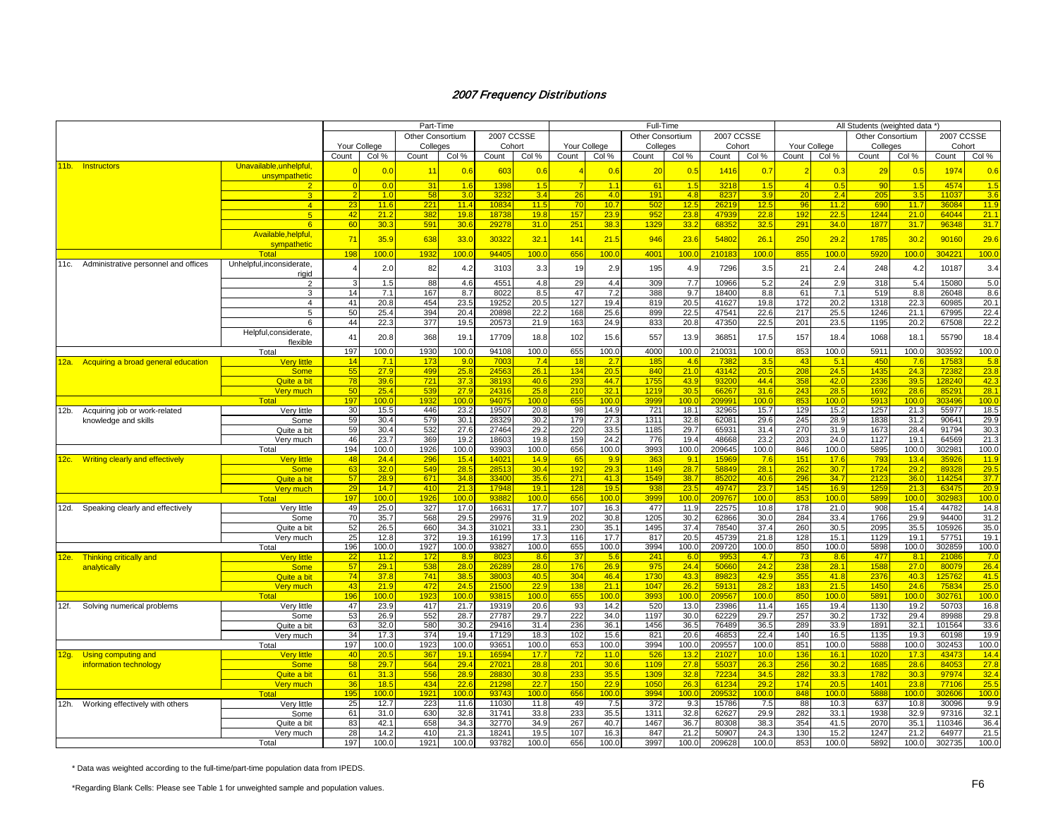| 2007 CCSSE<br>2007 CCSSE<br>2007 CCSSE<br>Other Consortium<br>Other Consortium<br><b>Other Consortium</b><br>Your College<br>Cohort<br>Your College<br>Colleges<br>Your College<br>Cohort<br>Colleges<br>Cohort<br>Colleges<br>Count<br>Count<br>Count<br>Col %<br>Count<br>Col %<br>Count<br>Col %<br>Col %<br>Count<br>Col %<br>Count<br>Col %<br>Col %<br>Count<br>Col %<br>Count<br>Col %<br>11b. Instructors<br>Unavailable.unhelpful.<br>0.0<br>0.6<br>0.6<br>0.6<br>20<br>0.5<br>0.7<br>0.5<br>1974<br>0.6<br>1 <sup>1</sup><br>603<br>1416<br>0.3<br>29<br>unsympathetic<br>1398<br>3218<br>90<br>4574<br>0.0<br>31<br>1.6<br>1.5<br>1.1<br>61<br>1.5<br>1.5<br>0.5<br>1.5<br>$\overline{4}$<br>3.6<br>4.0<br>4.8<br>3.5<br>58<br>3.0<br>323<br>3.4<br>191<br>8237<br>3.9<br>2.4<br>205<br>11037<br>3 <sup>°</sup><br>-2<br>1.0<br>26<br>20<br>221<br>$1083-$<br>11.5<br>10.7<br>12.5<br>12.5<br>11.9<br>$\overline{4}$<br>23<br>11.6<br>11.4<br>70<br>502<br>26219<br>96<br>11.2<br>690<br>11.7<br>36084<br>382<br>1873<br>19.8<br>23.9<br>23.8<br>4793<br>22.8<br>192<br>22.5<br>1244<br>64044<br>21.1<br>5 <sup>1</sup><br>42<br>21.2<br>19.8<br>157<br>952<br>21.0<br>33.2<br>291<br>34.0<br>1877<br>31.7<br>60<br>30.3<br>591<br>2927<br>31.0<br>251<br>38.3<br>1329<br>6835<br>32.5<br>31.7<br>96348<br>6 <sup>1</sup><br>30.6<br>Available, helpful,<br>71<br>35.9<br>638<br>33.0<br>30322<br>32.1<br>141<br>21.5<br>946<br>23.6<br>54802<br>26.1<br>250<br>29.2<br>1785<br>30.2<br>90160<br>29.6<br>sympathetic<br>100.0<br>94405<br>100.0<br>656<br>100.0<br>100.0<br>210183<br>304221<br>100.0<br>198<br>100.0<br>1932<br>4001<br>100.0<br>855<br>100.0<br>5920<br>100.0<br>Total<br>Administrative personnel and offices<br>Unhelpful, inconsiderate,<br>11c.<br>3103<br>21<br>10187<br>2.0<br>82<br>4.2<br>3.3<br>2.9<br>195<br>4.9<br>7296<br>2.4<br>248<br>4.2<br>3.4<br>19<br>3.5<br>rigid<br>4551<br>309<br>10966<br>24<br>15080<br>5.0<br>88<br>4.6<br>4.8<br>29<br>4.4<br>7.7<br>5.2<br>2.9<br>318<br>5.4<br>$\overline{2}$<br>1.5<br>47<br>7.2<br>9.7<br>61<br>8.8<br>8.6<br>3<br>14<br>7.1<br>167<br>8.7<br>8022<br>8.5<br>388<br>18400<br>8.8<br>7.1<br>519<br>26048<br>20.8<br>127<br>20.5<br>172<br>20.2<br>22.3<br>20.1<br>454<br>23.5<br>19252<br>20.5<br>19.4<br>41627<br>19.8<br>41<br>819<br>1318<br>60985<br>$\overline{4}$<br>217<br>22.4<br>50<br>25.4<br>394<br>20.4<br>20898<br>22.2<br>168<br>25.6<br>899<br>22.5<br>47541<br>22.6<br>25.5<br>1246<br>21.1<br>67995<br>5<br>44<br>163<br>20.8<br>22.5<br>201<br>22.2<br>6<br>22.3<br>377<br>19.5<br>20573<br>21.9<br>24.9<br>833<br>47350<br>23.5<br>1195<br>20.2<br>67508<br>Helpful, considerate,<br>18.4<br>41<br>20.8<br>368<br>19.1<br>17709<br>18.8<br>102<br>15.6<br>557<br>13.9<br>36851<br>17.5<br>157<br>18.4<br>1068<br>18.1<br>55790<br>flexible<br>197<br>100.0<br>1930<br>100.0<br>94108<br>100.0<br>655<br>100.0<br>4000<br>100.0<br>210031<br>100.0<br>853<br>100.0<br>5911<br>100.0<br>303592<br>100.0<br>Total<br>14<br>9.0<br>7003<br>7.4<br>2.7<br>185<br>4.6<br>3.5<br>43<br>5.1<br>450<br>5.8<br><b>Very little</b><br>7.1<br>173<br>18<br>7382<br>7.6<br>1758<br>12a. Acquiring a broad general education<br>21.0<br>43142<br>23.8<br>55<br>499<br>25.8<br>2456<br>26.1<br>134<br>20.5<br>840<br>20.5<br>208<br>24.5<br>1435<br>24.3<br><b>Some</b><br>27.9<br>72382<br>78<br>721<br>37.3<br>38193<br>40.6<br>44.7<br>1755<br>43.9<br>93200<br>44.4<br>358<br>42.0<br>2336<br>39.5<br>128240<br>42.3<br>Quite a bit<br>39.6<br>293<br>25.4<br>2431<br>25.8<br>30.5<br>28.1<br>50<br>539<br>27.9<br>210<br>32.1<br>6626<br>31.6<br>243<br>28.5<br>1692<br>28.6<br>85291<br>Very much<br>1219<br>9407<br>100.0<br>655<br>100.0<br>100.0<br>20999 <sup>.</sup><br>303496<br>100.0<br>197<br>100.0<br>193<br>100.0<br>3999<br>100.0<br>853<br>100 <sub>c</sub><br>5913<br>100.0<br>Total<br>446<br>23.2<br>19507<br>20.8<br>98<br>14.9<br>721<br>18.1<br>32965<br>15.7<br>129<br>15.2<br>1257<br>55977<br>18.5<br>Verv little<br>30<br>15.5<br>21.3<br>Acquiring job or work-related<br>12b.<br>28329<br>179<br>27.3<br>1311<br>32.8<br>245<br>28.9<br>29.9<br>59<br>30.4<br>579<br>30.1<br>30.2<br>62081<br>29.6<br>1838<br>31.2<br>90641<br>Some<br>knowledge and skills<br>59<br>30.4<br>532<br>27.6<br>27464<br>29.2<br>220<br>33.5<br>1185<br>29.7<br>65931<br>31.4<br>270<br>31.9<br>1673<br>28.4<br>91794<br>30.3<br>Quite a bit<br>21.3<br>46<br>23.7<br>369<br>19.2<br>18603<br>19.8<br>159<br>24.2<br>776<br>19.4<br>48668<br>23.2<br>203<br>24.0<br>1127<br>19.1<br>64569<br>Very much<br>1926<br>100.0<br>93903<br>100.0<br>656<br>3993<br>100.0<br>209645<br>846<br>5895<br>302981<br>100.0<br>194<br>100.0<br>100.0<br>100.0<br>100.0<br>100.0<br>Total<br>48<br>24.4<br>15.4<br>14.9<br>9.9<br>9.1<br>151<br>793<br>11.9<br>296<br>1402<br>65<br>363<br>1596<br>7.6<br>17.6<br>13.4<br>35926<br><b>Very little</b><br>12c. Writing clearly and effectively<br>63<br>32.0<br>549<br>28.5<br>2851<br>30.4<br>192<br>29.3<br>1149<br>28.7<br>58849<br>28.1<br>262<br>30.7<br>1724<br>29.2<br>89328<br>29.5<br><b>Some</b><br>85202<br>37.7<br>57<br>28.9<br>671<br>34.8<br>33400<br>35.6<br>271<br>41.3<br>1549<br>38.7<br>40.6<br>296<br>34.7<br>2123<br>36.0<br>114254<br>Quite a bit<br>14.7<br>410<br>21.3<br>17948<br>19.1<br>128<br>19.5<br>936<br>23.5<br>49747<br>23.7<br>145<br>16.9<br>21.3<br>63475<br>20.9<br>29<br>1259<br>Verv much<br>197<br>100.0<br>100.0<br>9388<br>100.0<br>656<br>100.0<br>3999<br>100.0<br>209767<br>100.0<br>853<br>100.0<br>5899<br>100.0<br>302983<br>100.0<br>Total<br>192<br>25.0<br>16631<br>22575<br>178<br>49<br>327<br>17.0<br>17.7<br>107<br>16.3<br>477<br>11.9<br>10.8<br>21.0<br>908<br>15.4<br>44782<br>Verv little<br>12d. Speaking clearly and effectively<br>35.7<br>568<br>29.5<br>29976<br>202<br>30.8<br>1205<br>30.2<br>62866<br>30.0<br>284<br>1766<br>29.9<br>94400<br>31.2<br>Some<br>70<br>31.9<br>33.4<br>35.0<br>52<br>26.5<br>660<br>34.3<br>31021<br>33.1<br>230<br>35.1<br>1495<br>37.4<br>78540<br>37.4<br>260<br>30.5<br>2095<br>35.5<br>105926<br>Quite a bit<br>25<br>12.8<br>372<br>19.3<br>17.3<br>17.7<br>20.5<br>45739<br>21.8<br>128<br>15.1<br>1129<br>19.1<br>57751<br>19.1<br>16199<br>116<br>817<br>Very much<br>100.0<br>1927<br>100.0<br>93827<br>100.0<br>655<br>100.0<br>3994<br>100.0<br>209720<br>100.0<br>850<br>100.0<br>5898<br>100.0<br>302859<br>100.0<br>196<br>Total<br>8.9<br>802<br>5.6<br>24'<br>6.0<br>4.7<br>73<br>477<br>8.1<br>21086<br>7.0<br>12e. Thinking critically and<br><b>Very little</b><br>22<br>11.2<br>172<br>8.6<br>37<br>995<br>8.6<br>57<br>28.0<br>26.9<br>24.4<br>24.2<br>238<br>28.1<br>27.0<br>26.4<br>29.1<br>538<br>28.0<br>2628<br>176<br>975<br>50660<br>1588<br>80079<br><b>Some</b><br>analytically<br>74<br>741<br>38.5<br>3800<br>40.5<br>304<br>46.4<br>1730<br>43.3<br>8982<br>42.9<br>355<br>41.8<br>2376<br>40.3<br>125762<br>41.5<br>Quite a bit<br>37.8<br>43<br>21.9<br>472<br>24.5<br>2150<br>22.9<br>138<br>21.1<br>1047<br>26.2<br>5913<br>28.2<br>183<br>21.5<br>1450<br>24.6<br>75834<br>25.0<br>Very much<br>Total<br>100.0<br>9381<br>655<br>3993<br>100 <sub>c</sub><br>20956<br>100.0<br>850<br>5891<br>100.0<br>196<br>100.0<br>192<br>100 <sub>c</sub><br>100.0<br>100.0<br>100.0<br>302761<br>13.0<br>16.8<br>47<br>23.9<br>417<br>21.7<br>19319<br>20.6<br>93<br>14.2<br>520<br>23986<br>11.4<br>165<br>19.4<br>1130<br>19.2<br>50703<br>Very little<br>12f.<br>Solving numerical problems<br>257<br>29.8<br>53<br>26.9<br>552<br>28.7<br>27787<br>29.7<br>222<br>34.0<br>1197<br>30.0<br>62229<br>29.7<br>30.2<br>1732<br>29.4<br>89988<br>Some<br>63<br>236<br>1456<br>289<br>33.6<br>32.0<br>580<br>30.2<br>29416<br>31.4<br>36.1<br>36.5<br>76489<br>36.5<br>33.9<br>1891<br>32.1<br>101564<br>Quite a bit<br>34<br>17.3<br>374<br>19.4<br>17129<br>18.3<br>102<br>15.6<br>821<br>20.6<br>46853<br>22.4<br>140<br>16.5<br>1135<br>19.3<br>60198<br>19.9<br>Very much<br>851<br>100.0<br>197<br>100.0<br>100.0<br>9365'<br>100.0<br>653<br>100.0<br>3994<br>100.0<br>209557<br>100.0<br>100.0<br>5888<br>100.0<br>1923<br>302453<br>Total<br>1659<br>17.7<br>11.0<br>13.2<br>10.0<br>136<br>16.1<br>17.3<br>43473<br>14.4<br>40<br>20.5<br>367<br>19.1<br>526<br>2102<br>1020<br>Using computing and<br><b>Very little</b><br>72<br>12g.<br>58<br>29.7<br>564<br>29.4<br>2702<br>28.8<br>201<br>30.6<br>1109<br>27.8<br>5503<br>26.3<br>256<br>30.2<br>1685<br>28.6<br>84053<br>27.8<br><b>Some</b><br>information technology<br>32.8<br>32.4<br>61<br>31.3<br>556<br>28.9<br>2883<br>30.8<br>233<br>35.5<br>1309<br>7223<br>34.5<br>282<br>33.3<br>1782<br>30.3<br>97974<br>Quite a bit<br>36<br>18.5<br>434<br>22.6<br>21298<br>22.7<br>150<br>22.9<br>105 <sub>0</sub><br>26.3<br>61234<br>29.2<br>174<br>20.5<br>1401<br>23.8<br>77106<br>25.5<br>Very much<br>93743<br>100.0<br>100.0<br>100.0<br>100 <sub>c</sub><br>100.0<br>100.0<br>Total<br>195<br>100.0<br>1921<br>100.0<br>656<br>399<br>20953<br>848<br>100.0<br>5888<br>302606<br>11030<br>15786<br>88<br>30096<br>9.9<br>12h. Working effectively with others<br>Very little<br>25<br>12.7<br>223<br>11.6<br>11.8<br>49<br>7.5<br>372<br>9.3<br>7.5<br>10.3<br>637<br>10.8<br>32.8<br>31741<br>33.8<br>233<br>35.5<br>131'<br>32.8<br>62627<br>29.9<br>282<br>33.1<br>32.9<br>97316<br>32.1<br>61<br>31.0<br>63C<br>1938<br>Some<br>36.7<br>354<br>36.4<br>Quite a bit<br>83<br>42.1<br>658<br>34.3<br>32770<br>34.9<br>267<br>40.7<br>1467<br>80308<br>38.3<br>41.5<br>2070<br>35.1<br>110346<br>21.5<br>21.3<br>18241<br>19.5<br>107<br>16.3<br>847<br>21.2<br>50907<br>24.3<br>130<br>15.2<br>1247<br>21.2<br>28<br>14.2<br>410<br>64977<br>Very much<br>197<br>1921<br>100.0<br>93782<br>656<br>3997<br>853<br>5892<br>302735<br>100.0<br>Total<br>100.0<br>100.0<br>100.0<br>100.0<br>209628<br>100.0<br>100.0<br>100.0 |  |  | Part-Time |  |  | Full-Time |  |  | All Students (weighted data *) |  |      |
|----------------------------------------------------------------------------------------------------------------------------------------------------------------------------------------------------------------------------------------------------------------------------------------------------------------------------------------------------------------------------------------------------------------------------------------------------------------------------------------------------------------------------------------------------------------------------------------------------------------------------------------------------------------------------------------------------------------------------------------------------------------------------------------------------------------------------------------------------------------------------------------------------------------------------------------------------------------------------------------------------------------------------------------------------------------------------------------------------------------------------------------------------------------------------------------------------------------------------------------------------------------------------------------------------------------------------------------------------------------------------------------------------------------------------------------------------------------------------------------------------------------------------------------------------------------------------------------------------------------------------------------------------------------------------------------------------------------------------------------------------------------------------------------------------------------------------------------------------------------------------------------------------------------------------------------------------------------------------------------------------------------------------------------------------------------------------------------------------------------------------------------------------------------------------------------------------------------------------------------------------------------------------------------------------------------------------------------------------------------------------------------------------------------------------------------------------------------------------------------------------------------------------------------------------------------------------------------------------------------------------------------------------------------------------------------------------------------------------------------------------------------------------------------------------------------------------------------------------------------------------------------------------------------------------------------------------------------------------------------------------------------------------------------------------------------------------------------------------------------------------------------------------------------------------------------------------------------------------------------------------------------------------------------------------------------------------------------------------------------------------------------------------------------------------------------------------------------------------------------------------------------------------------------------------------------------------------------------------------------------------------------------------------------------------------------------------------------------------------------------------------------------------------------------------------------------------------------------------------------------------------------------------------------------------------------------------------------------------------------------------------------------------------------------------------------------------------------------------------------------------------------------------------------------------------------------------------------------------------------------------------------------------------------------------------------------------------------------------------------------------------------------------------------------------------------------------------------------------------------------------------------------------------------------------------------------------------------------------------------------------------------------------------------------------------------------------------------------------------------------------------------------------------------------------------------------------------------------------------------------------------------------------------------------------------------------------------------------------------------------------------------------------------------------------------------------------------------------------------------------------------------------------------------------------------------------------------------------------------------------------------------------------------------------------------------------------------------------------------------------------------------------------------------------------------------------------------------------------------------------------------------------------------------------------------------------------------------------------------------------------------------------------------------------------------------------------------------------------------------------------------------------------------------------------------------------------------------------------------------------------------------------------------------------------------------------------------------------------------------------------------------------------------------------------------------------------------------------------------------------------------------------------------------------------------------------------------------------------------------------------------------------------------------------------------------------------------------------------------------------------------------------------------------------------------------------------------------------------------------------------------------------------------------------------------------------------------------------------------------------------------------------------------------------------------------------------------------------------------------------------------------------------------------------------------------------------------------------------------------------------------------------------------------------------------------------------------------------------------------------------------------------------------------------------------------------------------------------------------------------------------------------------------------------------------------------------------------------------------------------------------------------------------------------------------------------------------------------------------------------------------------------------------------------------------------------------------------------------------------------------------------------------------------------------------------------------------------------------------------------------------------------------------------------------------------------------------------------------------------------------------------------------------------------------------------------------------------------------------------------------------------------------------------------------------------------------------------------------------------------------------------------------------------------------------------------------------------------------------------------------------------------------------------------------------------------------------------------------------------------------------------------------------------------------------------------------------------------------------------------------------------------------------------------------------------------------------------------------------------------------------------------------------------------------------------------------------------------------------------------------------------------------------------------------------------------------------------------------------------------------------------------------------------------------------------------------------------------------------------------------------------------------------------------------------------------------------------------------------------------------------------------------------------------------------------------------------------------------------------------------------------------------------------------------------------------------------------------------------------------------------------------------------------------------------------------------------------------------------------------------------------------------------------------------------------------------------------------------------------------------------------------------------------------------------------------------------------------------------------------------------------------------------------------------------------------------------------------------------------------------------------------------------------------------------------------------------------------------------------------------------------------------------------------------------------------------------------------------|--|--|-----------|--|--|-----------|--|--|--------------------------------|--|------|
|                                                                                                                                                                                                                                                                                                                                                                                                                                                                                                                                                                                                                                                                                                                                                                                                                                                                                                                                                                                                                                                                                                                                                                                                                                                                                                                                                                                                                                                                                                                                                                                                                                                                                                                                                                                                                                                                                                                                                                                                                                                                                                                                                                                                                                                                                                                                                                                                                                                                                                                                                                                                                                                                                                                                                                                                                                                                                                                                                                                                                                                                                                                                                                                                                                                                                                                                                                                                                                                                                                                                                                                                                                                                                                                                                                                                                                                                                                                                                                                                                                                                                                                                                                                                                                                                                                                                                                                                                                                                                                                                                                                                                                                                                                                                                                                                                                                                                                                                                                                                                                                                                                                                                                                                                                                                                                                                                                                                                                                                                                                                                                                                                                                                                                                                                                                                                                                                                                                                                                                                                                                                                                                                                                                                                                                                                                                                                                                                                                                                                                                                                                                                                                                                                                                                                                                                                                                                                                                                                                                                                                                                                                                                                                                                                                                                                                                                                                                                                                                                                                                                                                                                                                                                                                                                                                                                                                                                                                                                                                                                                                                                                                                                                                                                                                                                                                                                                                                                                                                                                                                                                                                                                                                                                                                                                                                                                                                                                                                                                                                                                                                                                                                                                                                                                                                                                                                                                                                                                                                                                                                                                                                                                                                                                                                                                                                                                                                                                                                                                                            |  |  |           |  |  |           |  |  |                                |  |      |
|                                                                                                                                                                                                                                                                                                                                                                                                                                                                                                                                                                                                                                                                                                                                                                                                                                                                                                                                                                                                                                                                                                                                                                                                                                                                                                                                                                                                                                                                                                                                                                                                                                                                                                                                                                                                                                                                                                                                                                                                                                                                                                                                                                                                                                                                                                                                                                                                                                                                                                                                                                                                                                                                                                                                                                                                                                                                                                                                                                                                                                                                                                                                                                                                                                                                                                                                                                                                                                                                                                                                                                                                                                                                                                                                                                                                                                                                                                                                                                                                                                                                                                                                                                                                                                                                                                                                                                                                                                                                                                                                                                                                                                                                                                                                                                                                                                                                                                                                                                                                                                                                                                                                                                                                                                                                                                                                                                                                                                                                                                                                                                                                                                                                                                                                                                                                                                                                                                                                                                                                                                                                                                                                                                                                                                                                                                                                                                                                                                                                                                                                                                                                                                                                                                                                                                                                                                                                                                                                                                                                                                                                                                                                                                                                                                                                                                                                                                                                                                                                                                                                                                                                                                                                                                                                                                                                                                                                                                                                                                                                                                                                                                                                                                                                                                                                                                                                                                                                                                                                                                                                                                                                                                                                                                                                                                                                                                                                                                                                                                                                                                                                                                                                                                                                                                                                                                                                                                                                                                                                                                                                                                                                                                                                                                                                                                                                                                                                                                                                                                            |  |  |           |  |  |           |  |  |                                |  |      |
|                                                                                                                                                                                                                                                                                                                                                                                                                                                                                                                                                                                                                                                                                                                                                                                                                                                                                                                                                                                                                                                                                                                                                                                                                                                                                                                                                                                                                                                                                                                                                                                                                                                                                                                                                                                                                                                                                                                                                                                                                                                                                                                                                                                                                                                                                                                                                                                                                                                                                                                                                                                                                                                                                                                                                                                                                                                                                                                                                                                                                                                                                                                                                                                                                                                                                                                                                                                                                                                                                                                                                                                                                                                                                                                                                                                                                                                                                                                                                                                                                                                                                                                                                                                                                                                                                                                                                                                                                                                                                                                                                                                                                                                                                                                                                                                                                                                                                                                                                                                                                                                                                                                                                                                                                                                                                                                                                                                                                                                                                                                                                                                                                                                                                                                                                                                                                                                                                                                                                                                                                                                                                                                                                                                                                                                                                                                                                                                                                                                                                                                                                                                                                                                                                                                                                                                                                                                                                                                                                                                                                                                                                                                                                                                                                                                                                                                                                                                                                                                                                                                                                                                                                                                                                                                                                                                                                                                                                                                                                                                                                                                                                                                                                                                                                                                                                                                                                                                                                                                                                                                                                                                                                                                                                                                                                                                                                                                                                                                                                                                                                                                                                                                                                                                                                                                                                                                                                                                                                                                                                                                                                                                                                                                                                                                                                                                                                                                                                                                                                                            |  |  |           |  |  |           |  |  |                                |  |      |
|                                                                                                                                                                                                                                                                                                                                                                                                                                                                                                                                                                                                                                                                                                                                                                                                                                                                                                                                                                                                                                                                                                                                                                                                                                                                                                                                                                                                                                                                                                                                                                                                                                                                                                                                                                                                                                                                                                                                                                                                                                                                                                                                                                                                                                                                                                                                                                                                                                                                                                                                                                                                                                                                                                                                                                                                                                                                                                                                                                                                                                                                                                                                                                                                                                                                                                                                                                                                                                                                                                                                                                                                                                                                                                                                                                                                                                                                                                                                                                                                                                                                                                                                                                                                                                                                                                                                                                                                                                                                                                                                                                                                                                                                                                                                                                                                                                                                                                                                                                                                                                                                                                                                                                                                                                                                                                                                                                                                                                                                                                                                                                                                                                                                                                                                                                                                                                                                                                                                                                                                                                                                                                                                                                                                                                                                                                                                                                                                                                                                                                                                                                                                                                                                                                                                                                                                                                                                                                                                                                                                                                                                                                                                                                                                                                                                                                                                                                                                                                                                                                                                                                                                                                                                                                                                                                                                                                                                                                                                                                                                                                                                                                                                                                                                                                                                                                                                                                                                                                                                                                                                                                                                                                                                                                                                                                                                                                                                                                                                                                                                                                                                                                                                                                                                                                                                                                                                                                                                                                                                                                                                                                                                                                                                                                                                                                                                                                                                                                                                                                            |  |  |           |  |  |           |  |  |                                |  |      |
|                                                                                                                                                                                                                                                                                                                                                                                                                                                                                                                                                                                                                                                                                                                                                                                                                                                                                                                                                                                                                                                                                                                                                                                                                                                                                                                                                                                                                                                                                                                                                                                                                                                                                                                                                                                                                                                                                                                                                                                                                                                                                                                                                                                                                                                                                                                                                                                                                                                                                                                                                                                                                                                                                                                                                                                                                                                                                                                                                                                                                                                                                                                                                                                                                                                                                                                                                                                                                                                                                                                                                                                                                                                                                                                                                                                                                                                                                                                                                                                                                                                                                                                                                                                                                                                                                                                                                                                                                                                                                                                                                                                                                                                                                                                                                                                                                                                                                                                                                                                                                                                                                                                                                                                                                                                                                                                                                                                                                                                                                                                                                                                                                                                                                                                                                                                                                                                                                                                                                                                                                                                                                                                                                                                                                                                                                                                                                                                                                                                                                                                                                                                                                                                                                                                                                                                                                                                                                                                                                                                                                                                                                                                                                                                                                                                                                                                                                                                                                                                                                                                                                                                                                                                                                                                                                                                                                                                                                                                                                                                                                                                                                                                                                                                                                                                                                                                                                                                                                                                                                                                                                                                                                                                                                                                                                                                                                                                                                                                                                                                                                                                                                                                                                                                                                                                                                                                                                                                                                                                                                                                                                                                                                                                                                                                                                                                                                                                                                                                                                                            |  |  |           |  |  |           |  |  |                                |  |      |
|                                                                                                                                                                                                                                                                                                                                                                                                                                                                                                                                                                                                                                                                                                                                                                                                                                                                                                                                                                                                                                                                                                                                                                                                                                                                                                                                                                                                                                                                                                                                                                                                                                                                                                                                                                                                                                                                                                                                                                                                                                                                                                                                                                                                                                                                                                                                                                                                                                                                                                                                                                                                                                                                                                                                                                                                                                                                                                                                                                                                                                                                                                                                                                                                                                                                                                                                                                                                                                                                                                                                                                                                                                                                                                                                                                                                                                                                                                                                                                                                                                                                                                                                                                                                                                                                                                                                                                                                                                                                                                                                                                                                                                                                                                                                                                                                                                                                                                                                                                                                                                                                                                                                                                                                                                                                                                                                                                                                                                                                                                                                                                                                                                                                                                                                                                                                                                                                                                                                                                                                                                                                                                                                                                                                                                                                                                                                                                                                                                                                                                                                                                                                                                                                                                                                                                                                                                                                                                                                                                                                                                                                                                                                                                                                                                                                                                                                                                                                                                                                                                                                                                                                                                                                                                                                                                                                                                                                                                                                                                                                                                                                                                                                                                                                                                                                                                                                                                                                                                                                                                                                                                                                                                                                                                                                                                                                                                                                                                                                                                                                                                                                                                                                                                                                                                                                                                                                                                                                                                                                                                                                                                                                                                                                                                                                                                                                                                                                                                                                                                            |  |  |           |  |  |           |  |  |                                |  | 1.5  |
|                                                                                                                                                                                                                                                                                                                                                                                                                                                                                                                                                                                                                                                                                                                                                                                                                                                                                                                                                                                                                                                                                                                                                                                                                                                                                                                                                                                                                                                                                                                                                                                                                                                                                                                                                                                                                                                                                                                                                                                                                                                                                                                                                                                                                                                                                                                                                                                                                                                                                                                                                                                                                                                                                                                                                                                                                                                                                                                                                                                                                                                                                                                                                                                                                                                                                                                                                                                                                                                                                                                                                                                                                                                                                                                                                                                                                                                                                                                                                                                                                                                                                                                                                                                                                                                                                                                                                                                                                                                                                                                                                                                                                                                                                                                                                                                                                                                                                                                                                                                                                                                                                                                                                                                                                                                                                                                                                                                                                                                                                                                                                                                                                                                                                                                                                                                                                                                                                                                                                                                                                                                                                                                                                                                                                                                                                                                                                                                                                                                                                                                                                                                                                                                                                                                                                                                                                                                                                                                                                                                                                                                                                                                                                                                                                                                                                                                                                                                                                                                                                                                                                                                                                                                                                                                                                                                                                                                                                                                                                                                                                                                                                                                                                                                                                                                                                                                                                                                                                                                                                                                                                                                                                                                                                                                                                                                                                                                                                                                                                                                                                                                                                                                                                                                                                                                                                                                                                                                                                                                                                                                                                                                                                                                                                                                                                                                                                                                                                                                                                                            |  |  |           |  |  |           |  |  |                                |  |      |
|                                                                                                                                                                                                                                                                                                                                                                                                                                                                                                                                                                                                                                                                                                                                                                                                                                                                                                                                                                                                                                                                                                                                                                                                                                                                                                                                                                                                                                                                                                                                                                                                                                                                                                                                                                                                                                                                                                                                                                                                                                                                                                                                                                                                                                                                                                                                                                                                                                                                                                                                                                                                                                                                                                                                                                                                                                                                                                                                                                                                                                                                                                                                                                                                                                                                                                                                                                                                                                                                                                                                                                                                                                                                                                                                                                                                                                                                                                                                                                                                                                                                                                                                                                                                                                                                                                                                                                                                                                                                                                                                                                                                                                                                                                                                                                                                                                                                                                                                                                                                                                                                                                                                                                                                                                                                                                                                                                                                                                                                                                                                                                                                                                                                                                                                                                                                                                                                                                                                                                                                                                                                                                                                                                                                                                                                                                                                                                                                                                                                                                                                                                                                                                                                                                                                                                                                                                                                                                                                                                                                                                                                                                                                                                                                                                                                                                                                                                                                                                                                                                                                                                                                                                                                                                                                                                                                                                                                                                                                                                                                                                                                                                                                                                                                                                                                                                                                                                                                                                                                                                                                                                                                                                                                                                                                                                                                                                                                                                                                                                                                                                                                                                                                                                                                                                                                                                                                                                                                                                                                                                                                                                                                                                                                                                                                                                                                                                                                                                                                                                            |  |  |           |  |  |           |  |  |                                |  |      |
|                                                                                                                                                                                                                                                                                                                                                                                                                                                                                                                                                                                                                                                                                                                                                                                                                                                                                                                                                                                                                                                                                                                                                                                                                                                                                                                                                                                                                                                                                                                                                                                                                                                                                                                                                                                                                                                                                                                                                                                                                                                                                                                                                                                                                                                                                                                                                                                                                                                                                                                                                                                                                                                                                                                                                                                                                                                                                                                                                                                                                                                                                                                                                                                                                                                                                                                                                                                                                                                                                                                                                                                                                                                                                                                                                                                                                                                                                                                                                                                                                                                                                                                                                                                                                                                                                                                                                                                                                                                                                                                                                                                                                                                                                                                                                                                                                                                                                                                                                                                                                                                                                                                                                                                                                                                                                                                                                                                                                                                                                                                                                                                                                                                                                                                                                                                                                                                                                                                                                                                                                                                                                                                                                                                                                                                                                                                                                                                                                                                                                                                                                                                                                                                                                                                                                                                                                                                                                                                                                                                                                                                                                                                                                                                                                                                                                                                                                                                                                                                                                                                                                                                                                                                                                                                                                                                                                                                                                                                                                                                                                                                                                                                                                                                                                                                                                                                                                                                                                                                                                                                                                                                                                                                                                                                                                                                                                                                                                                                                                                                                                                                                                                                                                                                                                                                                                                                                                                                                                                                                                                                                                                                                                                                                                                                                                                                                                                                                                                                                                                            |  |  |           |  |  |           |  |  |                                |  |      |
|                                                                                                                                                                                                                                                                                                                                                                                                                                                                                                                                                                                                                                                                                                                                                                                                                                                                                                                                                                                                                                                                                                                                                                                                                                                                                                                                                                                                                                                                                                                                                                                                                                                                                                                                                                                                                                                                                                                                                                                                                                                                                                                                                                                                                                                                                                                                                                                                                                                                                                                                                                                                                                                                                                                                                                                                                                                                                                                                                                                                                                                                                                                                                                                                                                                                                                                                                                                                                                                                                                                                                                                                                                                                                                                                                                                                                                                                                                                                                                                                                                                                                                                                                                                                                                                                                                                                                                                                                                                                                                                                                                                                                                                                                                                                                                                                                                                                                                                                                                                                                                                                                                                                                                                                                                                                                                                                                                                                                                                                                                                                                                                                                                                                                                                                                                                                                                                                                                                                                                                                                                                                                                                                                                                                                                                                                                                                                                                                                                                                                                                                                                                                                                                                                                                                                                                                                                                                                                                                                                                                                                                                                                                                                                                                                                                                                                                                                                                                                                                                                                                                                                                                                                                                                                                                                                                                                                                                                                                                                                                                                                                                                                                                                                                                                                                                                                                                                                                                                                                                                                                                                                                                                                                                                                                                                                                                                                                                                                                                                                                                                                                                                                                                                                                                                                                                                                                                                                                                                                                                                                                                                                                                                                                                                                                                                                                                                                                                                                                                                                            |  |  |           |  |  |           |  |  |                                |  |      |
|                                                                                                                                                                                                                                                                                                                                                                                                                                                                                                                                                                                                                                                                                                                                                                                                                                                                                                                                                                                                                                                                                                                                                                                                                                                                                                                                                                                                                                                                                                                                                                                                                                                                                                                                                                                                                                                                                                                                                                                                                                                                                                                                                                                                                                                                                                                                                                                                                                                                                                                                                                                                                                                                                                                                                                                                                                                                                                                                                                                                                                                                                                                                                                                                                                                                                                                                                                                                                                                                                                                                                                                                                                                                                                                                                                                                                                                                                                                                                                                                                                                                                                                                                                                                                                                                                                                                                                                                                                                                                                                                                                                                                                                                                                                                                                                                                                                                                                                                                                                                                                                                                                                                                                                                                                                                                                                                                                                                                                                                                                                                                                                                                                                                                                                                                                                                                                                                                                                                                                                                                                                                                                                                                                                                                                                                                                                                                                                                                                                                                                                                                                                                                                                                                                                                                                                                                                                                                                                                                                                                                                                                                                                                                                                                                                                                                                                                                                                                                                                                                                                                                                                                                                                                                                                                                                                                                                                                                                                                                                                                                                                                                                                                                                                                                                                                                                                                                                                                                                                                                                                                                                                                                                                                                                                                                                                                                                                                                                                                                                                                                                                                                                                                                                                                                                                                                                                                                                                                                                                                                                                                                                                                                                                                                                                                                                                                                                                                                                                                                                            |  |  |           |  |  |           |  |  |                                |  |      |
|                                                                                                                                                                                                                                                                                                                                                                                                                                                                                                                                                                                                                                                                                                                                                                                                                                                                                                                                                                                                                                                                                                                                                                                                                                                                                                                                                                                                                                                                                                                                                                                                                                                                                                                                                                                                                                                                                                                                                                                                                                                                                                                                                                                                                                                                                                                                                                                                                                                                                                                                                                                                                                                                                                                                                                                                                                                                                                                                                                                                                                                                                                                                                                                                                                                                                                                                                                                                                                                                                                                                                                                                                                                                                                                                                                                                                                                                                                                                                                                                                                                                                                                                                                                                                                                                                                                                                                                                                                                                                                                                                                                                                                                                                                                                                                                                                                                                                                                                                                                                                                                                                                                                                                                                                                                                                                                                                                                                                                                                                                                                                                                                                                                                                                                                                                                                                                                                                                                                                                                                                                                                                                                                                                                                                                                                                                                                                                                                                                                                                                                                                                                                                                                                                                                                                                                                                                                                                                                                                                                                                                                                                                                                                                                                                                                                                                                                                                                                                                                                                                                                                                                                                                                                                                                                                                                                                                                                                                                                                                                                                                                                                                                                                                                                                                                                                                                                                                                                                                                                                                                                                                                                                                                                                                                                                                                                                                                                                                                                                                                                                                                                                                                                                                                                                                                                                                                                                                                                                                                                                                                                                                                                                                                                                                                                                                                                                                                                                                                                                                            |  |  |           |  |  |           |  |  |                                |  |      |
|                                                                                                                                                                                                                                                                                                                                                                                                                                                                                                                                                                                                                                                                                                                                                                                                                                                                                                                                                                                                                                                                                                                                                                                                                                                                                                                                                                                                                                                                                                                                                                                                                                                                                                                                                                                                                                                                                                                                                                                                                                                                                                                                                                                                                                                                                                                                                                                                                                                                                                                                                                                                                                                                                                                                                                                                                                                                                                                                                                                                                                                                                                                                                                                                                                                                                                                                                                                                                                                                                                                                                                                                                                                                                                                                                                                                                                                                                                                                                                                                                                                                                                                                                                                                                                                                                                                                                                                                                                                                                                                                                                                                                                                                                                                                                                                                                                                                                                                                                                                                                                                                                                                                                                                                                                                                                                                                                                                                                                                                                                                                                                                                                                                                                                                                                                                                                                                                                                                                                                                                                                                                                                                                                                                                                                                                                                                                                                                                                                                                                                                                                                                                                                                                                                                                                                                                                                                                                                                                                                                                                                                                                                                                                                                                                                                                                                                                                                                                                                                                                                                                                                                                                                                                                                                                                                                                                                                                                                                                                                                                                                                                                                                                                                                                                                                                                                                                                                                                                                                                                                                                                                                                                                                                                                                                                                                                                                                                                                                                                                                                                                                                                                                                                                                                                                                                                                                                                                                                                                                                                                                                                                                                                                                                                                                                                                                                                                                                                                                                                                            |  |  |           |  |  |           |  |  |                                |  |      |
|                                                                                                                                                                                                                                                                                                                                                                                                                                                                                                                                                                                                                                                                                                                                                                                                                                                                                                                                                                                                                                                                                                                                                                                                                                                                                                                                                                                                                                                                                                                                                                                                                                                                                                                                                                                                                                                                                                                                                                                                                                                                                                                                                                                                                                                                                                                                                                                                                                                                                                                                                                                                                                                                                                                                                                                                                                                                                                                                                                                                                                                                                                                                                                                                                                                                                                                                                                                                                                                                                                                                                                                                                                                                                                                                                                                                                                                                                                                                                                                                                                                                                                                                                                                                                                                                                                                                                                                                                                                                                                                                                                                                                                                                                                                                                                                                                                                                                                                                                                                                                                                                                                                                                                                                                                                                                                                                                                                                                                                                                                                                                                                                                                                                                                                                                                                                                                                                                                                                                                                                                                                                                                                                                                                                                                                                                                                                                                                                                                                                                                                                                                                                                                                                                                                                                                                                                                                                                                                                                                                                                                                                                                                                                                                                                                                                                                                                                                                                                                                                                                                                                                                                                                                                                                                                                                                                                                                                                                                                                                                                                                                                                                                                                                                                                                                                                                                                                                                                                                                                                                                                                                                                                                                                                                                                                                                                                                                                                                                                                                                                                                                                                                                                                                                                                                                                                                                                                                                                                                                                                                                                                                                                                                                                                                                                                                                                                                                                                                                                                                            |  |  |           |  |  |           |  |  |                                |  |      |
|                                                                                                                                                                                                                                                                                                                                                                                                                                                                                                                                                                                                                                                                                                                                                                                                                                                                                                                                                                                                                                                                                                                                                                                                                                                                                                                                                                                                                                                                                                                                                                                                                                                                                                                                                                                                                                                                                                                                                                                                                                                                                                                                                                                                                                                                                                                                                                                                                                                                                                                                                                                                                                                                                                                                                                                                                                                                                                                                                                                                                                                                                                                                                                                                                                                                                                                                                                                                                                                                                                                                                                                                                                                                                                                                                                                                                                                                                                                                                                                                                                                                                                                                                                                                                                                                                                                                                                                                                                                                                                                                                                                                                                                                                                                                                                                                                                                                                                                                                                                                                                                                                                                                                                                                                                                                                                                                                                                                                                                                                                                                                                                                                                                                                                                                                                                                                                                                                                                                                                                                                                                                                                                                                                                                                                                                                                                                                                                                                                                                                                                                                                                                                                                                                                                                                                                                                                                                                                                                                                                                                                                                                                                                                                                                                                                                                                                                                                                                                                                                                                                                                                                                                                                                                                                                                                                                                                                                                                                                                                                                                                                                                                                                                                                                                                                                                                                                                                                                                                                                                                                                                                                                                                                                                                                                                                                                                                                                                                                                                                                                                                                                                                                                                                                                                                                                                                                                                                                                                                                                                                                                                                                                                                                                                                                                                                                                                                                                                                                                                                            |  |  |           |  |  |           |  |  |                                |  |      |
|                                                                                                                                                                                                                                                                                                                                                                                                                                                                                                                                                                                                                                                                                                                                                                                                                                                                                                                                                                                                                                                                                                                                                                                                                                                                                                                                                                                                                                                                                                                                                                                                                                                                                                                                                                                                                                                                                                                                                                                                                                                                                                                                                                                                                                                                                                                                                                                                                                                                                                                                                                                                                                                                                                                                                                                                                                                                                                                                                                                                                                                                                                                                                                                                                                                                                                                                                                                                                                                                                                                                                                                                                                                                                                                                                                                                                                                                                                                                                                                                                                                                                                                                                                                                                                                                                                                                                                                                                                                                                                                                                                                                                                                                                                                                                                                                                                                                                                                                                                                                                                                                                                                                                                                                                                                                                                                                                                                                                                                                                                                                                                                                                                                                                                                                                                                                                                                                                                                                                                                                                                                                                                                                                                                                                                                                                                                                                                                                                                                                                                                                                                                                                                                                                                                                                                                                                                                                                                                                                                                                                                                                                                                                                                                                                                                                                                                                                                                                                                                                                                                                                                                                                                                                                                                                                                                                                                                                                                                                                                                                                                                                                                                                                                                                                                                                                                                                                                                                                                                                                                                                                                                                                                                                                                                                                                                                                                                                                                                                                                                                                                                                                                                                                                                                                                                                                                                                                                                                                                                                                                                                                                                                                                                                                                                                                                                                                                                                                                                                                                            |  |  |           |  |  |           |  |  |                                |  |      |
|                                                                                                                                                                                                                                                                                                                                                                                                                                                                                                                                                                                                                                                                                                                                                                                                                                                                                                                                                                                                                                                                                                                                                                                                                                                                                                                                                                                                                                                                                                                                                                                                                                                                                                                                                                                                                                                                                                                                                                                                                                                                                                                                                                                                                                                                                                                                                                                                                                                                                                                                                                                                                                                                                                                                                                                                                                                                                                                                                                                                                                                                                                                                                                                                                                                                                                                                                                                                                                                                                                                                                                                                                                                                                                                                                                                                                                                                                                                                                                                                                                                                                                                                                                                                                                                                                                                                                                                                                                                                                                                                                                                                                                                                                                                                                                                                                                                                                                                                                                                                                                                                                                                                                                                                                                                                                                                                                                                                                                                                                                                                                                                                                                                                                                                                                                                                                                                                                                                                                                                                                                                                                                                                                                                                                                                                                                                                                                                                                                                                                                                                                                                                                                                                                                                                                                                                                                                                                                                                                                                                                                                                                                                                                                                                                                                                                                                                                                                                                                                                                                                                                                                                                                                                                                                                                                                                                                                                                                                                                                                                                                                                                                                                                                                                                                                                                                                                                                                                                                                                                                                                                                                                                                                                                                                                                                                                                                                                                                                                                                                                                                                                                                                                                                                                                                                                                                                                                                                                                                                                                                                                                                                                                                                                                                                                                                                                                                                                                                                                                                            |  |  |           |  |  |           |  |  |                                |  |      |
|                                                                                                                                                                                                                                                                                                                                                                                                                                                                                                                                                                                                                                                                                                                                                                                                                                                                                                                                                                                                                                                                                                                                                                                                                                                                                                                                                                                                                                                                                                                                                                                                                                                                                                                                                                                                                                                                                                                                                                                                                                                                                                                                                                                                                                                                                                                                                                                                                                                                                                                                                                                                                                                                                                                                                                                                                                                                                                                                                                                                                                                                                                                                                                                                                                                                                                                                                                                                                                                                                                                                                                                                                                                                                                                                                                                                                                                                                                                                                                                                                                                                                                                                                                                                                                                                                                                                                                                                                                                                                                                                                                                                                                                                                                                                                                                                                                                                                                                                                                                                                                                                                                                                                                                                                                                                                                                                                                                                                                                                                                                                                                                                                                                                                                                                                                                                                                                                                                                                                                                                                                                                                                                                                                                                                                                                                                                                                                                                                                                                                                                                                                                                                                                                                                                                                                                                                                                                                                                                                                                                                                                                                                                                                                                                                                                                                                                                                                                                                                                                                                                                                                                                                                                                                                                                                                                                                                                                                                                                                                                                                                                                                                                                                                                                                                                                                                                                                                                                                                                                                                                                                                                                                                                                                                                                                                                                                                                                                                                                                                                                                                                                                                                                                                                                                                                                                                                                                                                                                                                                                                                                                                                                                                                                                                                                                                                                                                                                                                                                                                            |  |  |           |  |  |           |  |  |                                |  |      |
|                                                                                                                                                                                                                                                                                                                                                                                                                                                                                                                                                                                                                                                                                                                                                                                                                                                                                                                                                                                                                                                                                                                                                                                                                                                                                                                                                                                                                                                                                                                                                                                                                                                                                                                                                                                                                                                                                                                                                                                                                                                                                                                                                                                                                                                                                                                                                                                                                                                                                                                                                                                                                                                                                                                                                                                                                                                                                                                                                                                                                                                                                                                                                                                                                                                                                                                                                                                                                                                                                                                                                                                                                                                                                                                                                                                                                                                                                                                                                                                                                                                                                                                                                                                                                                                                                                                                                                                                                                                                                                                                                                                                                                                                                                                                                                                                                                                                                                                                                                                                                                                                                                                                                                                                                                                                                                                                                                                                                                                                                                                                                                                                                                                                                                                                                                                                                                                                                                                                                                                                                                                                                                                                                                                                                                                                                                                                                                                                                                                                                                                                                                                                                                                                                                                                                                                                                                                                                                                                                                                                                                                                                                                                                                                                                                                                                                                                                                                                                                                                                                                                                                                                                                                                                                                                                                                                                                                                                                                                                                                                                                                                                                                                                                                                                                                                                                                                                                                                                                                                                                                                                                                                                                                                                                                                                                                                                                                                                                                                                                                                                                                                                                                                                                                                                                                                                                                                                                                                                                                                                                                                                                                                                                                                                                                                                                                                                                                                                                                                                                            |  |  |           |  |  |           |  |  |                                |  |      |
|                                                                                                                                                                                                                                                                                                                                                                                                                                                                                                                                                                                                                                                                                                                                                                                                                                                                                                                                                                                                                                                                                                                                                                                                                                                                                                                                                                                                                                                                                                                                                                                                                                                                                                                                                                                                                                                                                                                                                                                                                                                                                                                                                                                                                                                                                                                                                                                                                                                                                                                                                                                                                                                                                                                                                                                                                                                                                                                                                                                                                                                                                                                                                                                                                                                                                                                                                                                                                                                                                                                                                                                                                                                                                                                                                                                                                                                                                                                                                                                                                                                                                                                                                                                                                                                                                                                                                                                                                                                                                                                                                                                                                                                                                                                                                                                                                                                                                                                                                                                                                                                                                                                                                                                                                                                                                                                                                                                                                                                                                                                                                                                                                                                                                                                                                                                                                                                                                                                                                                                                                                                                                                                                                                                                                                                                                                                                                                                                                                                                                                                                                                                                                                                                                                                                                                                                                                                                                                                                                                                                                                                                                                                                                                                                                                                                                                                                                                                                                                                                                                                                                                                                                                                                                                                                                                                                                                                                                                                                                                                                                                                                                                                                                                                                                                                                                                                                                                                                                                                                                                                                                                                                                                                                                                                                                                                                                                                                                                                                                                                                                                                                                                                                                                                                                                                                                                                                                                                                                                                                                                                                                                                                                                                                                                                                                                                                                                                                                                                                                                            |  |  |           |  |  |           |  |  |                                |  |      |
|                                                                                                                                                                                                                                                                                                                                                                                                                                                                                                                                                                                                                                                                                                                                                                                                                                                                                                                                                                                                                                                                                                                                                                                                                                                                                                                                                                                                                                                                                                                                                                                                                                                                                                                                                                                                                                                                                                                                                                                                                                                                                                                                                                                                                                                                                                                                                                                                                                                                                                                                                                                                                                                                                                                                                                                                                                                                                                                                                                                                                                                                                                                                                                                                                                                                                                                                                                                                                                                                                                                                                                                                                                                                                                                                                                                                                                                                                                                                                                                                                                                                                                                                                                                                                                                                                                                                                                                                                                                                                                                                                                                                                                                                                                                                                                                                                                                                                                                                                                                                                                                                                                                                                                                                                                                                                                                                                                                                                                                                                                                                                                                                                                                                                                                                                                                                                                                                                                                                                                                                                                                                                                                                                                                                                                                                                                                                                                                                                                                                                                                                                                                                                                                                                                                                                                                                                                                                                                                                                                                                                                                                                                                                                                                                                                                                                                                                                                                                                                                                                                                                                                                                                                                                                                                                                                                                                                                                                                                                                                                                                                                                                                                                                                                                                                                                                                                                                                                                                                                                                                                                                                                                                                                                                                                                                                                                                                                                                                                                                                                                                                                                                                                                                                                                                                                                                                                                                                                                                                                                                                                                                                                                                                                                                                                                                                                                                                                                                                                                                                            |  |  |           |  |  |           |  |  |                                |  |      |
|                                                                                                                                                                                                                                                                                                                                                                                                                                                                                                                                                                                                                                                                                                                                                                                                                                                                                                                                                                                                                                                                                                                                                                                                                                                                                                                                                                                                                                                                                                                                                                                                                                                                                                                                                                                                                                                                                                                                                                                                                                                                                                                                                                                                                                                                                                                                                                                                                                                                                                                                                                                                                                                                                                                                                                                                                                                                                                                                                                                                                                                                                                                                                                                                                                                                                                                                                                                                                                                                                                                                                                                                                                                                                                                                                                                                                                                                                                                                                                                                                                                                                                                                                                                                                                                                                                                                                                                                                                                                                                                                                                                                                                                                                                                                                                                                                                                                                                                                                                                                                                                                                                                                                                                                                                                                                                                                                                                                                                                                                                                                                                                                                                                                                                                                                                                                                                                                                                                                                                                                                                                                                                                                                                                                                                                                                                                                                                                                                                                                                                                                                                                                                                                                                                                                                                                                                                                                                                                                                                                                                                                                                                                                                                                                                                                                                                                                                                                                                                                                                                                                                                                                                                                                                                                                                                                                                                                                                                                                                                                                                                                                                                                                                                                                                                                                                                                                                                                                                                                                                                                                                                                                                                                                                                                                                                                                                                                                                                                                                                                                                                                                                                                                                                                                                                                                                                                                                                                                                                                                                                                                                                                                                                                                                                                                                                                                                                                                                                                                                                            |  |  |           |  |  |           |  |  |                                |  |      |
|                                                                                                                                                                                                                                                                                                                                                                                                                                                                                                                                                                                                                                                                                                                                                                                                                                                                                                                                                                                                                                                                                                                                                                                                                                                                                                                                                                                                                                                                                                                                                                                                                                                                                                                                                                                                                                                                                                                                                                                                                                                                                                                                                                                                                                                                                                                                                                                                                                                                                                                                                                                                                                                                                                                                                                                                                                                                                                                                                                                                                                                                                                                                                                                                                                                                                                                                                                                                                                                                                                                                                                                                                                                                                                                                                                                                                                                                                                                                                                                                                                                                                                                                                                                                                                                                                                                                                                                                                                                                                                                                                                                                                                                                                                                                                                                                                                                                                                                                                                                                                                                                                                                                                                                                                                                                                                                                                                                                                                                                                                                                                                                                                                                                                                                                                                                                                                                                                                                                                                                                                                                                                                                                                                                                                                                                                                                                                                                                                                                                                                                                                                                                                                                                                                                                                                                                                                                                                                                                                                                                                                                                                                                                                                                                                                                                                                                                                                                                                                                                                                                                                                                                                                                                                                                                                                                                                                                                                                                                                                                                                                                                                                                                                                                                                                                                                                                                                                                                                                                                                                                                                                                                                                                                                                                                                                                                                                                                                                                                                                                                                                                                                                                                                                                                                                                                                                                                                                                                                                                                                                                                                                                                                                                                                                                                                                                                                                                                                                                                                                            |  |  |           |  |  |           |  |  |                                |  |      |
|                                                                                                                                                                                                                                                                                                                                                                                                                                                                                                                                                                                                                                                                                                                                                                                                                                                                                                                                                                                                                                                                                                                                                                                                                                                                                                                                                                                                                                                                                                                                                                                                                                                                                                                                                                                                                                                                                                                                                                                                                                                                                                                                                                                                                                                                                                                                                                                                                                                                                                                                                                                                                                                                                                                                                                                                                                                                                                                                                                                                                                                                                                                                                                                                                                                                                                                                                                                                                                                                                                                                                                                                                                                                                                                                                                                                                                                                                                                                                                                                                                                                                                                                                                                                                                                                                                                                                                                                                                                                                                                                                                                                                                                                                                                                                                                                                                                                                                                                                                                                                                                                                                                                                                                                                                                                                                                                                                                                                                                                                                                                                                                                                                                                                                                                                                                                                                                                                                                                                                                                                                                                                                                                                                                                                                                                                                                                                                                                                                                                                                                                                                                                                                                                                                                                                                                                                                                                                                                                                                                                                                                                                                                                                                                                                                                                                                                                                                                                                                                                                                                                                                                                                                                                                                                                                                                                                                                                                                                                                                                                                                                                                                                                                                                                                                                                                                                                                                                                                                                                                                                                                                                                                                                                                                                                                                                                                                                                                                                                                                                                                                                                                                                                                                                                                                                                                                                                                                                                                                                                                                                                                                                                                                                                                                                                                                                                                                                                                                                                                                            |  |  |           |  |  |           |  |  |                                |  |      |
|                                                                                                                                                                                                                                                                                                                                                                                                                                                                                                                                                                                                                                                                                                                                                                                                                                                                                                                                                                                                                                                                                                                                                                                                                                                                                                                                                                                                                                                                                                                                                                                                                                                                                                                                                                                                                                                                                                                                                                                                                                                                                                                                                                                                                                                                                                                                                                                                                                                                                                                                                                                                                                                                                                                                                                                                                                                                                                                                                                                                                                                                                                                                                                                                                                                                                                                                                                                                                                                                                                                                                                                                                                                                                                                                                                                                                                                                                                                                                                                                                                                                                                                                                                                                                                                                                                                                                                                                                                                                                                                                                                                                                                                                                                                                                                                                                                                                                                                                                                                                                                                                                                                                                                                                                                                                                                                                                                                                                                                                                                                                                                                                                                                                                                                                                                                                                                                                                                                                                                                                                                                                                                                                                                                                                                                                                                                                                                                                                                                                                                                                                                                                                                                                                                                                                                                                                                                                                                                                                                                                                                                                                                                                                                                                                                                                                                                                                                                                                                                                                                                                                                                                                                                                                                                                                                                                                                                                                                                                                                                                                                                                                                                                                                                                                                                                                                                                                                                                                                                                                                                                                                                                                                                                                                                                                                                                                                                                                                                                                                                                                                                                                                                                                                                                                                                                                                                                                                                                                                                                                                                                                                                                                                                                                                                                                                                                                                                                                                                                                                            |  |  |           |  |  |           |  |  |                                |  |      |
|                                                                                                                                                                                                                                                                                                                                                                                                                                                                                                                                                                                                                                                                                                                                                                                                                                                                                                                                                                                                                                                                                                                                                                                                                                                                                                                                                                                                                                                                                                                                                                                                                                                                                                                                                                                                                                                                                                                                                                                                                                                                                                                                                                                                                                                                                                                                                                                                                                                                                                                                                                                                                                                                                                                                                                                                                                                                                                                                                                                                                                                                                                                                                                                                                                                                                                                                                                                                                                                                                                                                                                                                                                                                                                                                                                                                                                                                                                                                                                                                                                                                                                                                                                                                                                                                                                                                                                                                                                                                                                                                                                                                                                                                                                                                                                                                                                                                                                                                                                                                                                                                                                                                                                                                                                                                                                                                                                                                                                                                                                                                                                                                                                                                                                                                                                                                                                                                                                                                                                                                                                                                                                                                                                                                                                                                                                                                                                                                                                                                                                                                                                                                                                                                                                                                                                                                                                                                                                                                                                                                                                                                                                                                                                                                                                                                                                                                                                                                                                                                                                                                                                                                                                                                                                                                                                                                                                                                                                                                                                                                                                                                                                                                                                                                                                                                                                                                                                                                                                                                                                                                                                                                                                                                                                                                                                                                                                                                                                                                                                                                                                                                                                                                                                                                                                                                                                                                                                                                                                                                                                                                                                                                                                                                                                                                                                                                                                                                                                                                                                            |  |  |           |  |  |           |  |  |                                |  |      |
|                                                                                                                                                                                                                                                                                                                                                                                                                                                                                                                                                                                                                                                                                                                                                                                                                                                                                                                                                                                                                                                                                                                                                                                                                                                                                                                                                                                                                                                                                                                                                                                                                                                                                                                                                                                                                                                                                                                                                                                                                                                                                                                                                                                                                                                                                                                                                                                                                                                                                                                                                                                                                                                                                                                                                                                                                                                                                                                                                                                                                                                                                                                                                                                                                                                                                                                                                                                                                                                                                                                                                                                                                                                                                                                                                                                                                                                                                                                                                                                                                                                                                                                                                                                                                                                                                                                                                                                                                                                                                                                                                                                                                                                                                                                                                                                                                                                                                                                                                                                                                                                                                                                                                                                                                                                                                                                                                                                                                                                                                                                                                                                                                                                                                                                                                                                                                                                                                                                                                                                                                                                                                                                                                                                                                                                                                                                                                                                                                                                                                                                                                                                                                                                                                                                                                                                                                                                                                                                                                                                                                                                                                                                                                                                                                                                                                                                                                                                                                                                                                                                                                                                                                                                                                                                                                                                                                                                                                                                                                                                                                                                                                                                                                                                                                                                                                                                                                                                                                                                                                                                                                                                                                                                                                                                                                                                                                                                                                                                                                                                                                                                                                                                                                                                                                                                                                                                                                                                                                                                                                                                                                                                                                                                                                                                                                                                                                                                                                                                                                                            |  |  |           |  |  |           |  |  |                                |  |      |
|                                                                                                                                                                                                                                                                                                                                                                                                                                                                                                                                                                                                                                                                                                                                                                                                                                                                                                                                                                                                                                                                                                                                                                                                                                                                                                                                                                                                                                                                                                                                                                                                                                                                                                                                                                                                                                                                                                                                                                                                                                                                                                                                                                                                                                                                                                                                                                                                                                                                                                                                                                                                                                                                                                                                                                                                                                                                                                                                                                                                                                                                                                                                                                                                                                                                                                                                                                                                                                                                                                                                                                                                                                                                                                                                                                                                                                                                                                                                                                                                                                                                                                                                                                                                                                                                                                                                                                                                                                                                                                                                                                                                                                                                                                                                                                                                                                                                                                                                                                                                                                                                                                                                                                                                                                                                                                                                                                                                                                                                                                                                                                                                                                                                                                                                                                                                                                                                                                                                                                                                                                                                                                                                                                                                                                                                                                                                                                                                                                                                                                                                                                                                                                                                                                                                                                                                                                                                                                                                                                                                                                                                                                                                                                                                                                                                                                                                                                                                                                                                                                                                                                                                                                                                                                                                                                                                                                                                                                                                                                                                                                                                                                                                                                                                                                                                                                                                                                                                                                                                                                                                                                                                                                                                                                                                                                                                                                                                                                                                                                                                                                                                                                                                                                                                                                                                                                                                                                                                                                                                                                                                                                                                                                                                                                                                                                                                                                                                                                                                                                            |  |  |           |  |  |           |  |  |                                |  |      |
|                                                                                                                                                                                                                                                                                                                                                                                                                                                                                                                                                                                                                                                                                                                                                                                                                                                                                                                                                                                                                                                                                                                                                                                                                                                                                                                                                                                                                                                                                                                                                                                                                                                                                                                                                                                                                                                                                                                                                                                                                                                                                                                                                                                                                                                                                                                                                                                                                                                                                                                                                                                                                                                                                                                                                                                                                                                                                                                                                                                                                                                                                                                                                                                                                                                                                                                                                                                                                                                                                                                                                                                                                                                                                                                                                                                                                                                                                                                                                                                                                                                                                                                                                                                                                                                                                                                                                                                                                                                                                                                                                                                                                                                                                                                                                                                                                                                                                                                                                                                                                                                                                                                                                                                                                                                                                                                                                                                                                                                                                                                                                                                                                                                                                                                                                                                                                                                                                                                                                                                                                                                                                                                                                                                                                                                                                                                                                                                                                                                                                                                                                                                                                                                                                                                                                                                                                                                                                                                                                                                                                                                                                                                                                                                                                                                                                                                                                                                                                                                                                                                                                                                                                                                                                                                                                                                                                                                                                                                                                                                                                                                                                                                                                                                                                                                                                                                                                                                                                                                                                                                                                                                                                                                                                                                                                                                                                                                                                                                                                                                                                                                                                                                                                                                                                                                                                                                                                                                                                                                                                                                                                                                                                                                                                                                                                                                                                                                                                                                                                                            |  |  |           |  |  |           |  |  |                                |  |      |
|                                                                                                                                                                                                                                                                                                                                                                                                                                                                                                                                                                                                                                                                                                                                                                                                                                                                                                                                                                                                                                                                                                                                                                                                                                                                                                                                                                                                                                                                                                                                                                                                                                                                                                                                                                                                                                                                                                                                                                                                                                                                                                                                                                                                                                                                                                                                                                                                                                                                                                                                                                                                                                                                                                                                                                                                                                                                                                                                                                                                                                                                                                                                                                                                                                                                                                                                                                                                                                                                                                                                                                                                                                                                                                                                                                                                                                                                                                                                                                                                                                                                                                                                                                                                                                                                                                                                                                                                                                                                                                                                                                                                                                                                                                                                                                                                                                                                                                                                                                                                                                                                                                                                                                                                                                                                                                                                                                                                                                                                                                                                                                                                                                                                                                                                                                                                                                                                                                                                                                                                                                                                                                                                                                                                                                                                                                                                                                                                                                                                                                                                                                                                                                                                                                                                                                                                                                                                                                                                                                                                                                                                                                                                                                                                                                                                                                                                                                                                                                                                                                                                                                                                                                                                                                                                                                                                                                                                                                                                                                                                                                                                                                                                                                                                                                                                                                                                                                                                                                                                                                                                                                                                                                                                                                                                                                                                                                                                                                                                                                                                                                                                                                                                                                                                                                                                                                                                                                                                                                                                                                                                                                                                                                                                                                                                                                                                                                                                                                                                                                            |  |  |           |  |  |           |  |  |                                |  |      |
|                                                                                                                                                                                                                                                                                                                                                                                                                                                                                                                                                                                                                                                                                                                                                                                                                                                                                                                                                                                                                                                                                                                                                                                                                                                                                                                                                                                                                                                                                                                                                                                                                                                                                                                                                                                                                                                                                                                                                                                                                                                                                                                                                                                                                                                                                                                                                                                                                                                                                                                                                                                                                                                                                                                                                                                                                                                                                                                                                                                                                                                                                                                                                                                                                                                                                                                                                                                                                                                                                                                                                                                                                                                                                                                                                                                                                                                                                                                                                                                                                                                                                                                                                                                                                                                                                                                                                                                                                                                                                                                                                                                                                                                                                                                                                                                                                                                                                                                                                                                                                                                                                                                                                                                                                                                                                                                                                                                                                                                                                                                                                                                                                                                                                                                                                                                                                                                                                                                                                                                                                                                                                                                                                                                                                                                                                                                                                                                                                                                                                                                                                                                                                                                                                                                                                                                                                                                                                                                                                                                                                                                                                                                                                                                                                                                                                                                                                                                                                                                                                                                                                                                                                                                                                                                                                                                                                                                                                                                                                                                                                                                                                                                                                                                                                                                                                                                                                                                                                                                                                                                                                                                                                                                                                                                                                                                                                                                                                                                                                                                                                                                                                                                                                                                                                                                                                                                                                                                                                                                                                                                                                                                                                                                                                                                                                                                                                                                                                                                                                                            |  |  |           |  |  |           |  |  |                                |  |      |
|                                                                                                                                                                                                                                                                                                                                                                                                                                                                                                                                                                                                                                                                                                                                                                                                                                                                                                                                                                                                                                                                                                                                                                                                                                                                                                                                                                                                                                                                                                                                                                                                                                                                                                                                                                                                                                                                                                                                                                                                                                                                                                                                                                                                                                                                                                                                                                                                                                                                                                                                                                                                                                                                                                                                                                                                                                                                                                                                                                                                                                                                                                                                                                                                                                                                                                                                                                                                                                                                                                                                                                                                                                                                                                                                                                                                                                                                                                                                                                                                                                                                                                                                                                                                                                                                                                                                                                                                                                                                                                                                                                                                                                                                                                                                                                                                                                                                                                                                                                                                                                                                                                                                                                                                                                                                                                                                                                                                                                                                                                                                                                                                                                                                                                                                                                                                                                                                                                                                                                                                                                                                                                                                                                                                                                                                                                                                                                                                                                                                                                                                                                                                                                                                                                                                                                                                                                                                                                                                                                                                                                                                                                                                                                                                                                                                                                                                                                                                                                                                                                                                                                                                                                                                                                                                                                                                                                                                                                                                                                                                                                                                                                                                                                                                                                                                                                                                                                                                                                                                                                                                                                                                                                                                                                                                                                                                                                                                                                                                                                                                                                                                                                                                                                                                                                                                                                                                                                                                                                                                                                                                                                                                                                                                                                                                                                                                                                                                                                                                                                            |  |  |           |  |  |           |  |  |                                |  |      |
|                                                                                                                                                                                                                                                                                                                                                                                                                                                                                                                                                                                                                                                                                                                                                                                                                                                                                                                                                                                                                                                                                                                                                                                                                                                                                                                                                                                                                                                                                                                                                                                                                                                                                                                                                                                                                                                                                                                                                                                                                                                                                                                                                                                                                                                                                                                                                                                                                                                                                                                                                                                                                                                                                                                                                                                                                                                                                                                                                                                                                                                                                                                                                                                                                                                                                                                                                                                                                                                                                                                                                                                                                                                                                                                                                                                                                                                                                                                                                                                                                                                                                                                                                                                                                                                                                                                                                                                                                                                                                                                                                                                                                                                                                                                                                                                                                                                                                                                                                                                                                                                                                                                                                                                                                                                                                                                                                                                                                                                                                                                                                                                                                                                                                                                                                                                                                                                                                                                                                                                                                                                                                                                                                                                                                                                                                                                                                                                                                                                                                                                                                                                                                                                                                                                                                                                                                                                                                                                                                                                                                                                                                                                                                                                                                                                                                                                                                                                                                                                                                                                                                                                                                                                                                                                                                                                                                                                                                                                                                                                                                                                                                                                                                                                                                                                                                                                                                                                                                                                                                                                                                                                                                                                                                                                                                                                                                                                                                                                                                                                                                                                                                                                                                                                                                                                                                                                                                                                                                                                                                                                                                                                                                                                                                                                                                                                                                                                                                                                                                                            |  |  |           |  |  |           |  |  |                                |  |      |
|                                                                                                                                                                                                                                                                                                                                                                                                                                                                                                                                                                                                                                                                                                                                                                                                                                                                                                                                                                                                                                                                                                                                                                                                                                                                                                                                                                                                                                                                                                                                                                                                                                                                                                                                                                                                                                                                                                                                                                                                                                                                                                                                                                                                                                                                                                                                                                                                                                                                                                                                                                                                                                                                                                                                                                                                                                                                                                                                                                                                                                                                                                                                                                                                                                                                                                                                                                                                                                                                                                                                                                                                                                                                                                                                                                                                                                                                                                                                                                                                                                                                                                                                                                                                                                                                                                                                                                                                                                                                                                                                                                                                                                                                                                                                                                                                                                                                                                                                                                                                                                                                                                                                                                                                                                                                                                                                                                                                                                                                                                                                                                                                                                                                                                                                                                                                                                                                                                                                                                                                                                                                                                                                                                                                                                                                                                                                                                                                                                                                                                                                                                                                                                                                                                                                                                                                                                                                                                                                                                                                                                                                                                                                                                                                                                                                                                                                                                                                                                                                                                                                                                                                                                                                                                                                                                                                                                                                                                                                                                                                                                                                                                                                                                                                                                                                                                                                                                                                                                                                                                                                                                                                                                                                                                                                                                                                                                                                                                                                                                                                                                                                                                                                                                                                                                                                                                                                                                                                                                                                                                                                                                                                                                                                                                                                                                                                                                                                                                                                                                            |  |  |           |  |  |           |  |  |                                |  |      |
|                                                                                                                                                                                                                                                                                                                                                                                                                                                                                                                                                                                                                                                                                                                                                                                                                                                                                                                                                                                                                                                                                                                                                                                                                                                                                                                                                                                                                                                                                                                                                                                                                                                                                                                                                                                                                                                                                                                                                                                                                                                                                                                                                                                                                                                                                                                                                                                                                                                                                                                                                                                                                                                                                                                                                                                                                                                                                                                                                                                                                                                                                                                                                                                                                                                                                                                                                                                                                                                                                                                                                                                                                                                                                                                                                                                                                                                                                                                                                                                                                                                                                                                                                                                                                                                                                                                                                                                                                                                                                                                                                                                                                                                                                                                                                                                                                                                                                                                                                                                                                                                                                                                                                                                                                                                                                                                                                                                                                                                                                                                                                                                                                                                                                                                                                                                                                                                                                                                                                                                                                                                                                                                                                                                                                                                                                                                                                                                                                                                                                                                                                                                                                                                                                                                                                                                                                                                                                                                                                                                                                                                                                                                                                                                                                                                                                                                                                                                                                                                                                                                                                                                                                                                                                                                                                                                                                                                                                                                                                                                                                                                                                                                                                                                                                                                                                                                                                                                                                                                                                                                                                                                                                                                                                                                                                                                                                                                                                                                                                                                                                                                                                                                                                                                                                                                                                                                                                                                                                                                                                                                                                                                                                                                                                                                                                                                                                                                                                                                                                                            |  |  |           |  |  |           |  |  |                                |  |      |
|                                                                                                                                                                                                                                                                                                                                                                                                                                                                                                                                                                                                                                                                                                                                                                                                                                                                                                                                                                                                                                                                                                                                                                                                                                                                                                                                                                                                                                                                                                                                                                                                                                                                                                                                                                                                                                                                                                                                                                                                                                                                                                                                                                                                                                                                                                                                                                                                                                                                                                                                                                                                                                                                                                                                                                                                                                                                                                                                                                                                                                                                                                                                                                                                                                                                                                                                                                                                                                                                                                                                                                                                                                                                                                                                                                                                                                                                                                                                                                                                                                                                                                                                                                                                                                                                                                                                                                                                                                                                                                                                                                                                                                                                                                                                                                                                                                                                                                                                                                                                                                                                                                                                                                                                                                                                                                                                                                                                                                                                                                                                                                                                                                                                                                                                                                                                                                                                                                                                                                                                                                                                                                                                                                                                                                                                                                                                                                                                                                                                                                                                                                                                                                                                                                                                                                                                                                                                                                                                                                                                                                                                                                                                                                                                                                                                                                                                                                                                                                                                                                                                                                                                                                                                                                                                                                                                                                                                                                                                                                                                                                                                                                                                                                                                                                                                                                                                                                                                                                                                                                                                                                                                                                                                                                                                                                                                                                                                                                                                                                                                                                                                                                                                                                                                                                                                                                                                                                                                                                                                                                                                                                                                                                                                                                                                                                                                                                                                                                                                                                            |  |  |           |  |  |           |  |  |                                |  |      |
|                                                                                                                                                                                                                                                                                                                                                                                                                                                                                                                                                                                                                                                                                                                                                                                                                                                                                                                                                                                                                                                                                                                                                                                                                                                                                                                                                                                                                                                                                                                                                                                                                                                                                                                                                                                                                                                                                                                                                                                                                                                                                                                                                                                                                                                                                                                                                                                                                                                                                                                                                                                                                                                                                                                                                                                                                                                                                                                                                                                                                                                                                                                                                                                                                                                                                                                                                                                                                                                                                                                                                                                                                                                                                                                                                                                                                                                                                                                                                                                                                                                                                                                                                                                                                                                                                                                                                                                                                                                                                                                                                                                                                                                                                                                                                                                                                                                                                                                                                                                                                                                                                                                                                                                                                                                                                                                                                                                                                                                                                                                                                                                                                                                                                                                                                                                                                                                                                                                                                                                                                                                                                                                                                                                                                                                                                                                                                                                                                                                                                                                                                                                                                                                                                                                                                                                                                                                                                                                                                                                                                                                                                                                                                                                                                                                                                                                                                                                                                                                                                                                                                                                                                                                                                                                                                                                                                                                                                                                                                                                                                                                                                                                                                                                                                                                                                                                                                                                                                                                                                                                                                                                                                                                                                                                                                                                                                                                                                                                                                                                                                                                                                                                                                                                                                                                                                                                                                                                                                                                                                                                                                                                                                                                                                                                                                                                                                                                                                                                                                                            |  |  |           |  |  |           |  |  |                                |  |      |
|                                                                                                                                                                                                                                                                                                                                                                                                                                                                                                                                                                                                                                                                                                                                                                                                                                                                                                                                                                                                                                                                                                                                                                                                                                                                                                                                                                                                                                                                                                                                                                                                                                                                                                                                                                                                                                                                                                                                                                                                                                                                                                                                                                                                                                                                                                                                                                                                                                                                                                                                                                                                                                                                                                                                                                                                                                                                                                                                                                                                                                                                                                                                                                                                                                                                                                                                                                                                                                                                                                                                                                                                                                                                                                                                                                                                                                                                                                                                                                                                                                                                                                                                                                                                                                                                                                                                                                                                                                                                                                                                                                                                                                                                                                                                                                                                                                                                                                                                                                                                                                                                                                                                                                                                                                                                                                                                                                                                                                                                                                                                                                                                                                                                                                                                                                                                                                                                                                                                                                                                                                                                                                                                                                                                                                                                                                                                                                                                                                                                                                                                                                                                                                                                                                                                                                                                                                                                                                                                                                                                                                                                                                                                                                                                                                                                                                                                                                                                                                                                                                                                                                                                                                                                                                                                                                                                                                                                                                                                                                                                                                                                                                                                                                                                                                                                                                                                                                                                                                                                                                                                                                                                                                                                                                                                                                                                                                                                                                                                                                                                                                                                                                                                                                                                                                                                                                                                                                                                                                                                                                                                                                                                                                                                                                                                                                                                                                                                                                                                                                            |  |  |           |  |  |           |  |  |                                |  | 14.8 |
|                                                                                                                                                                                                                                                                                                                                                                                                                                                                                                                                                                                                                                                                                                                                                                                                                                                                                                                                                                                                                                                                                                                                                                                                                                                                                                                                                                                                                                                                                                                                                                                                                                                                                                                                                                                                                                                                                                                                                                                                                                                                                                                                                                                                                                                                                                                                                                                                                                                                                                                                                                                                                                                                                                                                                                                                                                                                                                                                                                                                                                                                                                                                                                                                                                                                                                                                                                                                                                                                                                                                                                                                                                                                                                                                                                                                                                                                                                                                                                                                                                                                                                                                                                                                                                                                                                                                                                                                                                                                                                                                                                                                                                                                                                                                                                                                                                                                                                                                                                                                                                                                                                                                                                                                                                                                                                                                                                                                                                                                                                                                                                                                                                                                                                                                                                                                                                                                                                                                                                                                                                                                                                                                                                                                                                                                                                                                                                                                                                                                                                                                                                                                                                                                                                                                                                                                                                                                                                                                                                                                                                                                                                                                                                                                                                                                                                                                                                                                                                                                                                                                                                                                                                                                                                                                                                                                                                                                                                                                                                                                                                                                                                                                                                                                                                                                                                                                                                                                                                                                                                                                                                                                                                                                                                                                                                                                                                                                                                                                                                                                                                                                                                                                                                                                                                                                                                                                                                                                                                                                                                                                                                                                                                                                                                                                                                                                                                                                                                                                                                            |  |  |           |  |  |           |  |  |                                |  |      |
|                                                                                                                                                                                                                                                                                                                                                                                                                                                                                                                                                                                                                                                                                                                                                                                                                                                                                                                                                                                                                                                                                                                                                                                                                                                                                                                                                                                                                                                                                                                                                                                                                                                                                                                                                                                                                                                                                                                                                                                                                                                                                                                                                                                                                                                                                                                                                                                                                                                                                                                                                                                                                                                                                                                                                                                                                                                                                                                                                                                                                                                                                                                                                                                                                                                                                                                                                                                                                                                                                                                                                                                                                                                                                                                                                                                                                                                                                                                                                                                                                                                                                                                                                                                                                                                                                                                                                                                                                                                                                                                                                                                                                                                                                                                                                                                                                                                                                                                                                                                                                                                                                                                                                                                                                                                                                                                                                                                                                                                                                                                                                                                                                                                                                                                                                                                                                                                                                                                                                                                                                                                                                                                                                                                                                                                                                                                                                                                                                                                                                                                                                                                                                                                                                                                                                                                                                                                                                                                                                                                                                                                                                                                                                                                                                                                                                                                                                                                                                                                                                                                                                                                                                                                                                                                                                                                                                                                                                                                                                                                                                                                                                                                                                                                                                                                                                                                                                                                                                                                                                                                                                                                                                                                                                                                                                                                                                                                                                                                                                                                                                                                                                                                                                                                                                                                                                                                                                                                                                                                                                                                                                                                                                                                                                                                                                                                                                                                                                                                                                                            |  |  |           |  |  |           |  |  |                                |  |      |
|                                                                                                                                                                                                                                                                                                                                                                                                                                                                                                                                                                                                                                                                                                                                                                                                                                                                                                                                                                                                                                                                                                                                                                                                                                                                                                                                                                                                                                                                                                                                                                                                                                                                                                                                                                                                                                                                                                                                                                                                                                                                                                                                                                                                                                                                                                                                                                                                                                                                                                                                                                                                                                                                                                                                                                                                                                                                                                                                                                                                                                                                                                                                                                                                                                                                                                                                                                                                                                                                                                                                                                                                                                                                                                                                                                                                                                                                                                                                                                                                                                                                                                                                                                                                                                                                                                                                                                                                                                                                                                                                                                                                                                                                                                                                                                                                                                                                                                                                                                                                                                                                                                                                                                                                                                                                                                                                                                                                                                                                                                                                                                                                                                                                                                                                                                                                                                                                                                                                                                                                                                                                                                                                                                                                                                                                                                                                                                                                                                                                                                                                                                                                                                                                                                                                                                                                                                                                                                                                                                                                                                                                                                                                                                                                                                                                                                                                                                                                                                                                                                                                                                                                                                                                                                                                                                                                                                                                                                                                                                                                                                                                                                                                                                                                                                                                                                                                                                                                                                                                                                                                                                                                                                                                                                                                                                                                                                                                                                                                                                                                                                                                                                                                                                                                                                                                                                                                                                                                                                                                                                                                                                                                                                                                                                                                                                                                                                                                                                                                                                            |  |  |           |  |  |           |  |  |                                |  |      |
|                                                                                                                                                                                                                                                                                                                                                                                                                                                                                                                                                                                                                                                                                                                                                                                                                                                                                                                                                                                                                                                                                                                                                                                                                                                                                                                                                                                                                                                                                                                                                                                                                                                                                                                                                                                                                                                                                                                                                                                                                                                                                                                                                                                                                                                                                                                                                                                                                                                                                                                                                                                                                                                                                                                                                                                                                                                                                                                                                                                                                                                                                                                                                                                                                                                                                                                                                                                                                                                                                                                                                                                                                                                                                                                                                                                                                                                                                                                                                                                                                                                                                                                                                                                                                                                                                                                                                                                                                                                                                                                                                                                                                                                                                                                                                                                                                                                                                                                                                                                                                                                                                                                                                                                                                                                                                                                                                                                                                                                                                                                                                                                                                                                                                                                                                                                                                                                                                                                                                                                                                                                                                                                                                                                                                                                                                                                                                                                                                                                                                                                                                                                                                                                                                                                                                                                                                                                                                                                                                                                                                                                                                                                                                                                                                                                                                                                                                                                                                                                                                                                                                                                                                                                                                                                                                                                                                                                                                                                                                                                                                                                                                                                                                                                                                                                                                                                                                                                                                                                                                                                                                                                                                                                                                                                                                                                                                                                                                                                                                                                                                                                                                                                                                                                                                                                                                                                                                                                                                                                                                                                                                                                                                                                                                                                                                                                                                                                                                                                                                                            |  |  |           |  |  |           |  |  |                                |  |      |
|                                                                                                                                                                                                                                                                                                                                                                                                                                                                                                                                                                                                                                                                                                                                                                                                                                                                                                                                                                                                                                                                                                                                                                                                                                                                                                                                                                                                                                                                                                                                                                                                                                                                                                                                                                                                                                                                                                                                                                                                                                                                                                                                                                                                                                                                                                                                                                                                                                                                                                                                                                                                                                                                                                                                                                                                                                                                                                                                                                                                                                                                                                                                                                                                                                                                                                                                                                                                                                                                                                                                                                                                                                                                                                                                                                                                                                                                                                                                                                                                                                                                                                                                                                                                                                                                                                                                                                                                                                                                                                                                                                                                                                                                                                                                                                                                                                                                                                                                                                                                                                                                                                                                                                                                                                                                                                                                                                                                                                                                                                                                                                                                                                                                                                                                                                                                                                                                                                                                                                                                                                                                                                                                                                                                                                                                                                                                                                                                                                                                                                                                                                                                                                                                                                                                                                                                                                                                                                                                                                                                                                                                                                                                                                                                                                                                                                                                                                                                                                                                                                                                                                                                                                                                                                                                                                                                                                                                                                                                                                                                                                                                                                                                                                                                                                                                                                                                                                                                                                                                                                                                                                                                                                                                                                                                                                                                                                                                                                                                                                                                                                                                                                                                                                                                                                                                                                                                                                                                                                                                                                                                                                                                                                                                                                                                                                                                                                                                                                                                                                            |  |  |           |  |  |           |  |  |                                |  |      |
|                                                                                                                                                                                                                                                                                                                                                                                                                                                                                                                                                                                                                                                                                                                                                                                                                                                                                                                                                                                                                                                                                                                                                                                                                                                                                                                                                                                                                                                                                                                                                                                                                                                                                                                                                                                                                                                                                                                                                                                                                                                                                                                                                                                                                                                                                                                                                                                                                                                                                                                                                                                                                                                                                                                                                                                                                                                                                                                                                                                                                                                                                                                                                                                                                                                                                                                                                                                                                                                                                                                                                                                                                                                                                                                                                                                                                                                                                                                                                                                                                                                                                                                                                                                                                                                                                                                                                                                                                                                                                                                                                                                                                                                                                                                                                                                                                                                                                                                                                                                                                                                                                                                                                                                                                                                                                                                                                                                                                                                                                                                                                                                                                                                                                                                                                                                                                                                                                                                                                                                                                                                                                                                                                                                                                                                                                                                                                                                                                                                                                                                                                                                                                                                                                                                                                                                                                                                                                                                                                                                                                                                                                                                                                                                                                                                                                                                                                                                                                                                                                                                                                                                                                                                                                                                                                                                                                                                                                                                                                                                                                                                                                                                                                                                                                                                                                                                                                                                                                                                                                                                                                                                                                                                                                                                                                                                                                                                                                                                                                                                                                                                                                                                                                                                                                                                                                                                                                                                                                                                                                                                                                                                                                                                                                                                                                                                                                                                                                                                                                                            |  |  |           |  |  |           |  |  |                                |  |      |
|                                                                                                                                                                                                                                                                                                                                                                                                                                                                                                                                                                                                                                                                                                                                                                                                                                                                                                                                                                                                                                                                                                                                                                                                                                                                                                                                                                                                                                                                                                                                                                                                                                                                                                                                                                                                                                                                                                                                                                                                                                                                                                                                                                                                                                                                                                                                                                                                                                                                                                                                                                                                                                                                                                                                                                                                                                                                                                                                                                                                                                                                                                                                                                                                                                                                                                                                                                                                                                                                                                                                                                                                                                                                                                                                                                                                                                                                                                                                                                                                                                                                                                                                                                                                                                                                                                                                                                                                                                                                                                                                                                                                                                                                                                                                                                                                                                                                                                                                                                                                                                                                                                                                                                                                                                                                                                                                                                                                                                                                                                                                                                                                                                                                                                                                                                                                                                                                                                                                                                                                                                                                                                                                                                                                                                                                                                                                                                                                                                                                                                                                                                                                                                                                                                                                                                                                                                                                                                                                                                                                                                                                                                                                                                                                                                                                                                                                                                                                                                                                                                                                                                                                                                                                                                                                                                                                                                                                                                                                                                                                                                                                                                                                                                                                                                                                                                                                                                                                                                                                                                                                                                                                                                                                                                                                                                                                                                                                                                                                                                                                                                                                                                                                                                                                                                                                                                                                                                                                                                                                                                                                                                                                                                                                                                                                                                                                                                                                                                                                                                            |  |  |           |  |  |           |  |  |                                |  |      |
|                                                                                                                                                                                                                                                                                                                                                                                                                                                                                                                                                                                                                                                                                                                                                                                                                                                                                                                                                                                                                                                                                                                                                                                                                                                                                                                                                                                                                                                                                                                                                                                                                                                                                                                                                                                                                                                                                                                                                                                                                                                                                                                                                                                                                                                                                                                                                                                                                                                                                                                                                                                                                                                                                                                                                                                                                                                                                                                                                                                                                                                                                                                                                                                                                                                                                                                                                                                                                                                                                                                                                                                                                                                                                                                                                                                                                                                                                                                                                                                                                                                                                                                                                                                                                                                                                                                                                                                                                                                                                                                                                                                                                                                                                                                                                                                                                                                                                                                                                                                                                                                                                                                                                                                                                                                                                                                                                                                                                                                                                                                                                                                                                                                                                                                                                                                                                                                                                                                                                                                                                                                                                                                                                                                                                                                                                                                                                                                                                                                                                                                                                                                                                                                                                                                                                                                                                                                                                                                                                                                                                                                                                                                                                                                                                                                                                                                                                                                                                                                                                                                                                                                                                                                                                                                                                                                                                                                                                                                                                                                                                                                                                                                                                                                                                                                                                                                                                                                                                                                                                                                                                                                                                                                                                                                                                                                                                                                                                                                                                                                                                                                                                                                                                                                                                                                                                                                                                                                                                                                                                                                                                                                                                                                                                                                                                                                                                                                                                                                                                                            |  |  |           |  |  |           |  |  |                                |  |      |
|                                                                                                                                                                                                                                                                                                                                                                                                                                                                                                                                                                                                                                                                                                                                                                                                                                                                                                                                                                                                                                                                                                                                                                                                                                                                                                                                                                                                                                                                                                                                                                                                                                                                                                                                                                                                                                                                                                                                                                                                                                                                                                                                                                                                                                                                                                                                                                                                                                                                                                                                                                                                                                                                                                                                                                                                                                                                                                                                                                                                                                                                                                                                                                                                                                                                                                                                                                                                                                                                                                                                                                                                                                                                                                                                                                                                                                                                                                                                                                                                                                                                                                                                                                                                                                                                                                                                                                                                                                                                                                                                                                                                                                                                                                                                                                                                                                                                                                                                                                                                                                                                                                                                                                                                                                                                                                                                                                                                                                                                                                                                                                                                                                                                                                                                                                                                                                                                                                                                                                                                                                                                                                                                                                                                                                                                                                                                                                                                                                                                                                                                                                                                                                                                                                                                                                                                                                                                                                                                                                                                                                                                                                                                                                                                                                                                                                                                                                                                                                                                                                                                                                                                                                                                                                                                                                                                                                                                                                                                                                                                                                                                                                                                                                                                                                                                                                                                                                                                                                                                                                                                                                                                                                                                                                                                                                                                                                                                                                                                                                                                                                                                                                                                                                                                                                                                                                                                                                                                                                                                                                                                                                                                                                                                                                                                                                                                                                                                                                                                                                            |  |  |           |  |  |           |  |  |                                |  |      |
|                                                                                                                                                                                                                                                                                                                                                                                                                                                                                                                                                                                                                                                                                                                                                                                                                                                                                                                                                                                                                                                                                                                                                                                                                                                                                                                                                                                                                                                                                                                                                                                                                                                                                                                                                                                                                                                                                                                                                                                                                                                                                                                                                                                                                                                                                                                                                                                                                                                                                                                                                                                                                                                                                                                                                                                                                                                                                                                                                                                                                                                                                                                                                                                                                                                                                                                                                                                                                                                                                                                                                                                                                                                                                                                                                                                                                                                                                                                                                                                                                                                                                                                                                                                                                                                                                                                                                                                                                                                                                                                                                                                                                                                                                                                                                                                                                                                                                                                                                                                                                                                                                                                                                                                                                                                                                                                                                                                                                                                                                                                                                                                                                                                                                                                                                                                                                                                                                                                                                                                                                                                                                                                                                                                                                                                                                                                                                                                                                                                                                                                                                                                                                                                                                                                                                                                                                                                                                                                                                                                                                                                                                                                                                                                                                                                                                                                                                                                                                                                                                                                                                                                                                                                                                                                                                                                                                                                                                                                                                                                                                                                                                                                                                                                                                                                                                                                                                                                                                                                                                                                                                                                                                                                                                                                                                                                                                                                                                                                                                                                                                                                                                                                                                                                                                                                                                                                                                                                                                                                                                                                                                                                                                                                                                                                                                                                                                                                                                                                                                                            |  |  |           |  |  |           |  |  |                                |  |      |
|                                                                                                                                                                                                                                                                                                                                                                                                                                                                                                                                                                                                                                                                                                                                                                                                                                                                                                                                                                                                                                                                                                                                                                                                                                                                                                                                                                                                                                                                                                                                                                                                                                                                                                                                                                                                                                                                                                                                                                                                                                                                                                                                                                                                                                                                                                                                                                                                                                                                                                                                                                                                                                                                                                                                                                                                                                                                                                                                                                                                                                                                                                                                                                                                                                                                                                                                                                                                                                                                                                                                                                                                                                                                                                                                                                                                                                                                                                                                                                                                                                                                                                                                                                                                                                                                                                                                                                                                                                                                                                                                                                                                                                                                                                                                                                                                                                                                                                                                                                                                                                                                                                                                                                                                                                                                                                                                                                                                                                                                                                                                                                                                                                                                                                                                                                                                                                                                                                                                                                                                                                                                                                                                                                                                                                                                                                                                                                                                                                                                                                                                                                                                                                                                                                                                                                                                                                                                                                                                                                                                                                                                                                                                                                                                                                                                                                                                                                                                                                                                                                                                                                                                                                                                                                                                                                                                                                                                                                                                                                                                                                                                                                                                                                                                                                                                                                                                                                                                                                                                                                                                                                                                                                                                                                                                                                                                                                                                                                                                                                                                                                                                                                                                                                                                                                                                                                                                                                                                                                                                                                                                                                                                                                                                                                                                                                                                                                                                                                                                                                            |  |  |           |  |  |           |  |  |                                |  |      |
|                                                                                                                                                                                                                                                                                                                                                                                                                                                                                                                                                                                                                                                                                                                                                                                                                                                                                                                                                                                                                                                                                                                                                                                                                                                                                                                                                                                                                                                                                                                                                                                                                                                                                                                                                                                                                                                                                                                                                                                                                                                                                                                                                                                                                                                                                                                                                                                                                                                                                                                                                                                                                                                                                                                                                                                                                                                                                                                                                                                                                                                                                                                                                                                                                                                                                                                                                                                                                                                                                                                                                                                                                                                                                                                                                                                                                                                                                                                                                                                                                                                                                                                                                                                                                                                                                                                                                                                                                                                                                                                                                                                                                                                                                                                                                                                                                                                                                                                                                                                                                                                                                                                                                                                                                                                                                                                                                                                                                                                                                                                                                                                                                                                                                                                                                                                                                                                                                                                                                                                                                                                                                                                                                                                                                                                                                                                                                                                                                                                                                                                                                                                                                                                                                                                                                                                                                                                                                                                                                                                                                                                                                                                                                                                                                                                                                                                                                                                                                                                                                                                                                                                                                                                                                                                                                                                                                                                                                                                                                                                                                                                                                                                                                                                                                                                                                                                                                                                                                                                                                                                                                                                                                                                                                                                                                                                                                                                                                                                                                                                                                                                                                                                                                                                                                                                                                                                                                                                                                                                                                                                                                                                                                                                                                                                                                                                                                                                                                                                                                                            |  |  |           |  |  |           |  |  |                                |  |      |
|                                                                                                                                                                                                                                                                                                                                                                                                                                                                                                                                                                                                                                                                                                                                                                                                                                                                                                                                                                                                                                                                                                                                                                                                                                                                                                                                                                                                                                                                                                                                                                                                                                                                                                                                                                                                                                                                                                                                                                                                                                                                                                                                                                                                                                                                                                                                                                                                                                                                                                                                                                                                                                                                                                                                                                                                                                                                                                                                                                                                                                                                                                                                                                                                                                                                                                                                                                                                                                                                                                                                                                                                                                                                                                                                                                                                                                                                                                                                                                                                                                                                                                                                                                                                                                                                                                                                                                                                                                                                                                                                                                                                                                                                                                                                                                                                                                                                                                                                                                                                                                                                                                                                                                                                                                                                                                                                                                                                                                                                                                                                                                                                                                                                                                                                                                                                                                                                                                                                                                                                                                                                                                                                                                                                                                                                                                                                                                                                                                                                                                                                                                                                                                                                                                                                                                                                                                                                                                                                                                                                                                                                                                                                                                                                                                                                                                                                                                                                                                                                                                                                                                                                                                                                                                                                                                                                                                                                                                                                                                                                                                                                                                                                                                                                                                                                                                                                                                                                                                                                                                                                                                                                                                                                                                                                                                                                                                                                                                                                                                                                                                                                                                                                                                                                                                                                                                                                                                                                                                                                                                                                                                                                                                                                                                                                                                                                                                                                                                                                                                            |  |  |           |  |  |           |  |  |                                |  |      |
|                                                                                                                                                                                                                                                                                                                                                                                                                                                                                                                                                                                                                                                                                                                                                                                                                                                                                                                                                                                                                                                                                                                                                                                                                                                                                                                                                                                                                                                                                                                                                                                                                                                                                                                                                                                                                                                                                                                                                                                                                                                                                                                                                                                                                                                                                                                                                                                                                                                                                                                                                                                                                                                                                                                                                                                                                                                                                                                                                                                                                                                                                                                                                                                                                                                                                                                                                                                                                                                                                                                                                                                                                                                                                                                                                                                                                                                                                                                                                                                                                                                                                                                                                                                                                                                                                                                                                                                                                                                                                                                                                                                                                                                                                                                                                                                                                                                                                                                                                                                                                                                                                                                                                                                                                                                                                                                                                                                                                                                                                                                                                                                                                                                                                                                                                                                                                                                                                                                                                                                                                                                                                                                                                                                                                                                                                                                                                                                                                                                                                                                                                                                                                                                                                                                                                                                                                                                                                                                                                                                                                                                                                                                                                                                                                                                                                                                                                                                                                                                                                                                                                                                                                                                                                                                                                                                                                                                                                                                                                                                                                                                                                                                                                                                                                                                                                                                                                                                                                                                                                                                                                                                                                                                                                                                                                                                                                                                                                                                                                                                                                                                                                                                                                                                                                                                                                                                                                                                                                                                                                                                                                                                                                                                                                                                                                                                                                                                                                                                                                                            |  |  |           |  |  |           |  |  |                                |  |      |
|                                                                                                                                                                                                                                                                                                                                                                                                                                                                                                                                                                                                                                                                                                                                                                                                                                                                                                                                                                                                                                                                                                                                                                                                                                                                                                                                                                                                                                                                                                                                                                                                                                                                                                                                                                                                                                                                                                                                                                                                                                                                                                                                                                                                                                                                                                                                                                                                                                                                                                                                                                                                                                                                                                                                                                                                                                                                                                                                                                                                                                                                                                                                                                                                                                                                                                                                                                                                                                                                                                                                                                                                                                                                                                                                                                                                                                                                                                                                                                                                                                                                                                                                                                                                                                                                                                                                                                                                                                                                                                                                                                                                                                                                                                                                                                                                                                                                                                                                                                                                                                                                                                                                                                                                                                                                                                                                                                                                                                                                                                                                                                                                                                                                                                                                                                                                                                                                                                                                                                                                                                                                                                                                                                                                                                                                                                                                                                                                                                                                                                                                                                                                                                                                                                                                                                                                                                                                                                                                                                                                                                                                                                                                                                                                                                                                                                                                                                                                                                                                                                                                                                                                                                                                                                                                                                                                                                                                                                                                                                                                                                                                                                                                                                                                                                                                                                                                                                                                                                                                                                                                                                                                                                                                                                                                                                                                                                                                                                                                                                                                                                                                                                                                                                                                                                                                                                                                                                                                                                                                                                                                                                                                                                                                                                                                                                                                                                                                                                                                                                            |  |  |           |  |  |           |  |  |                                |  |      |
|                                                                                                                                                                                                                                                                                                                                                                                                                                                                                                                                                                                                                                                                                                                                                                                                                                                                                                                                                                                                                                                                                                                                                                                                                                                                                                                                                                                                                                                                                                                                                                                                                                                                                                                                                                                                                                                                                                                                                                                                                                                                                                                                                                                                                                                                                                                                                                                                                                                                                                                                                                                                                                                                                                                                                                                                                                                                                                                                                                                                                                                                                                                                                                                                                                                                                                                                                                                                                                                                                                                                                                                                                                                                                                                                                                                                                                                                                                                                                                                                                                                                                                                                                                                                                                                                                                                                                                                                                                                                                                                                                                                                                                                                                                                                                                                                                                                                                                                                                                                                                                                                                                                                                                                                                                                                                                                                                                                                                                                                                                                                                                                                                                                                                                                                                                                                                                                                                                                                                                                                                                                                                                                                                                                                                                                                                                                                                                                                                                                                                                                                                                                                                                                                                                                                                                                                                                                                                                                                                                                                                                                                                                                                                                                                                                                                                                                                                                                                                                                                                                                                                                                                                                                                                                                                                                                                                                                                                                                                                                                                                                                                                                                                                                                                                                                                                                                                                                                                                                                                                                                                                                                                                                                                                                                                                                                                                                                                                                                                                                                                                                                                                                                                                                                                                                                                                                                                                                                                                                                                                                                                                                                                                                                                                                                                                                                                                                                                                                                                                                            |  |  |           |  |  |           |  |  |                                |  |      |
|                                                                                                                                                                                                                                                                                                                                                                                                                                                                                                                                                                                                                                                                                                                                                                                                                                                                                                                                                                                                                                                                                                                                                                                                                                                                                                                                                                                                                                                                                                                                                                                                                                                                                                                                                                                                                                                                                                                                                                                                                                                                                                                                                                                                                                                                                                                                                                                                                                                                                                                                                                                                                                                                                                                                                                                                                                                                                                                                                                                                                                                                                                                                                                                                                                                                                                                                                                                                                                                                                                                                                                                                                                                                                                                                                                                                                                                                                                                                                                                                                                                                                                                                                                                                                                                                                                                                                                                                                                                                                                                                                                                                                                                                                                                                                                                                                                                                                                                                                                                                                                                                                                                                                                                                                                                                                                                                                                                                                                                                                                                                                                                                                                                                                                                                                                                                                                                                                                                                                                                                                                                                                                                                                                                                                                                                                                                                                                                                                                                                                                                                                                                                                                                                                                                                                                                                                                                                                                                                                                                                                                                                                                                                                                                                                                                                                                                                                                                                                                                                                                                                                                                                                                                                                                                                                                                                                                                                                                                                                                                                                                                                                                                                                                                                                                                                                                                                                                                                                                                                                                                                                                                                                                                                                                                                                                                                                                                                                                                                                                                                                                                                                                                                                                                                                                                                                                                                                                                                                                                                                                                                                                                                                                                                                                                                                                                                                                                                                                                                                                            |  |  |           |  |  |           |  |  |                                |  |      |
|                                                                                                                                                                                                                                                                                                                                                                                                                                                                                                                                                                                                                                                                                                                                                                                                                                                                                                                                                                                                                                                                                                                                                                                                                                                                                                                                                                                                                                                                                                                                                                                                                                                                                                                                                                                                                                                                                                                                                                                                                                                                                                                                                                                                                                                                                                                                                                                                                                                                                                                                                                                                                                                                                                                                                                                                                                                                                                                                                                                                                                                                                                                                                                                                                                                                                                                                                                                                                                                                                                                                                                                                                                                                                                                                                                                                                                                                                                                                                                                                                                                                                                                                                                                                                                                                                                                                                                                                                                                                                                                                                                                                                                                                                                                                                                                                                                                                                                                                                                                                                                                                                                                                                                                                                                                                                                                                                                                                                                                                                                                                                                                                                                                                                                                                                                                                                                                                                                                                                                                                                                                                                                                                                                                                                                                                                                                                                                                                                                                                                                                                                                                                                                                                                                                                                                                                                                                                                                                                                                                                                                                                                                                                                                                                                                                                                                                                                                                                                                                                                                                                                                                                                                                                                                                                                                                                                                                                                                                                                                                                                                                                                                                                                                                                                                                                                                                                                                                                                                                                                                                                                                                                                                                                                                                                                                                                                                                                                                                                                                                                                                                                                                                                                                                                                                                                                                                                                                                                                                                                                                                                                                                                                                                                                                                                                                                                                                                                                                                                                                            |  |  |           |  |  |           |  |  |                                |  |      |
|                                                                                                                                                                                                                                                                                                                                                                                                                                                                                                                                                                                                                                                                                                                                                                                                                                                                                                                                                                                                                                                                                                                                                                                                                                                                                                                                                                                                                                                                                                                                                                                                                                                                                                                                                                                                                                                                                                                                                                                                                                                                                                                                                                                                                                                                                                                                                                                                                                                                                                                                                                                                                                                                                                                                                                                                                                                                                                                                                                                                                                                                                                                                                                                                                                                                                                                                                                                                                                                                                                                                                                                                                                                                                                                                                                                                                                                                                                                                                                                                                                                                                                                                                                                                                                                                                                                                                                                                                                                                                                                                                                                                                                                                                                                                                                                                                                                                                                                                                                                                                                                                                                                                                                                                                                                                                                                                                                                                                                                                                                                                                                                                                                                                                                                                                                                                                                                                                                                                                                                                                                                                                                                                                                                                                                                                                                                                                                                                                                                                                                                                                                                                                                                                                                                                                                                                                                                                                                                                                                                                                                                                                                                                                                                                                                                                                                                                                                                                                                                                                                                                                                                                                                                                                                                                                                                                                                                                                                                                                                                                                                                                                                                                                                                                                                                                                                                                                                                                                                                                                                                                                                                                                                                                                                                                                                                                                                                                                                                                                                                                                                                                                                                                                                                                                                                                                                                                                                                                                                                                                                                                                                                                                                                                                                                                                                                                                                                                                                                                                                            |  |  |           |  |  |           |  |  |                                |  |      |
|                                                                                                                                                                                                                                                                                                                                                                                                                                                                                                                                                                                                                                                                                                                                                                                                                                                                                                                                                                                                                                                                                                                                                                                                                                                                                                                                                                                                                                                                                                                                                                                                                                                                                                                                                                                                                                                                                                                                                                                                                                                                                                                                                                                                                                                                                                                                                                                                                                                                                                                                                                                                                                                                                                                                                                                                                                                                                                                                                                                                                                                                                                                                                                                                                                                                                                                                                                                                                                                                                                                                                                                                                                                                                                                                                                                                                                                                                                                                                                                                                                                                                                                                                                                                                                                                                                                                                                                                                                                                                                                                                                                                                                                                                                                                                                                                                                                                                                                                                                                                                                                                                                                                                                                                                                                                                                                                                                                                                                                                                                                                                                                                                                                                                                                                                                                                                                                                                                                                                                                                                                                                                                                                                                                                                                                                                                                                                                                                                                                                                                                                                                                                                                                                                                                                                                                                                                                                                                                                                                                                                                                                                                                                                                                                                                                                                                                                                                                                                                                                                                                                                                                                                                                                                                                                                                                                                                                                                                                                                                                                                                                                                                                                                                                                                                                                                                                                                                                                                                                                                                                                                                                                                                                                                                                                                                                                                                                                                                                                                                                                                                                                                                                                                                                                                                                                                                                                                                                                                                                                                                                                                                                                                                                                                                                                                                                                                                                                                                                                                                            |  |  |           |  |  |           |  |  |                                |  |      |
|                                                                                                                                                                                                                                                                                                                                                                                                                                                                                                                                                                                                                                                                                                                                                                                                                                                                                                                                                                                                                                                                                                                                                                                                                                                                                                                                                                                                                                                                                                                                                                                                                                                                                                                                                                                                                                                                                                                                                                                                                                                                                                                                                                                                                                                                                                                                                                                                                                                                                                                                                                                                                                                                                                                                                                                                                                                                                                                                                                                                                                                                                                                                                                                                                                                                                                                                                                                                                                                                                                                                                                                                                                                                                                                                                                                                                                                                                                                                                                                                                                                                                                                                                                                                                                                                                                                                                                                                                                                                                                                                                                                                                                                                                                                                                                                                                                                                                                                                                                                                                                                                                                                                                                                                                                                                                                                                                                                                                                                                                                                                                                                                                                                                                                                                                                                                                                                                                                                                                                                                                                                                                                                                                                                                                                                                                                                                                                                                                                                                                                                                                                                                                                                                                                                                                                                                                                                                                                                                                                                                                                                                                                                                                                                                                                                                                                                                                                                                                                                                                                                                                                                                                                                                                                                                                                                                                                                                                                                                                                                                                                                                                                                                                                                                                                                                                                                                                                                                                                                                                                                                                                                                                                                                                                                                                                                                                                                                                                                                                                                                                                                                                                                                                                                                                                                                                                                                                                                                                                                                                                                                                                                                                                                                                                                                                                                                                                                                                                                                                                            |  |  |           |  |  |           |  |  |                                |  |      |
|                                                                                                                                                                                                                                                                                                                                                                                                                                                                                                                                                                                                                                                                                                                                                                                                                                                                                                                                                                                                                                                                                                                                                                                                                                                                                                                                                                                                                                                                                                                                                                                                                                                                                                                                                                                                                                                                                                                                                                                                                                                                                                                                                                                                                                                                                                                                                                                                                                                                                                                                                                                                                                                                                                                                                                                                                                                                                                                                                                                                                                                                                                                                                                                                                                                                                                                                                                                                                                                                                                                                                                                                                                                                                                                                                                                                                                                                                                                                                                                                                                                                                                                                                                                                                                                                                                                                                                                                                                                                                                                                                                                                                                                                                                                                                                                                                                                                                                                                                                                                                                                                                                                                                                                                                                                                                                                                                                                                                                                                                                                                                                                                                                                                                                                                                                                                                                                                                                                                                                                                                                                                                                                                                                                                                                                                                                                                                                                                                                                                                                                                                                                                                                                                                                                                                                                                                                                                                                                                                                                                                                                                                                                                                                                                                                                                                                                                                                                                                                                                                                                                                                                                                                                                                                                                                                                                                                                                                                                                                                                                                                                                                                                                                                                                                                                                                                                                                                                                                                                                                                                                                                                                                                                                                                                                                                                                                                                                                                                                                                                                                                                                                                                                                                                                                                                                                                                                                                                                                                                                                                                                                                                                                                                                                                                                                                                                                                                                                                                                                                            |  |  |           |  |  |           |  |  |                                |  |      |
|                                                                                                                                                                                                                                                                                                                                                                                                                                                                                                                                                                                                                                                                                                                                                                                                                                                                                                                                                                                                                                                                                                                                                                                                                                                                                                                                                                                                                                                                                                                                                                                                                                                                                                                                                                                                                                                                                                                                                                                                                                                                                                                                                                                                                                                                                                                                                                                                                                                                                                                                                                                                                                                                                                                                                                                                                                                                                                                                                                                                                                                                                                                                                                                                                                                                                                                                                                                                                                                                                                                                                                                                                                                                                                                                                                                                                                                                                                                                                                                                                                                                                                                                                                                                                                                                                                                                                                                                                                                                                                                                                                                                                                                                                                                                                                                                                                                                                                                                                                                                                                                                                                                                                                                                                                                                                                                                                                                                                                                                                                                                                                                                                                                                                                                                                                                                                                                                                                                                                                                                                                                                                                                                                                                                                                                                                                                                                                                                                                                                                                                                                                                                                                                                                                                                                                                                                                                                                                                                                                                                                                                                                                                                                                                                                                                                                                                                                                                                                                                                                                                                                                                                                                                                                                                                                                                                                                                                                                                                                                                                                                                                                                                                                                                                                                                                                                                                                                                                                                                                                                                                                                                                                                                                                                                                                                                                                                                                                                                                                                                                                                                                                                                                                                                                                                                                                                                                                                                                                                                                                                                                                                                                                                                                                                                                                                                                                                                                                                                                                                            |  |  |           |  |  |           |  |  |                                |  |      |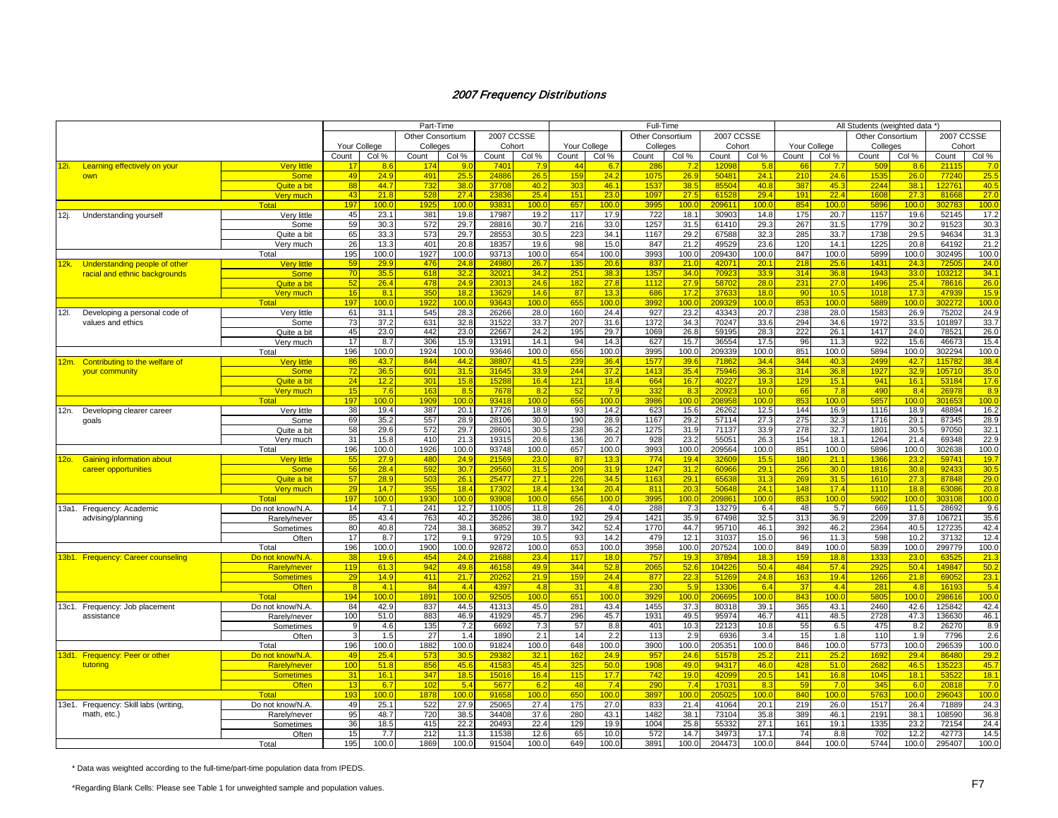|               |                                      |                     |                 |                  | Part-Time               |                |            |       |              |       | Full-Time        |                  |            |       |       |              | All Students (weighted data * |                  |            |       |
|---------------|--------------------------------------|---------------------|-----------------|------------------|-------------------------|----------------|------------|-------|--------------|-------|------------------|------------------|------------|-------|-------|--------------|-------------------------------|------------------|------------|-------|
|               |                                      |                     |                 |                  | <b>Other Consortium</b> |                | 2007 CCSSE |       |              |       | Other Consortium |                  | 2007 CCSSE |       |       |              | <b>Other Consortium</b>       |                  | 2007 CCSSE |       |
|               |                                      |                     | Your College    |                  | Colleges                |                | Cohort     |       | Your College |       | Colleges         |                  | Cohort     |       |       | Your College | Colleges                      |                  | Cohort     |       |
|               |                                      |                     | Count           | Col %            | Count                   | Col %          | Count      | Col % | Count        | Col % | Count            | Col %            | Count      | Col % | Count | Col %        | Count                         | Col %            | Count      | Col % |
| <u> 12i. </u> | Learning effectively on your         | <b>Very little</b>  | 17              | 86               | 17                      | 9 <sub>1</sub> | 740        | 79    | 44           | 6.7   | 28               | 7.2              | 120        | 5.8   |       | 77           | 50                            | 86               | 211'       | 7.0   |
|               | own                                  | <b>Some</b>         | 49              | 24.9             | 49 <sup>°</sup>         | 25.5           | 2488       | 26.5  | 159          | 24.2  | 1075             | 26.9             | 5048       | 24.1  | 210   | 24.6         | 1535                          | 26.0             | 77240      | 25.5  |
|               |                                      | Quite a bit         | 88              | 44.7             | 73 <sub>1</sub>         | 38.0           | 3770       | 40.2  | 303          | 46.1  | 153              | 38.5             | 8550       | 40.8  | 387   | 45.3         | 2244                          | 38.1             | 122761     | 40.5  |
|               |                                      | <u>Verv much</u>    | 43              | 21.8             | 528                     | 27.4           | 2383       | 25.4  | 151          | 23.0  | 1097             | 27.5             | 61528      | 29.4  | 191   | 22.4         | 1608                          | 27.3             | 81668      | 27.0  |
|               |                                      | Total               | 197             | 100.0            | 192                     | 100.           | 9383       | 100.0 | 657          | 100.0 | 3995             | 100.0            | 209611     | 100.0 | 854   | 100.0        | 5896                          | 100.0            | 30278      | 100.0 |
| 12j.          | Understanding yourself               | Very little         | 45              | 23.1             | 381                     | 19.8           | 17987      | 19.2  | 117          | 17.9  | 722              | 18.1             | 30903      | 14.8  | 175   | 20.7         | 1157                          | 19.6             | 52145      | 17.2  |
|               |                                      | Some                | 59              | 30.3             | 572                     | 29.7           | 28816      | 30.7  | 216          | 33.0  | 1257             | 31.5             | 61410      | 29.3  | 267   | 31.5         | 1779                          | 30.2             | 91523      | 30.3  |
|               |                                      | Quite a bit         | 65              | 33.3             | 573                     | 29.7           | 2855       | 30.5  | 223          | 34.1  | 1167             | 29.2             | 67588      | 32.3  | 285   | 33.7         | 1738                          | 29.5             | 94634      | 31.3  |
|               |                                      | Very much           | 26              | 13.3             | 401                     | 20.8           | 18357      | 19.6  | 98           | 15.0  | 847              | 21.2             | 49529      | 23.6  | 120   | 14.1         | 1225                          | 20.8             | 64192      | 21.2  |
|               |                                      | Total               | 195             | 100.0            | 1927                    | 100.0          | 93713      | 100.0 | 654          | 100.0 | 3993             | 100.0            | 209430     | 100.0 | 847   | 100.0        | 5899                          | 100.0            | 302495     | 100.0 |
| 12k.          | Understanding people of other        | <b>Very little</b>  | 59              | 29.9             | 476                     | 24.8           | 2498       | 26.7  | 135          | 20.6  | 837              | 21.0             | 42071      | 20.1  | 218   | 25.6         | 1431                          | 24.3             | 7250       | 24.0  |
|               | racial and ethnic backgrounds        | <b>Some</b>         | 70              | 35.5             | 618                     | 32.2           | 3202       | 34.2  | 251          | 38.3  | 1357             | 34.0             | 7092       | 33.9  | 314   | 36.8         | 1943                          | 33.0             | 103212     | 34.1  |
|               |                                      | Quite a bit         | 52              | 26.4             | 478                     | 24.9           | 2301       | 24.6  | 182          | 27.8  | 1112             | 27.9             | 5870       | 28.0  | 231   | 27.0         | 1496                          | 25.4             | 7861       | 26.0  |
|               |                                      | <b>Very much</b>    | 16              | 8.1              | 35(                     | 18.2           | 1362       | 14.6  | 87           | 13.3  | 686              | 17.2             | 3763       | 18.0  | 90    | 10.5         | 1018                          | 17.3             | 47939      | 15.9  |
|               |                                      | Total               | 197             | 100 <sub>c</sub> | 192                     | 100.0          | 9364       | 100.0 | 655          | 100.0 | 3992             | 100.0            | 20932      | 100.0 | 853   | 100.0        | 5889                          | 100 <sub>1</sub> | 30227      | 100.0 |
| 12I.          | Developing a personal code of        | Very little         | 61              | 31.1             | 545                     | 28.3           | 26266      | 28.0  | 160          | 24.4  | 927              | 23.2             | 43343      | 20.7  | 238   | 28.0         | 1583                          | 26.9             | 75202      | 24.9  |
|               | values and ethics                    | Some                | 73              | 37.2             | 631                     | 32.8           | 31522      | 33.7  | 207          | 31.6  | 1372             | 34.3             | 70247      | 33.6  | 294   | 34.6         | 1972                          | 33.5             | 101897     | 33.7  |
|               |                                      | Quite a bit         | 45              | 23.0             | 442                     | 23.0           | 22667      | 24.2  | 195          | 29.7  | 1069             | 26.8             | 59195      | 28.3  | 222   | 26.1         | 1417                          | 24.0             | 78521      | 26.0  |
|               |                                      | Very much           | 17              | 8.7              | 306                     | 15.9           | 13191      | 14.1  | 94           | 14.3  | 627              | 15.7             | 36554      | 17.5  | 96    | 11.3         | 922                           | 15.6             | 46673      | 15.4  |
|               |                                      | Total               | 196             | 100.0            | 1924                    | 100.0          | 93646      | 100.0 | 656          | 100.0 | 3995             | 100.0            | 209339     | 100.0 | 851   | 100.0        | 5894                          | 100.0            | 302294     | 100.0 |
|               | 12m. Contributing to the welfare of  | <b>Very little</b>  | 86              | 43.7             | 844                     | 44.2           | 3880       | 41.5  | 239          | 36.4  | 1577             | 39.6             | 7186       | 34.4  | 344   | 40.3         | 2499                          | 42.7             | 115782     | 38.4  |
|               | your community                       | <b>Some</b>         | 72              | 36.5             | 601                     | 31.5           | 3164       | 33.9  | 244          | 37.2  | 1413             | 35.4             | 75946      | 36.3  | 314   | 36.8         | 1927                          | 32.9             | 105710     | 35.0  |
|               |                                      | Quite a bit         | 24              | 12.2             | 30 <sup>1</sup>         | 15.8           | 1528       | 16.4  | 121          | 18.4  | 664              | 16.7             | 4022       | 19.3  | 129   | 15.1         | 941                           | 16.1             | 53184      | 17.6  |
|               |                                      | <b>Very much</b>    | 15              | 7.6              | 16 <sub>3</sub>         | 8.5            | 767        | 8.2   | 52           | 7.9   | 332              | 8.3              | 2092       | 10.0  | 66    | 7.8          | 490                           | 8.4              | 26978      | 8.9   |
|               |                                      | <b>Total</b>        | 197             | 100.0            | 190                     | 100.0          | 9341       | 100.0 | 656          | 100.0 | 3986             | 100.0            | 20895      | 100.0 | 853   | 100.0        | 5857                          | 100.0            | 30165      | 100.0 |
| 12n.          | Developing clearer career            | Very little         | 38              | 19.4             | 387                     | 20.1           | 17726      | 18.9  | 93           | 14.2  | 623              | 15.6             | 26262      | 12.5  | 144   | 16.9         | 1116                          | 18.9             | 48894      | 16.2  |
|               | goals                                | Some                | 69              | 35.2             | 557                     | 28.9           | 28106      | 30.0  | 190          | 28.9  | 1167             | 29.2             | 57114      | 27.3  | 275   | 32.3         | 1716                          | 29.1             | 87345      | 28.9  |
|               |                                      | Quite a bit         | 58              | 29.6             | 572                     | 29.7           | 28601      | 30.5  | 238          | 36.2  | 1275             | 31.9             | 71137      | 33.9  | 278   | 32.7         | 1801                          | 30.5             | 97050      | 32.1  |
|               |                                      | Very much           | 31              | 15.8             | 410                     | 21.3           | 19315      | 20.6  | 136          | 20.7  | 928              | 23.2             | 5505       | 26.3  | 154   | 18.1         | 1264                          | 21.4             | 69348      | 22.9  |
|               |                                      | Total               | 196             | 100.0            | 1926                    | 100.0          | 93748      | 100.0 | 657          | 100.0 | 3993             | 100.0            | 209564     | 100.0 | 851   | 100.0        | 5896                          | 100.0            | 302638     | 100.0 |
| <u> 120. </u> | <b>Gaining information about</b>     | <b>Very little</b>  | 55              | 27.9             | 480                     | 24.9           | 2156       | 23.0  | 87           | 13.3  | 774              | 19.4             | 3260       | 15.5  | 180   | 21.1         | 1366                          | 23.2             | 59741      | 19.7  |
|               | career opportunities                 | <b>Some</b>         | 56              | 28.4             | 592                     | 30.7           | 2956       | 31.5  | 209          | 31.9  | 1247             | 31.2             | 60966      | 29.1  | 256   | 30.0         | 1816                          | 30.8             | 92433      | 30.5  |
|               |                                      | Quite a bit         | 57              | 28.9             | 50                      | 26.7           | 2547       | 27.1  | 226          | 34.5  | 1163             | 29.1             | 6563       | 31.3  | 269   | 31.5         | 1610                          | 27.3             | 87848      | 29.0  |
|               |                                      | Very much           | 29              | 14.7             | 355                     | 18.4           | 17302      | 18.4  | 134          | 20.4  | 811              | 20.3             | 50648      | 24.1  | 148   | 17.4         | 1110                          | 18.8             | 63086      | 20.8  |
|               |                                      | Total               | 197             | 100.0            | 193                     | 100.0          | 9390       | 100.0 | 656          | 100.0 | 3995             | 100.0            | 20986      | 100.0 | 853   | 100.0        | 5902                          | 100.0            | 303108     | 100.0 |
|               | 13a1. Frequency: Academic            | Do not know/N.A.    | 14              | 7.1              | 241                     | 12.7           | 11005      | 11.8  | 26           | 4.0   | 288              | 7.3              | 13279      | 6.4   | 48    | 5.7          | 669                           | 11.5             | 28692      | 9.6   |
|               | advising/planning                    | Rarely/never        | 85              | 43.4             | 763                     | 40.2           | 35286      | 38.0  | 192          | 29.4  | 1421             | 35.9             | 67498      | 32.5  | 313   | 36.9         | 2209                          | 37.8             | 106721     | 35.6  |
|               |                                      | Sometimes           | 80              | 40.8             | 724                     | 38.1           | 36852      | 39.7  | 342          | 52.4  | 1770             | 44.7             | 95710      | 46.1  | 392   | 46.2         | 2364                          | 40.5             | 127235     | 42.4  |
|               |                                      | Often               | 17              | 8.7              | 172                     | 9.1            | 9729       | 10.5  | 93           | 14.2  | 479              | 12.1             | 31037      | 15.0  | 96    | 11.3         | 598                           | 10.2             | 37132      | 12.4  |
|               |                                      | Total               | 196             | 100.0            | 1900                    | 100.0          | 92872      | 100.0 | 653          | 100.0 | 3958             | 100.0            | 207524     | 100.0 | 849   | 100.0        | 5839                          | 100.0            | 299779     | 100.0 |
|               | 13b1. Frequency: Career counseling   | Do not know/N.A     | 38              | 19.6             | 45 <sub>1</sub>         | 24.0           | 2168       | 23.4  | 117          | 18.0  | 757              | 19.3             | 37894      | 18.3  | 159   | 18.8         | 133 <sup>2</sup>              | 23.0             | 6352       | 21.3  |
|               |                                      | <b>Rarely/never</b> | 119             | 61.3             | 942                     | 49.8           | 4615       | 49.9  | 344          | 52.8  | 2065             | 52.6             | 104226     | 50.4  | 484   | 57.4         | 2925                          | 50.4             | 149847     | 50.2  |
|               |                                      | <b>Sometimes</b>    | 29              | 14.9             | 411                     | 21.7           | 2026       | 21.9  | 159          | 24.4  | 877              | 22.3             | 51269      | 24.8  | 163   | 19.4         | 1266                          | 21.8             | 6905       | 23.1  |
|               |                                      | Often               | $\overline{R}$  | 4.1              | -84                     | 4.4            | 4397       | 4.8   | 31           | 4.8   | 230              | 5.9              | 13306      | 6.4   | 37    | 4.4          | 281                           | 4.8              | 16193      | 5.4   |
|               |                                      | <b>Total</b>        | 194             | 100 <sub>c</sub> | 189                     | 100.0          | 9250       | 100.0 | 651          | 100.0 | 392              | 100 <sub>c</sub> | 20669      | 100.0 | 843   | 100.0        | 5805                          | 100.0            | 29861      | 100.0 |
|               | 13c1. Frequency: Job placement       | Do not know/N.A.    | 84              | 42.9             | 837                     | 44.5           | 41313      | 45.0  | 281          | 43.4  | 1455             | 37.3             | 80318      | 39.1  | 365   | 43.1         | 2460                          | 42.6             | 125842     | 42.4  |
|               | assistance                           | Rarely/never        | 100             | 51.0             | 883                     | 46.9           | 41929      | 45.7  | 296          | 45.7  | 1931             | 49.5             | 95974      | 46.7  | 411   | 48.5         | 2728                          | 47.3             | 136630     | 46.1  |
|               |                                      | Sometimes           |                 | 4.6              | 135                     | 7.2            | 6692       | 7.3   | 57           | 8.8   | 401              | 10.3             | 22123      | 10.8  | 55    | 6.5          | 475                           | 8.2              | 26270      | 8.9   |
|               |                                      | Often               |                 | 1.5              | 27                      | 1.4            | 1890       | 2.1   | 14           | 2.2   | 113              | 2.9              | 6936       | 3.4   | 15    | 1.8          | 110                           | 1.9              | 7796       | 2.6   |
|               |                                      | Total               | 196             | 100.0            | 1882                    | 100.0          | 91824      | 100.0 | 648          | 100.0 | 3900             | 100.0            | 205351     | 100.0 | 846   | 100.0        | 5773                          | 100.0            | 296539     | 100.0 |
|               | 13d1. Frequency: Peer or other       | Do not know/N.A.    | 49              | 25.4             | 573                     | 30.5           | 2938       | 32.1  | 162          | 24.9  | 957              | 24.6             | 51578      | 25.2  | 211   | 25.2         | 1692                          | 29.4             | 86480      | 29.2  |
|               | tutoring                             | <b>Rarely/never</b> | 10 <sub>C</sub> | 51.8             | 85                      | 45.6           | 4158       | 45.4  | 325          | 50.0  | 190 <sub>5</sub> | 49.0             | 94317      | 46.0  | 428   | 51.0         | 268                           | 46.5             | 13522      | 45.7  |
|               |                                      | <b>Sometimes</b>    | 31              | 16.1             | 347                     | 18.5           | 1501       | 16.4  | 115          | 17.7  | 742              | 19.0             | 4209       | 20.5  | 141   | 16.8         | 1045                          | 18.1             | 5352       | 18.1  |
|               |                                      | <b>Often</b>        | 13              | 6.7              | 10 <sub>i</sub>         | 5.4            | 567        | 6.2   | 48           | 7.4   | 290              | 7.4              | 1703       | 8.3   | 59    | 7.0          | 345                           | 6.0              | 20818      | 7.0   |
|               |                                      | <b>Total</b>        | 193             | 100.0            | 187                     | 100.0          | 9165       | 100.0 | 650          | 100.0 | 389.             | 100.0            | 20502      | 100.0 | 840   | 100.0        | 5763                          | 100.0            | 29604:     | 100.0 |
|               | 13e1. Frequency: Skill labs (writing | Do not know/N.A.    | 49              | 25.1             | 522                     | 27.9           | 25065      | 27.4  | 175          | 27.0  | 833              | 21.4             | 41064      | 20.1  | 219   | 26.0         | 1517                          | 26.4             | 71889      | 24.3  |
|               | math, etc.)                          | Rarely/never        | 95              | 48.7             | <b>720</b>              | 38.            | 34408      | 37.6  | 280          | 43.1  | 1482             | 38.1             | 73104      | 35.8  | 389   | 46.1         | 2191                          | 38.1             | 108590     | 36.8  |
|               |                                      | Sometimes           | 36              | 18.5             | 415                     | 22.2           | 2049       | 22.4  | 129          | 19.9  | 1004             | 25.8             | 55332      | 27.1  | 161   | 19.1         | 1335                          | 23.2             | 72154      | 24.4  |
|               |                                      | Often               | 15              | 7.7              | 212                     | 11.3           | 11538      | 12.6  | 65           | 10.0  | 572              | 14.7             | 34973      | 17.1  | 74    | 8.8          | 702                           | 12.2             | 42773      | 14.5  |
|               |                                      | Total               | 195             | 100.0            | 1869                    | 100.0          | 91504      | 100.0 | 649          | 100.0 | 3891             | 100.0            | 204473     | 100.0 | 844   | 100.0        | 5744                          | 100.0            | 295407     | 100.0 |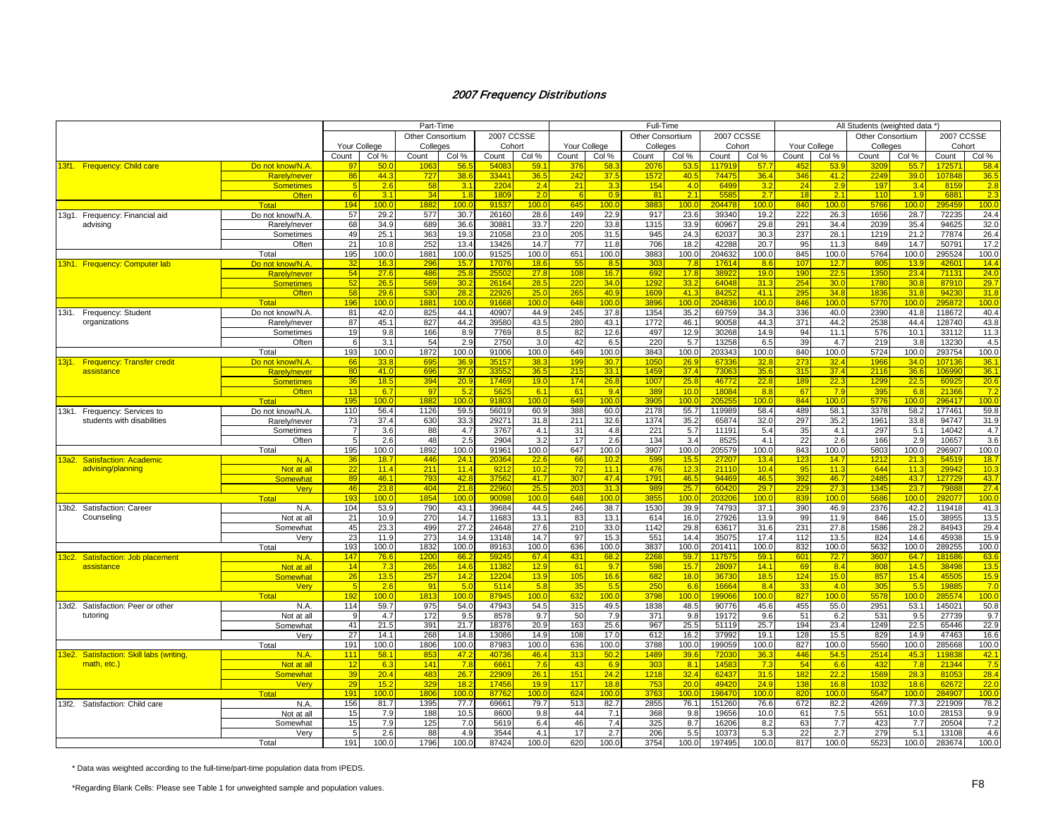|                                          |                     |                 |                  | Part-Time        |       |                   |                  |              |       | Full-Time        |                  |                   |                  |              |                  | All Students (weighted data *) |              |            |       |
|------------------------------------------|---------------------|-----------------|------------------|------------------|-------|-------------------|------------------|--------------|-------|------------------|------------------|-------------------|------------------|--------------|------------------|--------------------------------|--------------|------------|-------|
|                                          |                     |                 |                  | Other Consortium |       | 2007 CCSSE        |                  |              |       | Other Consortium |                  | <b>2007 CCSSE</b> |                  |              |                  | <b>Other Consortium</b>        |              | 2007 CCSSE |       |
|                                          |                     | Your College    |                  | Colleges         |       | Cohort            |                  | Your College |       | Colleges         |                  | Cohort            |                  | Your College |                  | Colleges                       |              | Cohort     |       |
|                                          |                     | Count           | Col %            | Count            | Col % | Count             | Col %            | Count        | Col % | Count            | Col %            | Count             | Col %            | Count        | Col %            | Count                          | Col %        | Count      | Col % |
| 13f1. Frequency: Child care              | Do not know/N.A     | 97              | 50.              | 106              | 56.   | 540               | 59.1             | 376          | 58.   | 207              | 53.              | 11791             | 57.7             | 45           | 53               | 320                            | 55           | 17257      | 58.   |
|                                          | Rarely/never        | 86              | 44.3             | 727              | 38.6  | 33441             | 36.5             | 242          | 37.5  | 1572             | 40.5             | 74475             | 36.4             | 346          | 41.2             | 2249                           | 39.0         | 107848     | 36.5  |
|                                          | <b>Sometimes</b>    |                 | 2.6              | 58               | 3.1   | 220               | 2.4              | 21           | 3.3   | 154              | 4.0              | 6499              | 3.2              | 24           | 2.9              | 197                            | 3.4          | 8159       | 2.8   |
|                                          | <b>Often</b>        | 6               | 3.1              | 34               | 1.8   | 1809              | 2.0              | -6           | 0.9   | 81               | 2.1              | 5585              | 2.7              | 18           | 2.1              | 110                            | 1.9          | 6881       | 2.3   |
|                                          | <b>Total</b>        | 194             | 100.0            | 188              | 100.0 | 9153              | 100.0            | 645          | 100.0 | 3883             | 100.0            | 204478            | 100 <sub>c</sub> | 840          | 100 <sub>c</sub> | 5766                           | 100.0        | 295459     | 100.0 |
| 13g1. Frequency: Financial aid           | Do not know/N.A.    | 57              | 29.2             | 577              | 30.7  | 26160             | 28.6             | 149          | 22.9  | 917              | 23.6             | 39340             | 19.2             | 222          | 26.3             | 1656                           | 28.7         | 72235      | 24.4  |
| advising                                 | Rarelv/never        | 68              | 34.9             | 689              | 36.6  | 3088              | 33.7             | 220          | 33.8  | 1315             | 33.9             | 60967             | 29.8             | 291          | 34.4             | 2039                           | 35.4         | 94625      | 32.0  |
|                                          | Sometimes           | 49              | 25.1             | 363              | 19.3  | 21058             | 23.0             | 205          | 31.5  | 945              | 24.3             | 62037             | 30.3             | 237          | 28.1             | 1219                           | 21.2         | 77874      | 26.4  |
|                                          | Often               | 21              | 10.8             | 252              | 13.4  | 13426             | 14.7             | 77           | 11.8  | 706              | 18.2             | 42288             | 20.7             | 95           | 11.3             | 849                            | 14.7         | 50791      | 17.2  |
|                                          | Total               | 195             | 100.0            | 1881             | 100.0 | 91525             | 100.0            | 651          | 100.0 | 3883             | 100.0            | 204632            | 100.0            | 845          | 100.0            | 5764                           | 100.0        | 295524     | 100.0 |
| 13h1. Frequency: Computer lab            | Do not know/N.A.    | 32              | 16.3             | 296              | 15.7  | 1707              | 18.6             | 55           | 8.5   | 303              | 7.8              | 17614             | 8.6              | 107          | 12.7             | 805                            | 13.9         | 42601      | 14.4  |
|                                          | <b>Rarelv/never</b> | 54              | 27.6             | 486              | 25.8  | 2550              | 27.8             | 108          | 16.7  | 692              | 17.8             | 3892              | 19.0             | 190          | 22.5             | 1350                           | 23.4         | 71131      | 24.0  |
|                                          | <b>Sometimes</b>    | 52              | 26.5             | 569              |       | 2616              | 28.5             | 220          | 34.0  | 1292             | 33.2             | 64048             | 31.3             | 254          | 30.0             | 1780                           | 30.8         | 87910      | 29.7  |
|                                          |                     |                 |                  |                  | 30.2  |                   |                  |              |       |                  |                  |                   |                  |              |                  |                                |              |            |       |
|                                          | <b>Often</b>        | 58              | 29.6             | 530              | 28.2  | 2292              | 25.0             | 265          | 40.9  | 1609             | 41.3             | 84252             | 41.1             | 295          | 34.8             | 1836                           | 31.8         | 94230      | 31.8  |
|                                          | <b>Total</b>        | 196             | 100 <sub>c</sub> | 1881             | 100.0 | 9166              | 100.0            | 648          | 100.0 | 3896             | 100 <sub>c</sub> | 20483             | 100.0            | 846          | 100.0            | 5770                           | 100.0        | 295872     | 100.0 |
| 13i1. Frequency: Student                 | Do not know/N.A     | 81              | 42.0             | 825              | 44.1  | 40907             | 44.9             | 245          | 37.8  | 1354             | 35.2             | 69759             | 34.3             | 336          | 40.0             | 2390                           | 41.8         | 118672     | 40.4  |
| organizations                            | Rarely/never        | 87              | 45.1             | 827              | 44.2  | 39580             | 43.5             | 280          | 43.1  | 1772             | 46.1             | 90058             | 44.3             | 371          | 44.2             | 2538                           | 44.4         | 128740     | 43.8  |
|                                          | Sometimes           | 19              | 9.8              | 166              | 8.9   | 7769              | 8.5              | 82           | 12.6  | 497              | 12.9             | 30268             | 14.9             | 94           | 11.1             | 576                            | 10.1         | 33112      | 11.3  |
|                                          | Often               | 6               | 3.1              | 54               | 2.9   | 2750              | 3.0              | 42           | 6.5   | 220              | 5.7              | 13258             | 6.5              | 39           | 4.7              | 219                            | 3.8          | 13230      | 4.5   |
|                                          | Total               | 193             | 100.0            | 1872             | 100.0 | 91006             | 100.0            | 649          | 100.0 | 3843             | 100.0            | 203343            | 100.0            | 840          | 100.0            | 5724                           | 100.0        | 293754     | 100.0 |
| 13j1. Frequency: Transfer credit         | Do not know/N.A.    | 66              | 33.8             | 69               | 36.9  | 3515              | 38.3             | 199          | 30.7  | 105(             | 26.9             | 6733              | 32.8             | 273          | 32.4             | 1966                           | 34.0         | 107136     | 36.7  |
| assistance                               | Rarelv/never        | 80              | 41.0             | 696              | 37.0  | 3355              | 36.5             | 215          | 33.1  | 1459             | 37.4             | 7306              | 35.6             | 315          | 37.4             | 2116                           | 36.6         | 106990     | 36.7  |
|                                          | <b>Sometimes</b>    | 36              | 18.5             | 394              | 20.9  | 17469             | 19.0             | 174          | 26.8  | 1007             | 25.8             | 46772             | 22.8             | 189          | 22.3             | 1299                           | 22.5         | 60925      | 20.6  |
|                                          | <b>Often</b>        | 13              | 6.7              | 97               | 5.2   | 562               | 6.1              | 61           | 9.4   | 389              | 10.0             | 1808              | 8.8              | 67           | 7.9              | 39 <sub>5</sub>                | 6.8          | 21366      | 7.2   |
|                                          | <b>Total</b>        | 195             | 100 <sub>c</sub> | 1882             | 100.0 | 9180              | 100.0            | 649          | 100.0 | 3905             | 100.0            | 20525             | 100 <sub>c</sub> | 844          | 100.0            | 5776                           | 100.0        | 296417     | 100.0 |
| 13k1. Frequency: Services to             | Do not know/N.A     | 110             | 56.4             | 1126             | 59.5  | 56019             | 60.9             | 388          | 60.0  | 2178             | 55.7             | 119989            | 58.4             | 489          | 58.1             | 3378                           | 58.2         | 177461     | 59.8  |
| students with disabilities               | Rarely/never        | 73              | 37.4             | 630              | 33.3  | 2927              | 31.8             | 211          | 32.6  | 1374             | 35.2             | 65874             | 32.0             | 297          | 35.2             | 1961                           | 33.8         | 94747      | 31.9  |
|                                          | Sometimes           | -7              | 3.6              | 88               | 4.7   | 3767              | 4.1              | 31           | 4.8   | 221              | 5.7              | 11191             | 5.4              | 35           | 4.1              | 297                            | 5.1          | 14042      | 4.7   |
|                                          |                     | -5              |                  | 48               | 2.5   |                   | 3.2              | 17           | 2.6   |                  |                  | 8525              | 4.1              | 22           |                  | 166                            |              | 10657      | 3.6   |
|                                          | Often               |                 | 2.6<br>100.0     |                  |       | 2904<br>91961     | 100.0            | 647          | 100.0 | 134<br>3907      | 3.4              |                   | 100.0            | 843          | 2.6              | 5803                           | 2.9<br>100.0 | 296907     |       |
|                                          | Total               | 195             |                  | 1892             | 100.0 |                   |                  |              |       |                  | 100.0            | 205579            |                  |              | 100.0            |                                |              |            | 100.0 |
| <u> 13a2. Satisfaction: Academic</u>     | N.A.                | 36              | 18.7             | 446              | 24.1  | 2036<br>921       | 22.6             | -66          | 10.2  | 599              | 15.5             | 2720              | 13.4             | 123<br>95    | 14.7             | 1212<br>644                    | 21.          | 54519      | 18.7  |
| advising/planning                        | Not at all          | $\overline{22}$ | 11.4             | 211              | 11.4  |                   | 10.2             | 72           | 11.1  | 476              | 12.3             | 21110             | 10.4             |              | 11.3             |                                | 11.3         | 29942      | 10.3  |
|                                          | Somewhat            | 89              | 46.1             | 793              | 42.8  | 3756              | 41.7             | 307          | 47.4  | 179'             | 46.5             | 94469             | 46.5             | 392          | 46.7             | 2485                           | 43.7         | 127729     | 43.7  |
|                                          | <b>Verv</b>         | 46              | 23.8             | 404              | 21.8  | 2296              | 25.5             | 203          | 31.3  | 989              | 25.7             | 6042              | 29.7             | 229          | 27.3             | 1345                           | 23.7         | 79888      | 27.4  |
|                                          | <b>Total</b>        | 193             | 100.0            | 185              | 100.0 | 90098             | 100.0            | 648          | 100.0 | 385              | 100.0            | 203206            | 100 <sub>c</sub> | 839          | 100.0            | 5686                           | 100.0        | 292077     | 100.0 |
| 13b2. Satisfaction: Career               | N.A.                | 104             | 53.9             | 790              | 43.1  | 39684             | 44.5             | 246          | 38.7  | 1530             | 39.9             | 74793             | 37.1             | 390          | 46.9             | 2376                           | 42.2         | 119418     | 41.3  |
| Counseling                               | Not at all          | 21              | 10.9             | 270              | 14.7  | 11683             | 13.1             | 83           | 13.1  | 614              | 16.0             | 27926             | 13.9             | 99           | 11.9             | 846                            | 15.0         | 38955      | 13.5  |
|                                          | Somewhat            | 45              | 23.3             | 499              | 27.2  | 24648             | 27.6             | 210          | 33.0  | 1142             | 29.8             | 63617             | 31.6             | 231          | 27.8             | 1586                           | 28.2         | 84943      | 29.4  |
|                                          | Verv                | 23              | 11.9             | 273              | 14.9  | 13148             | 14.7             | 97           | 15.3  | 551              | 14.4             | 35075             | 17.4             | 112          | 13.5             | 824                            | 14.6         | 45938      | 15.9  |
|                                          | Total               | 193             | 100.0            | 1832             | 100.0 | 89163             | 100.0            | 636          | 100.0 | 3837             | 100.0            | 201411            | 100.0            | 832          | 100.0            | 5632                           | 100.0        | 289255     | 100.0 |
| 13c2. Satisfaction: Job placement        | N.A.                | 147             | 76.6             | 120              | 66.2  | 5924              | 67.4             | 431          | 68.2  | 2268             | 59.7             | 117575            | 59.1             | 601          | 72.7             | 3607                           | 64.7         | 181686     | 63.6  |
| assistance                               | Not at all          | 14              | 7.3              | 265              | 14.6  | 11382             | 12.9             | 61           | 9.7   | 598              | 15.7             | 2809              | 14.1             | 69           | 8.4              | 808                            | 14.5         | 38498      | 13.5  |
|                                          | Somewhat            | 26              | 13.5             | 257              | 14.2  | 1220              | 13.9             | 105          | 16.6  | 682              | 18.0             | 3673              | 18.5             | 124          | 15.0             | 857                            | 15.4         | 4550       | 15.9  |
|                                          | Verv                | - 5             | 2.6              | 91               | 5.0   | 5114              | 5.8              | 35           | 5.5   | 250              | 6.6              | 16664             | 8.4              | 33           | 4.0              | 305                            | 5.5          | 19885      | 7.0   |
|                                          | Total               | 192             | 100.0            | 1813             | 100.0 | 8794              | 100 <sub>c</sub> | 632          | 100.0 | 3798             | 100.0            | 19906             | 100.0            | 827          | 100.             | 5578                           | 100.         | 285574     | 100.0 |
| 13d2. Satisfaction: Peer or other        | N.A.                | 114             | 59.7             | 975              | 54.0  | 47943             | 54.5             | 315          | 49.5  | 1838             | 48.5             | 90776             | 45.6             | 455          | 55.0             | 2951                           | 53.1         | 145021     | 50.8  |
| tutoring                                 | Not at all          | <b>q</b>        | 4.7              | 172              | 9.5   | 8578              | 9.7              | 50           | 7.9   | 371              | 9.8              | 19172             | 9.6              | 51           | 6.2              | 531                            | 9.5          | 27739      | 9.7   |
|                                          | Somewhat            | 41              | 21.5             | 391              | 21.7  | 18376             | 20.9             | 163          | 25.6  | 967              | 25.5             | 51119             | 25.7             | 194          | 23.4             | 1249                           | 22.5         | 65446      | 22.9  |
|                                          |                     | 27              | 14.1             | 268              | 14.8  | 13086             | 14.9             | 108          | 17.0  | 612              | 16.2             | 37992             | 19.1             | 128          | 15.5             | 829                            | 14.9         | 47463      | 16.6  |
|                                          | Verv                | 191             | 100.0            | 1806             | 100.0 | 87983             | 100.0            | 636          | 100.0 | 3788             | 100.0            | 199059            | 100.0            | 827          | 100.0            | 5560                           | 100.0        |            | 100.0 |
|                                          | Total               |                 | 58.1             |                  |       |                   |                  |              | 50.2  |                  |                  |                   |                  |              |                  |                                |              | 285668     |       |
| 13e2. Satisfaction: Skill labs (writing, | N.A.                | 111             |                  | 85 <sup>′</sup>  | 47.2  | 4073              | 46.4             | 313<br>43    |       | 1489             | 39.6             | 7203              | 36.3             | 446          | 54.5             | 2514                           | 45.3         | 11983      | 42.1  |
| math, etc.)                              | Not at all          | 12              | 6.3              | 141              | 7.8   | 666 <sup>-</sup>  | 7.6              |              | 6.9   | 303              | 8.1              | 1458              | 7.3              | 54           | 6.6              | 432                            | 7.8          | 21344      | 7.5   |
|                                          | Somewhat            | 39              | 20.4             | 483              | 26.7  | 2290              | 26.1             | 151          | 24.2  | 1218             | 32.4             | 6243              | 31.5             | 182          | 22.2             | <b>1569</b>                    | 28.3         | 81053      | 28.4  |
|                                          | Very                | 29              | 15.2             | 329              | 18.2  | 17456             | 19.9             | 117          | 18.8  | 753              | 20.0             | 49420             | 24.9             | 138          | 16.8             | 1032                           | 18.6         | 62672      | 22.0  |
|                                          | <b>Total</b>        | 191             | 100.0            | 180              | 100.0 | 8776              | 100.0            | 624          | 100.0 | 376              | 100 <sub>c</sub> | 19847             | 100.0            | 820          | 100.0            | 5547                           | 100.0        | 284907     | 100.0 |
| 13f2. Satisfaction: Child care           | N.A.                | 156             | 81.7             | 1395             | 77.7  | 6966 <sup>-</sup> | 79.7             | 513          | 82.7  | 2855             | 76.1             | 151260            | 76.6             | 672          | 82.2             | 4269                           | 77.3         | 221909     | 78.2  |
|                                          | Not at all          | 15              | 7.9              | 188              | 10.5  | 8600              | 9.8              | 44           | 7.1   | 368              | 9.8              | 19656             | 10.0             | 61           | 7.5              | 551                            | 10.0         | 28153      | 9.9   |
|                                          | Somewhat            | 15              | 7.9              | 125              | 7.0   | 5619              | 6.4              | 46           | 7.4   | 325              | 8.7              | 16206             | 8.2              | 63           | 7.7              | 423                            | 7.7          | 20504      | 7.2   |
|                                          | Verv                | -5              | 2.6              | 88               | 4.9   | 3544              | 4.1              | 17           | 2.7   | 206              | 5.5              | 10373             | 5.3              | 22           | 2.7              | 279                            | 5.1          | 13108      | 4.6   |
|                                          | Total               | 191             | 100.0            | 1796             | 100.0 | 87424             | 100.0            | 620          | 100.0 | 3754             | 100.0            | 197495            | 100.0            | 817          | 100.0            | 5523                           | 100.0        | 283674     | 100.0 |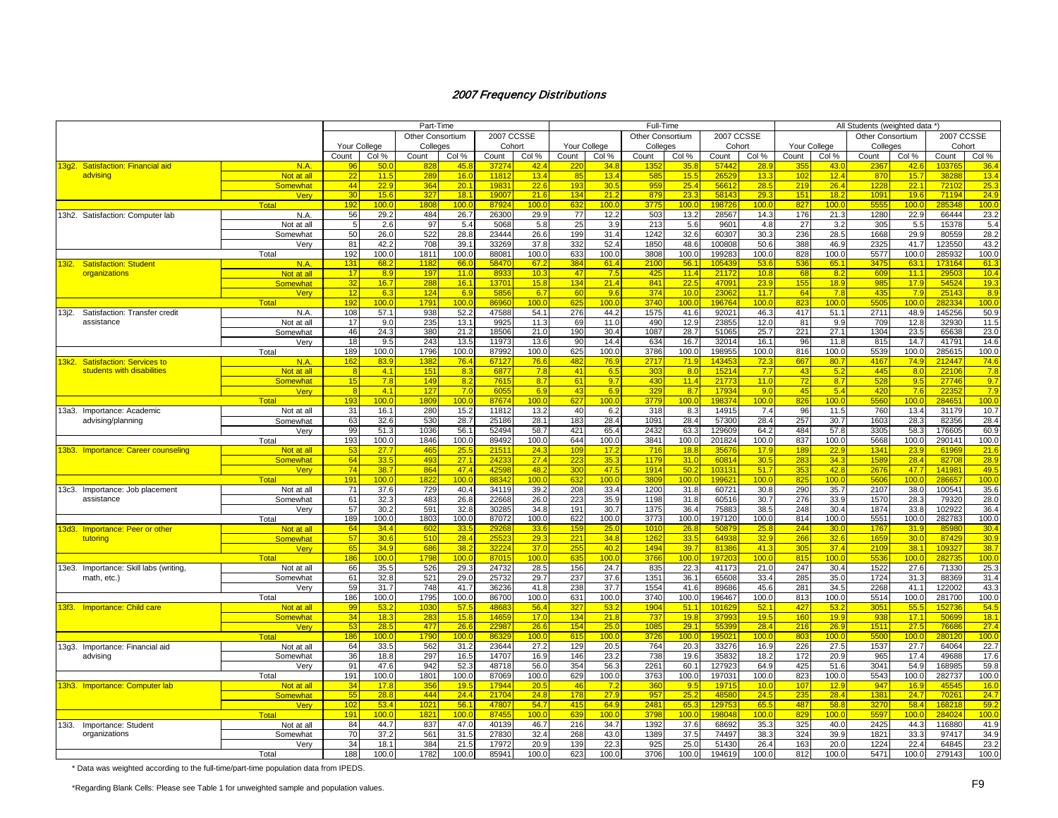|                                           |                      |              |              | Part-Time        |                  |                   |               |                 |               | Full-Time        |                 |                |               |                 |               | All Students (weighted data *) |               |                 |                  |
|-------------------------------------------|----------------------|--------------|--------------|------------------|------------------|-------------------|---------------|-----------------|---------------|------------------|-----------------|----------------|---------------|-----------------|---------------|--------------------------------|---------------|-----------------|------------------|
|                                           |                      |              |              | Other Consortium |                  | 2007 CCSSE        |               |                 |               | Other Consortium |                 | 2007 CCSSE     |               |                 |               | <b>Other Consortium</b>        |               | 2007 CCSSE      |                  |
|                                           |                      | Your College |              | Colleges         |                  | Cohort            |               | Your College    |               | Colleges         |                 | Cohort         |               | Your College    |               | Colleges                       |               | Cohort          |                  |
|                                           |                      | Count        | Col %        | Count            | Col %            | Count             | Col %         | Count           | Col %         | Count            | Col %           | Count          | Col %         | Count           | Col %         | Count                          | Col %         | Count           | Col %            |
| 13q2. Satisfaction: Financial aid         | N.A.                 | 96           | 50.0         | 82               | 45.8             | 3727              | 42.4          | 22              | 34.8          | 135              | 35.8            | 5744           | 28.9          | 35              | 43.1          | 236                            | 42.6          | 10376           | 36.4             |
| advising                                  | Not at all           | 22           | 11.5         | 289              | 16.0             | 1181              | 13.4          | 85              | 13.4          | 585              | 15.5            | 2652           | 13.3          | 10              | 12.4          | 870                            | 15.7          | 3828            | 13.4             |
|                                           | Somewhat             | 44           | 22.9         | 364              | 20.1             | 1983              | 22.6          | 19 <sup>°</sup> | 30.5          | 959              | 25.4            | 5661           | 28.5          | 219             | 26.4          | 1228                           | 22.           | 7210            | 25.3             |
|                                           | Very                 | 30           | 15.6         | 327              | 18.1             | 19007             | 21.6          | 134             | 21.2          | 879              | 23.3            | 58143          | 29.3          | 15 <sup>′</sup> | 18.2          | 109 <sup>°</sup>               | 19.1          | 71194           | 24.9             |
|                                           | Total                | 192          | 100.0        | 1808             | 100.0            | 8792              | 100.0         | 632             | 100.0         | 3775             | 100.0           | 19872          | 100.0         | 827             | 100.0         | 5555                           | 100.0         | 285348          | 100.0            |
| 13h2. Satisfaction: Computer lab          | N.A.                 | 56           | 29.2         | 484              | 26.7             | 26300             | 29.9          | 77              | 12.2          | 503              | 13.2            | 28567          | 14.3          | 176             | 21.3          | 1280                           | 22.9          | 66444           | 23.2             |
|                                           | Not at all           |              | 2.6          | 97               | 5.4              | 5068              | 5.8           | 25              | 3.9           | 213              | 5.6             | 9601           | 4.8           | 27              | 3.2           | 305                            | 5.5           | 15378           | 5.4              |
|                                           | Somewhat             | 50           | 26.0         | 522              | 28.8             | 23444             | 26.6          | 199             | 31.4          | 1242             | 32.6            | 60307          | 30.3          | 236             | 28.5          | 1668                           | 29.9          | 80559           | 28.2             |
|                                           | Very                 | 81           | 42.2         | 708              | 39.1             | 33269             | 37.8          | 332             | 52.4          | 1850             | 48.6            | 100808         | 50.6          | 388             | 46.9          | 2325                           | 41.7          | 123550          | 43.2             |
|                                           | Total                | 192          | 100.0        | 1811             | 100.0            | 88081             | 100.0         | 633             | 100.0         | 3808             | 100.0           | 199283         | 100.0         | 828             | 100.0         | 5577                           | 100.0         | 285932          | 100.0            |
| 13i2.<br><b>Satisfaction: Student</b>     | N.A.                 | 131          | 68.2         | 118              | 66.0             | 5847              | 67.2          | 384             | 61.4          | 2100             | 56.1            | 10543          | 53.6          | 536             | 65.1          | 347                            | 63.           | 173164          | 61.3             |
| organizations                             | Not at all           | 17           | 8.9          | 197              | 11.0             | 893               | 10.3          | 47              | 7.5           | 425              | 11.4            | 2117           | 10.8          | 68              | 8.2           | 609                            | 11.1          | 2950            | 10.4             |
|                                           | <b>Somewhat</b>      | 32           | 16.7         | 288              | 16.1             | 1370 <sup>4</sup> | 15.8          | 134             | 21.4          | 841              | 22.5            | 4709           | 23.9          | 155             | 18.9          | 985                            | 17.9          | 54524           | 19.3             |
|                                           | Very                 | 12           | 6.3          | 124              | 6.9              | 585               | 6.7           | 60              | 9.6           | 374              | 10 <sub>0</sub> | 2306           | 11.7          | 64              | 7.8           | 435                            | 7.9           | 25143           | 8.9              |
|                                           | <b>Total</b>         | 192          | 100.0        | 1791             | 100 <sub>0</sub> | 8696              | 100.0         | 625             | 100.0         | 3740             | 100.0           | 19676          | 100.0         | 823             | 100.0         | <b>5505</b>                    | 100.0         | 28233           | 100.0            |
| 13j2.<br>Satisfaction: Transfer credit    | N.A.                 | 108          | 57.1         | 938              | 52.2             | 47588             | 54.1          | 276             | 44.2          | 1575             | 41.6            | 92021          | 46.3          | 417             | 51.1          | 2711                           | 48.9          | 145256          | 50.9             |
| assistance                                | Not at all           | 17           | 9.0          | 235              | 13.1             | 9925              | 11.3          | 69              | 11.0          | 49 <sub>C</sub>  | 12.9            | 23855          | 12.0          | 81              | 9.9           | 709                            | 12.8          | 32930           | 11.5             |
|                                           | Somewhat             | 46           | 24.3         | 380              | 21.2             | 18506             | 21.0          | 190             | 30.4          | 1087             | 28.7            | 51065          | 25.7          | 221             | 27.1          | 1304                           | 23.5          | 65638           | 23.0             |
|                                           | Verv                 | 18           | 9.5          | 243              | 13.5             | 11973             | 13.6          | 90              | 14.4          | 634              | 16.7            | 32014          | 16.1          | 96              | 11.8          | 815                            | 14.7          | 41791           | 14.6             |
|                                           | Total                | 189          | 100.0        | 1796             | 100.0            | 87992             | 100.0         | 625             | 100.0         | 3786             | 100.0           | 198955         | 100.0         | 816             | 100.0         | 5539                           | 100.0         | 285615          | 100.0            |
| 13k2.<br><b>Satisfaction: Services to</b> | N.A.                 | 162          | 83.9         | 138              | 76.4             | 6712              | 76.6          | 482             | 76.9          | 2717             | 71.9            | 14345          | 72.3          | 667             | 80.7          | 4167                           | 74.9          | 21244           | 74.6             |
| students with disabilities                | Not at all           | -8           | 4.1          | 151              | 8.3              | 687               | 7.8           | 41              | 6.5           | 303              | 8.0             | 1521           | 7.7           | 43              | 5.2           | 445                            | 8.0           | 2210            | 7.8              |
|                                           | Somewhat             | 15           | 7.8          | 149              | 8.2              | 761               | 8.7           | 61              | 9.7           | 43 <sub>C</sub>  | 11.4            | 2177           | 11.0          | 72              | 8.7           | 528                            | 9.5           | 27746           | 9.7              |
|                                           | Verv                 |              | 4.1          | 127              | 7.0              | 605               | 6.9           | 43              | 6.9           | 329              | 8.7             | 1793           | 9.0           | 45              | 5.4           | 420                            | 7.6           | 2235            | 7.9              |
|                                           | <b>Total</b>         | 193          | 100.0        | 180 <sub>2</sub> | 100.C            | 8767              | 100.0         | 627             | 100.0         | 3779             | 100.C           | 19837          | 100.0         | 826             | 100.0         | 5560                           | 100.0         | 28465           | 100.0            |
| 13a3. Importance: Academic                | Not at all           | 31           | 16.1         | 280              | 15.2             | 11812             | 13.2          | 40              | 6.2           | 318              | 8.3             | 14915          | 7.4           | 96              | 11.5          | 760                            | 13.4          | 31179           | 10.7             |
| advising/planning                         | Somewhat             | 63           | 32.6         | 530              | 28.7             | 25186             | 28.1          | 183             | 28.4          | 1091             | 28.4            | 57300          | 28.4          | 257             | 30.7          | 1603                           | 28.3          | 82356           | 28.4             |
|                                           | Very                 | 99           | 51.3         | 1036             | 56.1             | 52494             | 58.7          | 421             | 65.4          | 2432             | 63.3            | 129609         | 64.2          | 484             | 57.8          | 3305                           | 58.3          | 176605          | 60.9             |
|                                           | Total                | 193          | 100.0        | 1846             | 100.0            | 89492             | 100.0         | 644             | 100.0         | 3841             | 100.0           | 201824         | 100.0         | 837             | 100.0         | 5668                           | 100.0         | 290141          | 100.0            |
| 13b3. Importance: Career counseling       | Not at all           | 53           | 27.7         | 465              | 25.5             | 2151              | 24.3          | 10 <sub>9</sub> | 17.2          | 716              | 18.8            | 3567           | 17.9          | 189             | 22.9          | 134 <sup>′</sup>               | 23.9          | 6196            | 21.6             |
|                                           | <b>Somewhat</b>      | 64           | 33.5         | 493              | 27.1             | 2423              | 27.4          | 223             | 35.3          | 1179             | 31.0            | 6081           | 30.5          | 283             | 34.3          | 1589                           | 28.           | 8270            | 28.9             |
|                                           | <b>Verv</b>          | 74           | 38.7         | 864              | 47.4             | 4259              | 48.2          | 300             | 47.5          | 1914             | 50.2            | 10313          | 51.7          | 353             | 42.8          | 2676                           | 47.7          | 14198           | 49.5             |
|                                           | <b>Total</b>         | 191          | 100.0        | 182              | 100 <sub>0</sub> | 8834              | 100.0         | 632             | 100.0         | 3809             | 100.0           | 19962          | 100.0         | 825             | 100.0         | 5606                           | 100.0         | 28665           | 100.0            |
| 13c3. Importance: Job placement           | Not at all           | 71           | 37.6         | 729              | 40.4             | 34119             | 39.2          | 208             | 33.4          | 1200             | 31.8            | 60721          | 30.8          | 290             | 35.7          | 2107                           | 38.0          | 100541          | 35.6             |
| assistance                                | Somewhat             | 61           | 32.3         | 483              | 26.8             | 22668             | 26.0          | 223             | 35.9          | 1198             | 31.8            | 60516          | 30.7          | 276             | 33.9          | 1570                           | 28.3          | 79320           | 28.0             |
|                                           | Verv                 | 57           | 30.2         | 591              | 32.8             | 30285             | 34.8          | 191             | 30.7          | 1375             | 36.4            | 7588           | 38.5          | 248             | 30.4          | 1874                           | 33.8          | 102922          | 36.4             |
|                                           | Total                | 189          | 100.0        | 1803             | 100.0            | 87072             | 100.0         | 622             | 100.0         | 3773             | 100.0           | 197120         | 100.0         | 814             | 100.0         | 5551                           | 100.0         | 282783          | 100.0            |
| 13d3. Importance: Peer or other           | Not at all           | 64           | 34.4         | 60               | 33.5             | 2926              | 33.6          | 159             | 25.0          | 1010             | 26.8            | 5087           | 25.8          | 244             | 30.0          | 1767                           | 31.5          | 8598            | 30.4             |
| tutoring                                  | Somewhat             | 57           | 30.6         | 510              | 28.4             | 2552              | 29.3          | $22^{\circ}$    | 34.8          | 1262             | 33.5            | 6493           | 32.9          | 266             | 32.6          | 1659                           | 30.0          | 8742            | 30.9             |
|                                           | Very                 | 65           | 34.9         | 686              | 38.2             | 3222              | 37.0          | 255             | 40.2          | 1494             | 39.7            | 8138           | 41.3          | 305             | 37.4          | 2109                           | 38.           | 10932           | 38.7             |
|                                           | <b>Total</b>         | 186          | 100.0        | 179              | 100.0            | 8701              | 100.0         | 635             | 100.0         | 3766             | 100.0           | 19720          | 100.0         | 815             | 100.0         | 553                            | 100.          | 28273           | 100.0            |
| 13e3. Importance: Skill labs (writing)    | Not at all           | 66           | 35.5         | 526              | 29.3             | 24732             | 28.5          | 156             | 24.7          | 835              | 22.3            | 41173          | 21.0          | 247             | 30.4          | 1522                           | 27.6          | 71330           | 25.3             |
| math, etc.)                               | Somewhat             | 61           | 32.8         | 521              | 29.0             | 25732             | 29.7          | 237             | 37.6          | 1351             | 36.1            | 65608          | 33.4          | 285             | 35.0          | 1724                           | 31.3          | 88369           | 31.4             |
|                                           | Verv                 | 59           | 31.7         | 748              | 41.7             | 36236             | 41.8          | 238             | 37.7          | 1554             | 41.6            | 8968           | 45.6          | 281             | 34.5          | 2268                           | 41.           | 122002          | 43.3             |
|                                           | Total                | 186          | 100.0        | 1795             | 100.0            | 86700             | 100.0         | 631             | 100.0         | 3740             | 100.0           | 196467         | 100.0         | 813             | 100.0         | 5514                           | 100.0         | 281700          | 100.0            |
| 13f3. Importance: Child care              | Not at all           | 99           | 53.2         | 1030             | 57.5             | 4868              | 56.4          | 327             | 53.2          | 1904             | 51.1            | 10162          | 52.1          | 427             | 53.2          | 305'                           | 55.5          | 15273           | 54.5             |
|                                           | <b>Somewhat</b>      | 34<br>53     | 18.3         | 283<br>477       | 15.8<br>26.6     | 1465<br>2298      | 17.0<br>26.6  | 134<br>154      | 21.8          | 737<br>108       | 19.8<br>29.1    | 3799           | 19.5<br>28.4  | 160<br>216      | 19.9<br>26.9  | 938<br>1511                    | 17.1<br>27.5  | 5069<br>7668    | 18.1<br>27.4     |
|                                           | Very                 |              | 28.5         |                  |                  |                   |               |                 | 25.0          |                  |                 | 5539           |               |                 |               |                                |               |                 |                  |
|                                           | <b>Total</b>         | 186          | 100.0        | 1790             | 100.0            | 8632              | 100.0         | 615             | 100.0         | 3726             | 100.0           | 19502          | 100.0         | 803             | 100.0         | 5500                           | 100.0         | 28012           | 100 <sub>c</sub> |
| 13g3. Importance: Financial aid           | Not at all           | 64           | 33.5         | 562              | 31.2             | 23644             | 27.2          | 129             | 20.5          | 764              | 20.3            | 33276          | 16.9          | 226             | 27.5          | 1537                           | 27.7          | 64064           | 22.7             |
| advising                                  | Somewhat             | 36<br>91     | 18.8<br>47.6 | 297              | 16.5             | 14707<br>48718    | 16.9          | 146<br>354      | 23.2          | 738              | 19.6            | 3583<br>127923 | 18.2          | 172             | 20.9          | 965<br>3041                    | 17.4          | 49688<br>168985 | 17.6             |
|                                           | Very                 | 191          | 100.0        | 942              | 52.3<br>100.0    | 87069             | 56.0<br>100.0 | 629             | 56.3<br>100.0 | 2261<br>3763     | 60.1<br>100.0   |                | 64.9<br>100.0 | 425<br>823      | 51.6<br>100.0 | 5543                           | 54.9<br>100.0 |                 | 59.8<br>100.0    |
|                                           | Total                | 34           | 17.8         | 1801<br>356      | 19.5             | 1794              | 20.5          | 46              | 7.2           | 36 <sub>0</sub>  | 9.5             | 197031<br>1971 | 10.0          | 107             | 12.9          | 947                            | 16.9          | 282737<br>45545 | 16.0             |
| 13h3. Importance: Computer lab            | Not at all           | 55           |              | 444              | 24.4             | 2170              |               | 178             |               | 957              | 25.2            | 4858           | 24.5          |                 |               | 138'                           | 24.7          | 7026            | 24.7             |
|                                           | <b>Somewhat</b>      | 102          | 28.8<br>53.4 | 1021             | 56.1             | 4780              | 24.8<br>54.7  | 415             | 27.9<br>64.9  | 248'             | 65.3            | 12975          | 65.5          | 235<br>487      | 28.4<br>58.8  | 3270                           | 58.4          | 16821           | 59.2             |
|                                           | <b>Verv</b><br>Total | 191          | 100.0        | 182 <sup>1</sup> | 100.0            | 8745              | 100.0         | 639             | 100.0         | 3798             | 100.0           | 19804          | 100.0         | 829             | 100.0         | 559                            | 100.          | 28402           | 100.0            |
| 13i3.                                     | Not at all           | 84           | 44.7         | 837              | 47.0             | 40139             | 46.7          | 216             | 34.7          | 1392             | 37.6            | 68692          | 35.3          | 325             | 40.0          | 2425                           | 44.3          | 116880          | 41.9             |
| Importance: Student<br>organizations      |                      | 70           | 37.2         | 561              | 31.5             | 27830             | 32.4          | 268             | 43.0          | 1389             | 37.5            | 74497          | 38.3          | 324             | 39.9          | 1821                           | 33.3          | 97417           | 34.9             |
|                                           | Somewhat<br>Very     | 34           | 18.1         | 384              | 21.5             | 17972             | 20.9          | 139             | 22.3          | 925              | 25.0            | 51430          | 26.4          | 163             | 20.0          | 1224                           | 22.4          | 64845           | 23.2             |
|                                           | Total                | 188          | 100.0        | 1782             | 100.0            | 85941             | 100.0         | 623             | 100.0         | 3706             | 100.0           | 194619         | 100.0         | 812             | 100.0         | 5471                           | 100.0         | 279143          | 100.0            |
|                                           |                      |              |              |                  |                  |                   |               |                 |               |                  |                 |                |               |                 |               |                                |               |                 |                  |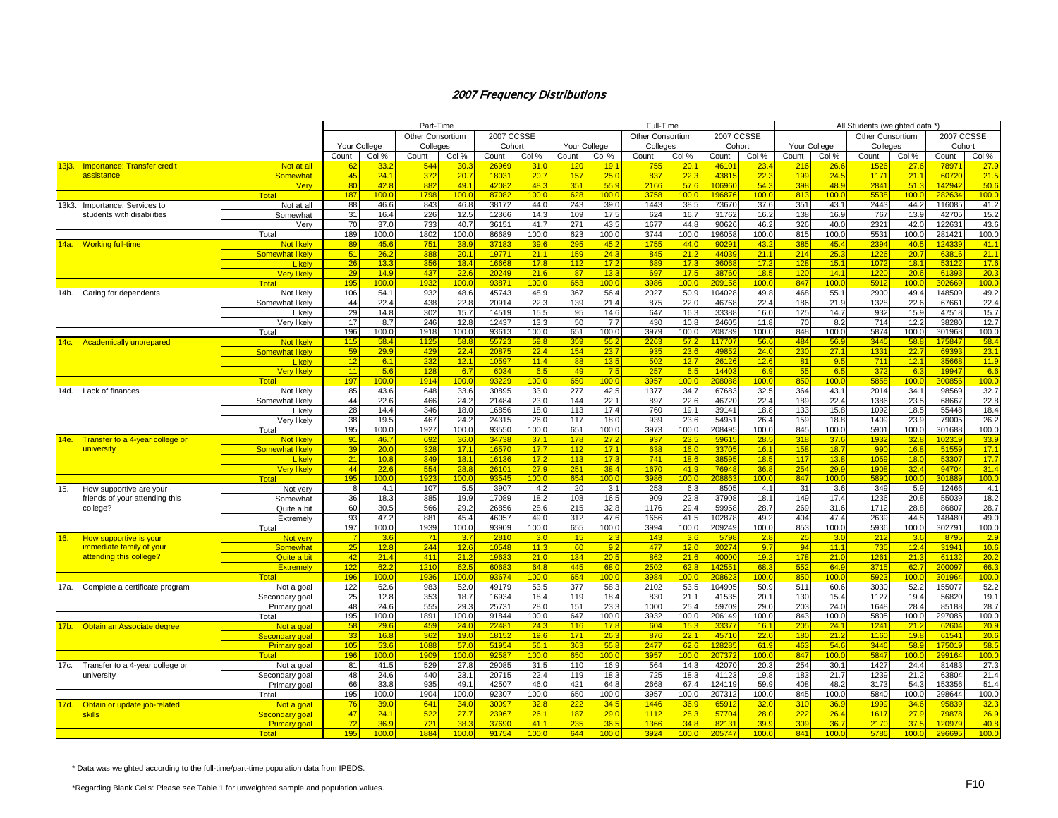|            |                                                           |                                             |              |               | Part-Time               |               |                   |                  |              |               | Full-Time        |                  |                   |                  |            |                         | All Students (weighted data *) |               |                  |               |
|------------|-----------------------------------------------------------|---------------------------------------------|--------------|---------------|-------------------------|---------------|-------------------|------------------|--------------|---------------|------------------|------------------|-------------------|------------------|------------|-------------------------|--------------------------------|---------------|------------------|---------------|
|            |                                                           |                                             |              |               | <b>Other Consortium</b> |               | <b>2007 CCSSE</b> |                  |              |               | Other Consortium |                  | <b>2007 CCSSE</b> |                  |            |                         | <b>Other Consortium</b>        |               | 2007 CCSSE       |               |
|            |                                                           |                                             | Your College |               | Colleges                |               | Cohort            |                  | Your College |               | Colleges         |                  | Cohort            |                  |            | Your College            | Colleges                       |               | Cohort           |               |
|            |                                                           |                                             | Count        | Col %         | Count                   | Col %         | Count             | Col %            | Count        | Col %         | Count            | Col %            | Count             | Col %            | Count      | Col %                   | Count                          | Col %         | Count            | Col %         |
|            |                                                           |                                             | 62           | 33.2          | 544                     | 30.3          | 2696              | 31.0             | 120          | 19.7          | 755              | 20.1             | 4610              | 23.4             | 216        | 26.6                    | 1526                           | 27.6          | 78971            | 27.9          |
| 13j3.      | <b>Importance: Transfer credit</b><br>assistance          | Not at all<br><b>Somewhat</b>               | 45           | 24.1          | 372                     | 20.7          | 1803              | 20.7             | 157          | 25.0          | 837              | 22.3             | 4381              | 22.3             | 199        | 24.5                    | 1171                           | 21.1          | 60720            | 21.5          |
|            |                                                           |                                             | 80           | 42.8          | 882                     | 49.1          | 4208              | 48.3             | 351          | 55.9          | 2166             | 57.6             | 10696             | 54.3             | 398        | 48.9                    | 2841                           | 51.3          | 142942           | 50.6          |
|            |                                                           | <b>Verv</b><br><b>Total</b>                 | 187          | 100.0         | 179                     | 100.          | 8708              | 100.0            | 628          | 100.0         | 3758             | 100 <sub>c</sub> | 196876            | 100.0            | 813        | 100.0                   | 5538                           | 100.0         | 282634           | 100.0         |
|            |                                                           |                                             |              |               |                         |               | 38172             |                  | 243          |               | 1443             |                  |                   |                  | 351        |                         | 2443                           | 44.2          | 116085           | 41.2          |
| 13k3.      | Importance: Services to<br>students with disabilities     | Not at all                                  | 88<br>31     | 46.6<br>16.4  | 843<br>226              | 46.8<br>12.5  | 12366             | 44.0<br>14.3     | 109          | 39.0<br>17.5  | 624              | 38.5<br>16.7     | 73670<br>31762    | 37.6<br>16.2     | 138        | 43.1                    | 767                            | 13.9          | 42705            |               |
|            |                                                           | Somewhat                                    | 70           | 37.0          | 733                     |               | 3615              | 41.7             | 271          | 43.5          |                  | 44.8             | 90626             | 46.2             | 326        | 16.9<br>40.0            | 2321                           | 42.0          | 122631           | 15.2<br>43.6  |
|            |                                                           | Verv                                        |              |               |                         | 40.7          |                   |                  |              | 100.0         | 1677<br>3744     |                  |                   | 100.0            |            |                         | 5531                           |               |                  |               |
|            |                                                           | Total                                       | 189<br>89    | 100.0<br>45.6 | 1802<br>75              | 100.C         | 86689<br>3718     | 100.0            | 623          | 45.2          | 1755             | 100.0<br>44.0    | 196058<br>9029    |                  | 815<br>385 | 100.0<br>45.4           | 2394                           | 100.0<br>40.5 | 281421<br>124339 | 100.0         |
|            | 14a. Working full-time                                    | <b>Not likely</b><br><b>Somewhat likely</b> | 51           | 26.2          | 388                     | 38.9<br>20.7  | 1977              | 39.6<br>21.1     | 295<br>159   | 24.3          | 845              | 21.2             | 4403              | 43.2<br>21.1     | 214        | 25.3                    | 1226                           | 20.7          | 63816            | 41.1<br>21.1  |
|            |                                                           | Likely                                      | 26           | 13.3          | 356                     | 18.4          | 1666              | 17.8             | 112          | 17.2          | 689              | 17.3             | 3606              | 17.2             | 128        | 15.1                    | 1072                           | 18.1          | 53122            | 17.6          |
|            |                                                           | <b>Very likely</b>                          | 29           | 14.9          | 437                     | 22.6          | 2024              | 21.6             | 87           | 13.3          | 697              | 17.5             | 38760             | 18.5             | 120        | 14.1                    | 1220                           | 20.6          | 61393            | 20.3          |
|            |                                                           | Total                                       | 195          | 100.0         | 193                     | 100.0         | 9387              | 100.0            | 653          | 100.0         | 3986             | 100.0            | 20915             | 100.0            | 847        | 100.0                   | 5912                           | 100.0         | 302669           | 100.0         |
|            |                                                           |                                             |              | 54.1          | 932                     | 48.6          | 45743             | 48.9             | 367          | 56.4          | 2027             | 50.9             | 104028            | 49.8             | 468        | 55.1                    | 2900                           | 49.4          | 148509           | 49.2          |
| 14b.       | Caring for dependents                                     | Not likely                                  | 106<br>44    | 22.4          | 438                     | 22.8          | 20914             | 22.3             | 139          | 21.4          | 875              | 22.0             | 46768             | 22.4             | 186        | 21.9                    | 1328                           | 22.6          | 67661            | 22.4          |
|            |                                                           | Somewhat likely<br>Likely                   | 29           | 14.8          | 302                     |               | 14519             |                  | 95           | 14.6          | 647              |                  | 33388             |                  | 125        | 14.7                    |                                | 15.9          | 47518            | 15.7          |
|            |                                                           |                                             | 17           | 8.7           | 246                     | 15.7<br>12.8  | 12437             | 15.5<br>13.3     | 50           | 7.7           | 430              | 16.3<br>10.8     | 24605             | 16.0<br>11.8     | 70         | 8.2                     | 932<br>714                     | 12.2          | 38280            | 12.7          |
|            |                                                           | Verv likelv<br>Total                        | 196          | 100.0         | 1918                    | 100.0         | 9361              | 100.0            | 651          | 100.0         | 3979             | 100.0            | 208789            | 100.0            | 848        | 100.0                   | 5874                           | 100.0         | 301968           | 100.0         |
|            |                                                           |                                             |              | 58.4          | 112                     |               | 5572              | 59.8             | 359          |               |                  |                  | 117707            |                  | 484        |                         | 3445                           |               | 175847           | 58.4          |
| 14c.       | <b>Academically unprepared</b>                            | <b>Not likely</b><br><b>Somewhat likely</b> | 115<br>59    | 29.9          | 42!                     | 58.8<br>22.4  | 2087              | 22.4             | 154          | 55.2<br>23.7  | 226<br>935       | 57.2<br>23.6     | 4985              | 56.6<br>24.0     | 230        | 56.9<br>27.1            | 1331                           | 58.8<br>22.7  | 69393            | 23.1          |
|            |                                                           |                                             | 12           | 6.1           | 232                     | 12.7          | 10597             | 11.4             | 88           | 13.5          | 502              | 12.7             | 26126             | 12.6             | 81         | 9.5                     | 711                            | 12.1          | 35668            | 11.9          |
|            |                                                           | Likelv<br><b>Very likely</b>                | 11           | 5.6           |                         |               | 603               | 6.5              |              | 7.5           | 257              | 6.5              | 1440              | 6.9              | 55         | 6.5                     | 372                            | 6.3           | 19947            | 6.6           |
|            |                                                           | Total                                       |              | 100.0         | 128<br>1914             | 6.7<br>100.0  | 9322              | 100.0            | 49<br>650    | 100.0         | 3957             | 100.0            | 208088            | 100.0            | 850        | 100.0                   | 5858                           | 100.0         | 300856           | 100.0         |
|            |                                                           |                                             | 197          |               |                         |               |                   |                  | 277          |               |                  |                  |                   |                  | 364        |                         | 2014                           | 34.1          |                  |               |
| 14d.       | Lack of finances                                          | Not likely                                  | 85           | 43.6<br>22.6  | 648<br>466              | 33.6<br>24.2  | 30895<br>21484    | 33.0             | 144          | 42.5          | 1377<br>897      | 34.7<br>22.6     | 67683<br>46720    | 32.5             | 189        | 43.1                    | 1386                           |               | 98569<br>68667   | 32.7<br>22.8  |
|            |                                                           | Somewhat likely                             | 44           |               |                         |               |                   | 23.0             |              | 22.1          |                  |                  |                   | 22.4             |            | 22.4                    |                                | 23.5          |                  |               |
|            |                                                           | Likelv                                      | 28           | 14.4          | 346                     | 18.0          | 16856             | 18.0             | 113<br>117   | 17.4          | 760              | 19.1             | 39141             | 18.8             | 133        | 15.8                    | 1092                           | 18.5          | 55448            | 18.4          |
|            |                                                           | Very likely                                 | 38           | 19.5          | 467                     | 24.2          | 24315<br>93550    | 26.0             | 651          | 18.0          | 939              | 23.6             | 54951<br>208495   | 26.4             | 159<br>845 | 18.8                    | 1409<br>5901                   | 23.9          | 79005            | 26.2<br>100.0 |
|            |                                                           | Total                                       | 195<br>91    | 100.0         | 1927                    | 100.0<br>36.0 | 3473              | 100.0<br>37.1    | 178          | 100.0<br>27.2 | 3973             | 100.0<br>23.5    | 5961              | 100.0<br>28.5    | 318        | 100.0<br>37.6           |                                | 100.0<br>32.8 | 301688           |               |
| 14e.       | Transfer to a 4-year college or                           | <b>Not likely</b>                           |              | 46.7          | 692                     | 17.1          |                   | 17.7             | 112          | 17.1          | 937              | 16.0             |                   | 16.1             |            |                         | 1932<br>990                    | 16.8          | 102319           | 33.9<br>17.1  |
|            | university                                                | <b>Somewhat likely</b>                      | 39           | 20.0<br>10.8  | 328<br>349              | 18.1          | 1657<br>1613      | 17.2             | 113          | 17.3          | 638<br>741       | 18.6             | 3370<br>3859      | 18.5             | 158<br>117 | 18.7<br>13.8            | 1059                           | 18.0          | 51559<br>53307   | 17.7          |
|            |                                                           | Likelv<br><b>Very likely</b>                | 21<br>44     | 22.6          | 554                     | 28.8          | 2610              | 27.9             | 251          | 38.4          | 167(             | 41.9             | 76948             | 36.8             | 254        | 29.9                    | 1908                           | 32.4          | 94704            | 31.4          |
|            |                                                           |                                             |              |               |                         |               | 9354              | 100.0            |              |               |                  | 100.0            |                   | 100 <sub>c</sub> |            |                         |                                |               |                  | 100.0         |
|            |                                                           | <b>Total</b>                                | 195<br>8     | 100.0<br>4.1  | 192<br>107              | 100.0<br>5.5  | 3907              | 4.2              | 654<br>20    | 100.0<br>3.1  | 3986<br>253      | 6.3              | 20886<br>8505     |                  | 847<br>31  | 100 <sub>c</sub><br>3.6 | 5890<br>349                    | 100.0<br>5.9  | 301889<br>12466  | 4.1           |
| 15.        | How supportive are your<br>friends of your attending this | Not very<br>Somewhat                        |              | 18.3          | 385                     | 19.9          | 17089             | 18.2             | 108          | 16.5          | 909              | 22.8             | 37908             | 4.1<br>18.1      | 149        | 17.4                    | 1236                           | 20.8          | 55039            | 18.2          |
|            |                                                           |                                             | 36           | 30.5          | 566                     | 29.2          | 26856             |                  | 215          | 32.8          | 1176             | 29.4             | 59958             | 28.7             | 269        | 31.6                    | 1712                           |               | 86807            | 28.7          |
|            | college?                                                  | Quite a bit                                 | 60<br>93     | 47.2          | 881                     | 45.4          | 4605              | 28.6<br>49.0     | 312          | 47.6          | 1656             | 41.5             | 102878            | 49.2             | 404        | 47.4                    | 2639                           | 28.8<br>44.5  | 148480           | 49.0          |
|            |                                                           | Extremely                                   |              | 100.0         | 1939                    |               | 93909             | 100.0            | 655          | 100.0         | 3994             | 100.0            |                   | 100.0            | 853        | 100.0                   | 5936                           | 100.0         | 302791           |               |
|            |                                                           | Total                                       | 197          | 3.6           | $-71$                   | 100.0<br>3.7  | 281               | 3.0              | 15           | 2.3           | 143              | 3.6              | 209249<br>5798    | 2.8              | 25         | 3.0                     | 212                            | 3.6           | 8795             | 100.0<br>2.9  |
| <b>16.</b> | How supportive is your                                    | Not very                                    | 25           | 12.8          |                         | 12.6          | 10548             | 11.3             | 60           | 9.2           | 477              |                  | 20274             | 9.7              | 94         | 11.1                    | 735                            | 12.4          | 31941            |               |
|            | immediate family of your                                  | <b>Somewhat</b><br>Quite a bit              | 42           | 21.4          | 244<br>411              | 21.2          | 1963              | 21.0             | 134          | 20.5          | 862              | 12.0<br>21.6     | 4000              | 19.2             | 178        | 21.0                    | 1261                           | 21.3          | 61132            | 10.6<br>20.2  |
|            | attending this college?                                   | <b>Extremelv</b>                            | 122          | 62.2          | 1210                    | 62.5          | 6068              | 64.8             | 445          | 68.C          | 250              | 62.8             | 14255             | 68.3             | 552        | 64.9                    | 3715                           | 62.7          | 200097           | 66.3          |
|            |                                                           |                                             |              | 100.0         | 1936                    | 100.0         | 9367              | 100 <sub>c</sub> | 654          | 100.0         | 3984             | 100.0            | 20862             | 100.0            | 850        | 100 <sub>c</sub>        | 5923                           | 100.0         | 301964           | 100.0         |
|            |                                                           | <b>Total</b><br>Not a goal                  | 196<br>122   | 62.6          | 983                     | 52.0          | 49179             | 53.5             | 377          | 58.3          | 2102             | 53.5             | 104905            | 50.9             | 511        | 60.6                    | 3030                           | 52.2          | 155077           | 52.2          |
| 17a.       | Complete a certificate program                            |                                             | 25           | 12.8          | 353                     | 18.7          | 16934             | 18.4             | 119          | 18.4          | 830              | 21.1             | 41535             | 20.1             | 130        | 15.4                    | 1127                           | 19.4          | 56820            | 19.1          |
|            |                                                           | Secondary goal                              | 48           | 24.6          |                         |               |                   |                  | 151          |               | 1000             |                  |                   |                  | 203        |                         | 1648                           |               |                  | 28.7          |
|            |                                                           | Primary goal                                | 195          | 100.0         | 555<br>1891             | 29.3<br>100.0 | 25731<br>91844    | 28.0<br>100.0    | 647          | 23.3<br>100.0 | 3932             | 25.4<br>100.0    | 59709<br>206149   | 29.0<br>100.0    | 843        | 24.0<br>100.0           | 5805                           | 28.4<br>100.0 | 85188<br>297085  | 100.0         |
|            |                                                           | Total                                       | 58           |               | 459                     | 24.0          | 2248              | 24.3             | 116          | 17.8          | 604              | 15.3             | 33377             | 16.1             | 205        | 24.1                    | 1241                           | 21.2          | 62604            | 20.9          |
|            | 17b. Obtain an Associate degree                           | Not a goal<br>Secondary goal                | 33           | 29.6<br>16.8  | 36                      | 19.0          | 1815              | 19.6             | 171          | 26.3          | 876              | 22.7             | 45710             | 22.0             | 180        | 21.2                    | 1160                           | 19.8          | 61541            | 20.6          |
|            |                                                           |                                             | 105          | 53.6          | 1088                    | 57.0          | 5195              | 56.1             | 363          | 55.8          | 2477             | 62.6             | 128285            | 61.9             | 463        | 54.6                    | 3446                           | 58.9          | 175019           | 58.5          |
|            |                                                           | <b>Primary goal</b><br>Total                | 196          | 100.0         | 1909                    | 100.0         | 9258              | 100 <sub>c</sub> | 650          | 100.0         | 3957             | 100.0            | 207372            | 100 <sub>0</sub> | 847        | 100.0                   | 5847                           | 100.0         | 299164           | 100.0         |
|            |                                                           | Not a goal                                  | 81           | 41.5          | 529                     | 27.8          | 29085             | 31.5             | 110          | 16.9          | 564              | 14.3             | 42070             | 20.3             | 254        | 30.1                    | 1427                           | 24.4          | 81483            | 27.3          |
| 17c.       | Transfer to a 4-year college or                           | Secondary goal                              | 48           | 24.6          | 440                     | 23.1          | 20715             | 22.4             | 119          | 18.3          | 725              | 18.3             | 41123             | 19.8             | 183        | 21.7                    | 1239                           | 21.2          | 63804            | 21.4          |
|            | university                                                | Primary goal                                | 66           | 33.8          | 935                     | 49.1          | 42507             | 46.0             | 421          | 64.8          | 2668             | 67.4             | 124119            | 59.9             | 408        | 48.2                    | 3173                           | 54.3          | 153356           | 51.4          |
|            |                                                           | Total                                       | 195          | 100.0         | 1904                    | 100.0         | 92307             | 100.0            | 650          | 100.0         | 3957             | 100.0            | 207312            | 100.0            | 845        | 100.0                   | 5840                           | 100.0         | 298644           | 100.0         |
| 17d.       | Obtain or update job-related                              | Not a goal                                  | 76           | 39.0          | 641                     | 34.0          | 3009              | 32.8             | 222          | 34.5          | 1446             | 36.9             | 65912             | 32.0             | 310        | 36.9                    | 1999                           | 34.6          | 9583             | 32.3          |
|            | <b>skills</b>                                             | Secondary goal                              | 47           | 24.1          | 52 <sub>2</sub>         | 27.7          | 23967             | 26.1             | 187          | 29.0          | 1112             | 28.3             | 57704             | 28.0             | 222        | 26.4                    | 1617                           | 27.9          | 79878            | 26.9          |
|            |                                                           | <b>Primary goal</b>                         | 72           | 36.9          | 72                      | 38.3          | 3769              | 41.1             | 235          | 36.5          | 1366             | 34.8             | 8213              | 39.9             | 309        | 36.7                    | 2170                           | 37.5          | 120979           | 40.8          |
|            |                                                           | Total                                       | 195          | 100.0         | 188                     | 100.0         | 9175              | 100 <sub>1</sub> | 644          | 100.0         | 3924             | 100.0            | 205747            | 100.0            | 841        | 100.0                   | 5786                           | 100.0         | 296695           | 100.0         |
|            |                                                           |                                             |              |               |                         |               |                   |                  |              |               |                  |                  |                   |                  |            |                         |                                |               |                  |               |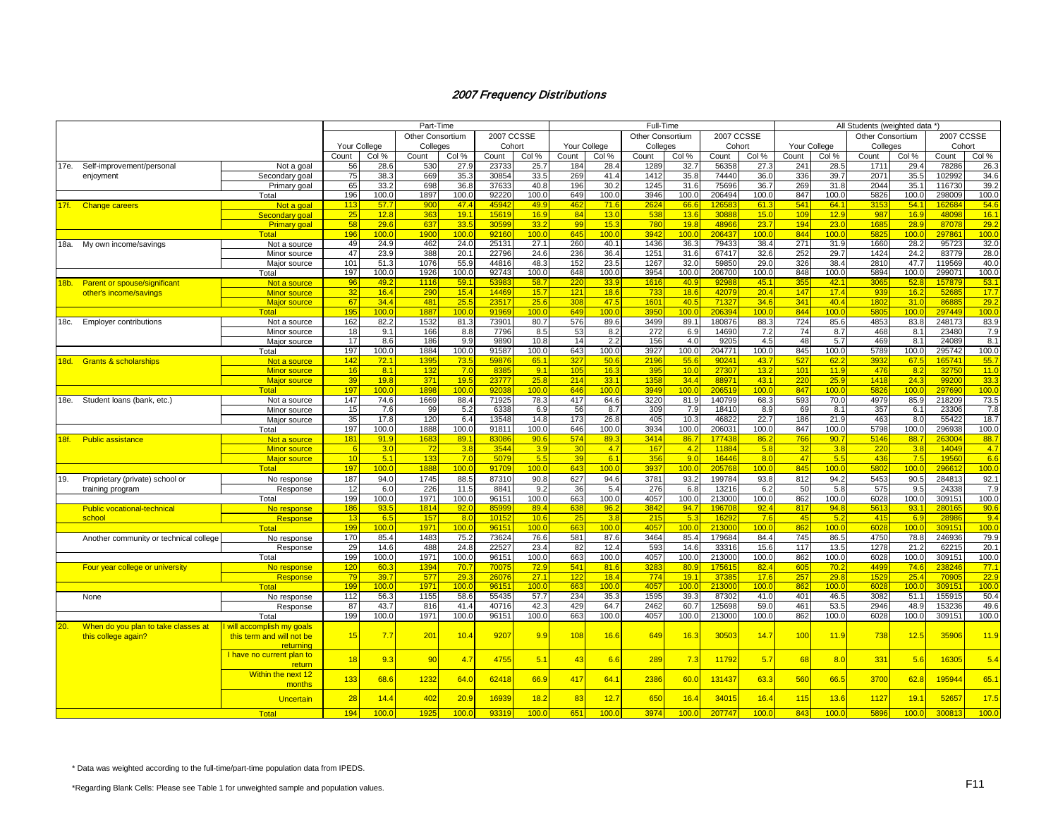|         |                                        |                           |              |                  | Part-Time        |       |                   |                  |       |              | Full-Time        |       |            |                  |                 |                  | All Students (weighted data *) |       |            |                  |
|---------|----------------------------------------|---------------------------|--------------|------------------|------------------|-------|-------------------|------------------|-------|--------------|------------------|-------|------------|------------------|-----------------|------------------|--------------------------------|-------|------------|------------------|
|         |                                        |                           |              |                  | Other Consortium |       | <b>2007 CCSSE</b> |                  |       |              | Other Consortium |       | 2007 CCSSE |                  |                 |                  | Other Consortium               |       | 2007 CCSSE |                  |
|         |                                        |                           | Your College |                  | Colleges         |       | Cohort            |                  |       | Your College | Colleges         |       |            | Cohort           |                 | Your College     | Colleges                       |       | Cohort     |                  |
|         |                                        |                           | Count        | Col %            | Count            | Col % | Count             | Col %            | Count | Col %        | Count            | Col % | Count      | Col %            | Count           | Col %            | Count                          | Col % | Count      | Col %            |
|         | 17e. Self-improvement/personal         | Not a goal                | 56           | 28.6             | 530              | 27.9  | 23733             | 25.7             | 184   | 28.4         | 1289             | 32.7  | 56358      | 27.3             | 241             | 28.5             | 1711                           | 29.4  | 78286      | 26.3             |
|         | enjoyment                              | Secondary goal            | 75           | 38.3             | 669              | 35.3  | 30854             | 33.5             | 269   | 41.4         | 1412             | 35.8  | 74440      | 36 <sub>c</sub>  | 336             | 39.7             | 2071                           | 35.5  | 102992     | 34.6             |
|         |                                        |                           | 65           | 33.2             | 698              | 36.8  | 37633             | 40.8             | 196   | 30.2         | 1245             | 31.6  | 75696      | 36.7             | 269             | 31.8             | 2044                           | 35.1  | 116730     | 39.2             |
|         |                                        | Primary goal              | 196          | 100.0            | 1897             | 100.0 | 92220             | 100.0            | 649   | 100.0        | 3946             | 100.0 | 206494     | 100.0            | 847             | 100.0            | 5826                           | 100.0 | 298009     | 100.0            |
|         |                                        | Total                     |              |                  |                  |       |                   |                  |       |              |                  |       |            |                  |                 |                  |                                |       |            |                  |
| 17f.    | Change careers                         | Not a goal                | 113          | 57.7             | 900              | 47.4  | 4594              | 49.9             | 462   | 71.6         | 2624             | 66.6  | 12658      | 61.3             | 541             | 64.1             | 3153                           | 54.1  | 162684     | 54.6             |
|         |                                        | Secondary goal            | 25           | 12.8             | 363              | 19.1  | 1561              | 16.9             | 84    | 13.0         | 538              | 13.6  | 30888      | 15.0             | 109             | 12.9             | 987                            | 16.9  | 48098      | 16.1             |
|         |                                        | <b>Primary goal</b>       | 58           | 29.6             | 637              | 33.5  | 3059              | 33.2             | 99    | 15.3         | <b>780</b>       | 19.8  | 48966      | 23.7             | 194             | 23.0             | 1685                           | 28.9  | 87078      | 29.2             |
|         |                                        | Total                     | 196          | 100 <sub>c</sub> | 1900             | 100.0 | 9216              | 100.0            | 645   | 100.0        | 3942             | 100.0 | 206437     | 100 <sub>c</sub> | 844             | 100 <sub>c</sub> | 582                            | 100.0 | 297861     | 100 <sub>c</sub> |
| 18a.    | My own income/savings                  | Not a source              | 49           | 24.9             | 462              | 24.0  | 25131             | 27.1             | 260   | 40.1         | 1436             | 36.3  | 79433      | 38.4             | 271             | 31.9             | 1660                           | 28.2  | 95723      | 32.0             |
|         |                                        | Minor source              | 47           | 23.9             | 388              | 20.1  | 22796             | 24.6             | 236   | 36.4         | 1251             | 31.6  | 67417      | 32.6             | 252             | 29.7             | 1424                           | 24.2  | 83779      | 28.0             |
|         |                                        | Major source              | 101          | 51.3             | 1076             | 55.9  | 44816             | 48.3             | 152   | 23.5         | 1267             | 32.0  | 59850      | 29.0             | 326             | 38.4             | 2810                           | 47.7  | 119569     | 40.0             |
|         |                                        | Total                     | 197          | 100.0            | 1926             | 100.0 | 92743             | 100.0            | 648   | 100.0        | 3954             | 100.0 | 206700     | 100.0            | 848             | 100.0            | 5894                           | 100.0 | 299071     | 100.0            |
| $18b$ . | <b>Parent or spouse/significant</b>    | Not a source              | 96           | 49.2             | 1116             | 59.   | 5398              | 58.7             | 220   | 33.9         | 1616             | 40.9  | 9298       | 45.1             | 35 <sub>1</sub> | 42.1             | 3065                           | 52.8  | 15787      | 53.1             |
|         | other's income/savings                 | <b>Minor source</b>       | 32           | 16.4             | 290              | 15.4  | 1446              | 15.7             | 121   | 18.6         | 733              | 18.6  | 42079      | 20.4             | 147             | 17.4             | 93 <sup>°</sup>                | 16.2  | 5268       | 17.7             |
|         |                                        | <b>Major source</b>       | 67           | 34.4             | 481              | 25.5  | 2351              | 25.6             | 308   | 47.5         | 1601             | 40.5  | 7132       | 34.6             | 341             | 40.4             | 1802                           | 31.0  | 8688       | 29.2             |
|         |                                        | <b>Total</b>              | 195          | 100.0            | 1887             | 100.0 | 9196              | 100 <sub>c</sub> | 649   | 100.0        | 3950             | 100.0 | 206394     | 100.0            | 844             | 100 <sub>c</sub> | 5805                           | 100.0 | 297449     | 100.0            |
|         | 18c. Employer contributions            | Not a source              | 162          | 82.2             | 1532             | 81.3  | 73901             | 80.7             | 576   | 89.6         | 3499             | 89.1  | 180876     | 88.3             | 724             | 85.6             | 4853                           | 83.8  | 248173     | 83.9             |
|         |                                        | Minor source              | 18           | 9.1              | 166              | 8.8   | 7796              | 8.5              | 53    | 8.2          | 272              | 6.9   | 14690      | 7.2              | 74              | 8.7              | 468                            | 8.1   | 23480      | 7.9              |
|         |                                        | Maior source              | 17           | 8.6              | 186              | 9.9   | 9890              | 10.8             | 14    | 2.2          | 156              | 4.0   | 9205       | 4.5              | 48              | 5.7              | 469                            | 8.1   | 24089      | 8.1              |
|         |                                        | Total                     | 197          | 100.0            | 1884             | 100.0 | 91587             | 100.0            | 643   | 100.0        | 3927             | 100.0 | 204771     | 100.0            | 845             | 100.0            | 5789                           | 100.0 | 295742     | 100.0            |
|         |                                        |                           | 142          | 72.1             | 1395             | 73.5  | 59876             | 65.1             | 327   | 50.6         | 2196             | 55.6  | 90241      | 43.7             | 527             | 62.2             | 3932                           | 67.5  | 165741     | 55.7             |
| 18d.    | <b>Grants &amp; scholarships</b>       | Not a source              |              |                  |                  |       |                   |                  |       |              |                  |       |            |                  |                 |                  |                                |       |            |                  |
|         |                                        | <b>Minor source</b>       | 16           | 8.1              | 132              | 7.0   | 8385              | 9.1              | 105   | 16.3         | 395              | 10.0  | 27307      | 13.2             | 101             | 11.9             | 476                            | 8.2   | 32750      | 11.0             |
|         |                                        | <b>Major source</b>       | 39           | 19.8             | 371              | 19.5  | 23777             | 25.8             | 214   | 33.1         | 1358             | 34.4  | 88971      | 43.1             | 220             | 25.9             | 1418                           | 24.3  | 99200      | 33.3             |
|         |                                        | Total                     | 197          | 100.0            | 1898             | 100.0 | 9203              | 100 <sub>c</sub> | 646   | 100.0        | 3949             | 100.0 | 206519     | 100.0            | 847             | 100 <sub>c</sub> | 5826                           | 100.0 | 297690     | 100.0            |
| 18e.    | Student loans (bank, etc.)             | Not a source              | 147          | 74.6             | 1669             | 88.4  | 71925             | 78.3             | 417   | 64.6         | 3220             | 81.9  | 140799     | 68.3             | 593             | 70.0             | 4979                           | 85.9  | 218209     | 73.5             |
|         |                                        | Minor source              | 15           | 7.6              | 99               | 5.2   | 6338              | 6.9              | 56    | 8.7          | 309              | 7.9   | 18410      | 8.9              | 69              | 8.1              | 357                            | 6.1   | 23306      | 7.8              |
|         |                                        | Maior source              | 35           | 17.8             | 120              | 6.4   | 13548             | 14.8             | 173   | 26.8         | 405              | 10.3  | 46822      | 22.7             | 186             | 21.9             | 463                            | 8.0   | 55422      | 18.7             |
|         |                                        | Total                     | 197          | 100.0            | 1888             | 100.0 | 91811             | 100.0            | 646   | 100.0        | 3934             | 100.0 | 206031     | 100.0            | 847             | 100.0            | 5798                           | 100.0 | 296938     | 100.0            |
| 18f.    | <b>Public assistance</b>               | Not a source              | 181          | 91.9             | 168              | 89.1  | 8308              | 90.6             | 574   | 89.3         | 3414             | 86.7  | 17743      | 86.2             | 766             | 90.7             | 5146                           | 88.7  | 263004     | 88.7             |
|         |                                        | <b>Minor source</b>       |              | 3.0              | 72               | 3.8   | 3544              | 3.9              | 30    | 4.7          | 167              | 4.2   | 11884      | 5.8              | 32              | 3.8              | 220                            | 3.8   | 14049      | 4.7              |
|         |                                        | <b>Major source</b>       | 10           | 5.1              | 133              | 7.0   | 5079              | 5.5              | 39    | 6.1          | 356              | 9.0   | 16446      | 8.0              | 47              | 5.5              | 436                            | 7.5   | 19560      | 6.6              |
|         |                                        | Total                     | 197          | 100.0            | 1888             | 100.0 | 9170              | 100.0            | 643   | 100.0        | 3937             | 100.0 | 205768     | 100.0            | 845             | 100.0            | 5802                           | 100.0 | 29661      | 100.0            |
| 19.     | Proprietary (private) school or        | No response               | 187          | 94.0             | 1745             | 88.5  | 87310             | 90.8             | 627   | 94.6         | 3781             | 93.2  | 199784     | 93.8             | 812             | 94.2             | 5453                           | 90.5  | 284813     | 92.1             |
|         | training program                       | Response                  | 12           | 6.0              | 226              | 11.5  | 8841              | 9.2              | 36    | 5.4          | 276              | 6.8   | 13216      | 6.2              | 50              | 5.8              | 575                            | 9.5   | 24338      | 7.9              |
|         |                                        | Total                     | 199          | 100.0            | 1971             | 100.0 | 96151             | 100.0            | 663   | 100.0        | 4057             | 100.0 | 213000     | 100.0            | 862             | 100.0            | 6028                           | 100.0 | 309151     | 100.0            |
|         | <b>Public vocational-technical</b>     | No response               | 186          | 93.5             | 1814             | 92.0  | 8599              | 89.4             | 638   | 96.2         | 3842             | 94.7  | 19670      | 92.4             | 817             | 94.8             | 5613                           | 93.1  | 28016      | 90.6             |
|         | school                                 | Response                  | 13           | 6.5              | 157              | 8.0   | 1015              | 10.6             | 25    | 3.8          | 215              | 5.3   | 1629       | 7.6              | 45              | 5.2              | 415                            | 6.9   | 2898       | 9.4              |
|         |                                        | Total                     | 199          | 100.0            | 1971             | 100.0 | 9615              | 100.0            | 663   | 100.0        | 4057             | 100.0 | 213000     | 100 <sub>c</sub> | 862             | 100.0            | 6028                           | 100.0 | 309151     | 100.0            |
|         | Another community or technical college | No response               | 170          | 85.4             | 1483             | 75.2  | 73624             | 76.6             | 581   | 87.6         | 3464             | 85.4  | 179684     | 84.4             | 745             | 86.5             | 4750                           | 78.8  | 246936     | 79.9             |
|         |                                        |                           | 29           | 14.6             | 488              | 24.8  | 22527             | 23.4             | 82    | 12.4         | 593              | 14.6  | 33316      | 15.6             | 117             | 13.5             | 1278                           | 21.2  | 62215      | 20.1             |
|         |                                        | Response                  | 199          | 100.0            | 1971             | 100.0 | 96151             | 100.0            | 663   | 100.0        | 4057             | 100.0 | 213000     | 100.0            | 862             | 100.0            | 6028                           | 100.0 | 309151     | 100.0            |
|         |                                        | Total                     |              |                  |                  |       |                   |                  |       |              |                  |       |            |                  |                 |                  |                                |       |            |                  |
|         | Four year college or university        | No response               | 120          | 60.3             | 1394             | 70.7  | 7007              | 72.9             | 541   | 81.6         | 328              | 80.9  | 17561      | 82.4             | 605             | 70.2             | 4499                           | 74.6  | 238246     | 77.1             |
|         |                                        | Response                  | 79           | 39.7             | 577              | 29.3  | 2607              | 27.1             | 122   | 18.4         | 774              | 19.1  | 37385      | 17.6             | 257             | 29.8             | 1529                           | 25.4  | 70905      | 22.9             |
|         |                                        | <b>Total</b>              | 199          | 100.0            | 1971             | 100.0 | 9615              | 100 <sub>c</sub> | 663   | 100.0        | 4057             | 100.0 | 213000     | 100.0            | 862             | 100.0            | 6028                           | 100.0 | 309151     | 100.0            |
|         | None                                   | No response               | 112          | 56.3             | 1155             | 58.6  | 55435             | 57.7             | 234   | 35.3         | 1595             | 39.3  | 87302      | 41.0             | 401             | 46.5             | 3082                           | 51.1  | 155915     | 50.4             |
|         |                                        | Response                  | 87           | 43.7             | 816              | 41.4  | 40716             | 42.3             | 429   | 64.7         | 2462             | 60.7  | 125698     | 59.0             | 461             | 53.5             | 2946                           | 48.9  | 153236     | 49.6             |
|         |                                        | Total                     | 199          | 100.0            | 1971             | 100.0 | 96151             | 100.0            | 663   | 100.0        | 4057             | 100.0 | 213000     | 100.0            | 862             | 100.0            | 6028                           | 100.0 | 309151     | 100.0            |
| 20.     | When do you plan to take classes at    | will accomplish my goals  |              |                  |                  |       |                   |                  |       |              |                  |       |            |                  |                 |                  |                                |       |            |                  |
|         | this college again?                    | this term and will not be | 15           | 7.7              | 20 <sup>1</sup>  | 10.4  | 9207              | 9.9              | 108   | 16.6         | 649              | 16.3  | 30503      | 14.7             | 100             | 11.9             | 738                            | 12.5  | 35906      | 11.9             |
|         |                                        | returning                 |              |                  |                  |       |                   |                  |       |              |                  |       |            |                  |                 |                  |                                |       |            |                  |
|         |                                        | I have no current plan to |              |                  |                  |       | 4755              |                  |       |              |                  |       |            |                  |                 |                  |                                |       |            |                  |
|         |                                        | return                    | 18           | 9.3              | 90               | 4.7   |                   | 5.1              | 43    | 6.6          | 289              | 7.3   | 11792      | 5.7              | 68              | 8.0              | 331                            | 5.6   | 16305      | 5.4              |
|         |                                        | Within the next 12        |              |                  |                  |       |                   |                  |       |              |                  |       |            |                  |                 |                  |                                |       |            |                  |
|         |                                        | months                    | 133          | 68.6             | 1232             | 64.0  | 62418             | 66.9             | 417   | 64.1         | 2386             | 60.0  | 131437     | 63.3             | 560             | 66.5             | 3700                           | 62.8  | 195944     | 65.1             |
|         |                                        |                           |              |                  |                  |       |                   |                  |       |              |                  |       |            |                  |                 |                  |                                |       |            |                  |
|         |                                        | <b>Uncertain</b>          | 28           | 14.4             | 402              | 20.9  | 1693              | 18.2             | 83    | 12.7         | 650              | 16.4  | 34015      | 16.4             | 115             | 13.6             | 1127                           | 19.1  | 52657      | 17.5             |
|         |                                        | Total                     | 194          | 100.0            | 192              | 100.0 | 9331              | 100 <sub>c</sub> | 651   | 100.0        | 3974             | 100.0 | 207747     | 100.0            | 843             | 100.0            | 5896                           | 100.0 | 300813     | 100.0            |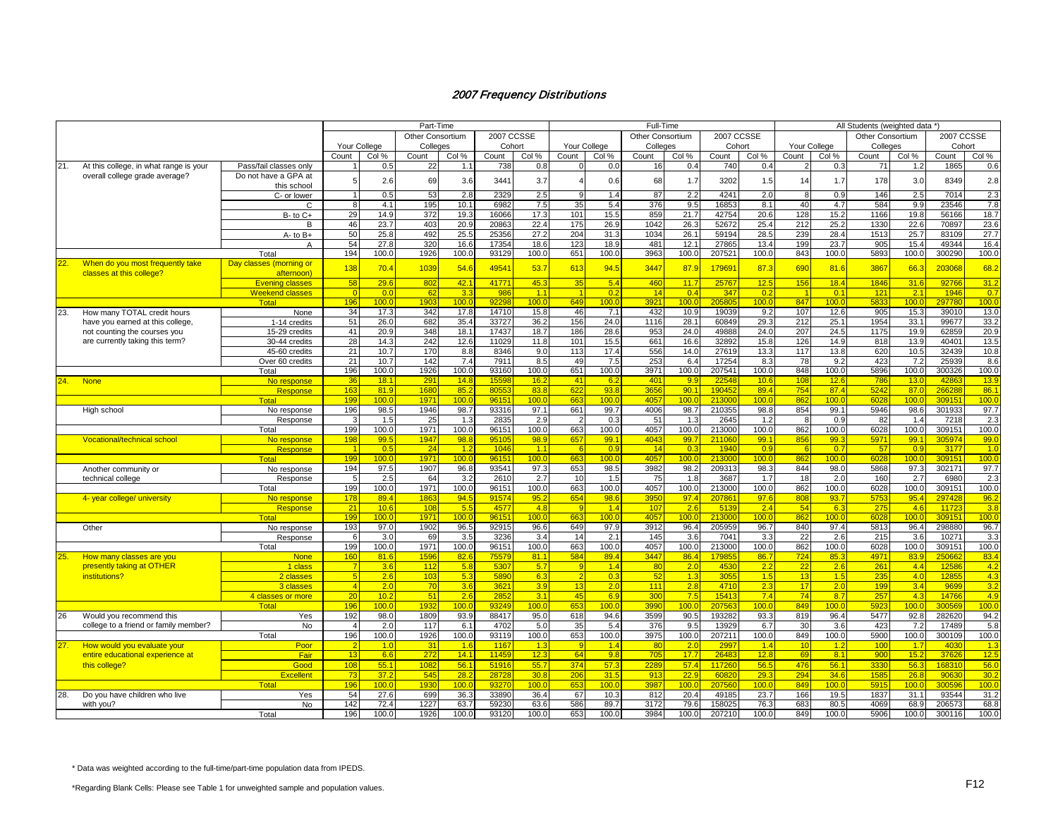|     |                                        |                         | Part-Time                |                  |                  |                  |        |                  |                | Full-Time        |                  |       |        |                  |                  |                  | All Students (weighted data *) |       |                  |       |  |  |  |  |
|-----|----------------------------------------|-------------------------|--------------------------|------------------|------------------|------------------|--------|------------------|----------------|------------------|------------------|-------|--------|------------------|------------------|------------------|--------------------------------|-------|------------------|-------|--|--|--|--|
|     |                                        |                         |                          |                  | Other Consortium | 2007 CCSSE       |        |                  |                | Other Consortium | 2007 CCSSE       |       |        |                  | Other Consortium |                  | 2007 CCSSE                     |       |                  |       |  |  |  |  |
|     |                                        |                         | Your College<br>Colleges |                  |                  |                  | Cohort |                  | Your College   |                  | Colleges         |       | Cohort |                  | Your College     |                  | Colleges                       |       | Cohort           |       |  |  |  |  |
|     |                                        |                         | Count                    | Col %            | Count            | Col %            | Count  | Col %            | Count          | Col %            | Count            | Col % | Count  | Col %            | Count            | Col %            | Count                          | Col % | Count            | Col % |  |  |  |  |
| 21. | At this college, in what range is your | Pass/fail classes only  |                          | 0.5              | 22               | 1.1              | 738    | 0.8              |                | 0.0              | 16               | 0.4   | 740    | 0.4              |                  | 0.3              | 71                             | 1.2   | 1865             | 0.6   |  |  |  |  |
|     | overall college grade average?         | Do not have a GPA at    |                          |                  |                  |                  |        |                  |                |                  |                  |       |        |                  |                  |                  |                                |       |                  |       |  |  |  |  |
|     |                                        | this school             |                          | 2.6              | 69               | 3.6              | 3441   | 3.7              | 4              | 0.6              | 68               | 1.7   | 3202   | 1.5              | 14               | 1.7              | 178                            | 3.0   | 8349             | 2.8   |  |  |  |  |
|     |                                        | C- or lower             |                          | 0.5              | 53               | 2.8              | 2329   | 2.5              | 9              | 1.4              | 87               | 2.2   | 4241   | 2.0              | 8                | 0.9              | 146                            | 2.5   | 7014             | 2.3   |  |  |  |  |
|     |                                        | $\Omega$                |                          | 4.1              | 195              | 10.1             | 6982   | 7.5              | 35             | 5.4              | 376              | 9.5   | 16853  | 8.1              | 40               | 4.7              | 584                            | 9.9   | 23546            | 7.8   |  |  |  |  |
|     |                                        | $B - to C +$            | 29                       | 14.9             | 372              | 19.3             | 16066  | 17.3             | 101            | 15.5             | 859              | 21.7  | 42754  | 20.6             | 128              | 15.2             | 1166                           | 19.8  | 56166            | 18.7  |  |  |  |  |
|     |                                        | B                       | 46                       | 23.7             | 403              | 20.9             | 20863  | 22.4             | 175            | 26.9             | 1042             | 26.3  | 52672  | 25.4             | 212              | 25.2             | 1330                           | 22.6  | 70897            | 23.6  |  |  |  |  |
|     |                                        | A- to B+                | 50                       | 25.8             | 492              | 25.5             | 25356  | 27.2             | 204            | 31.3             | 1034             | 26.1  | 59194  | 28.5             | 239              | 28.4             | 1513                           | 25.7  | 83109            | 27.7  |  |  |  |  |
|     |                                        | $\overline{A}$          | 54                       | 27.8             | 320              | 16.6             | 17354  | 18.6             | 123            | 18.9             | 481              | 12.1  | 27865  | 13.4             | 199              | 23.7             | 905                            | 15.4  | 49344            | 16.4  |  |  |  |  |
|     |                                        | Total                   | 194                      | 100.0            | 1926             | 100.0            | 93129  | 100.0            | 651            | 100.0            | 3963             | 100.0 | 207521 | 100.0            | 843              | 100.0            | 5893                           | 100.0 | 300290           | 100.0 |  |  |  |  |
| 22. | When do you most frequently take       | Day classes (morning or |                          |                  |                  |                  |        |                  |                |                  |                  |       |        |                  |                  |                  |                                |       |                  |       |  |  |  |  |
|     | classes at this college?               | afternoon)              | 138                      | 70.4             | 1039             | 54.6             | 4954   | 53.7             | 613            | 94.5             | 3447             | 87.9  | 179691 | 87.3             | 690              | 81.6             | 3867                           | 66.3  | 203068           | 68.2  |  |  |  |  |
|     |                                        | <b>Evening classes</b>  | 58                       | 29.6             | 802              | 42.1             | 4177'  | 45.3             | 35             | 5.4              | 460              | 11.7  | 25767  | 12.5             | 156              | 18.4             | 1846                           | 31.6  | 92766            | 31.2  |  |  |  |  |
|     |                                        | <b>Weekend classes</b>  | $\Omega$                 | 0.0              | 62               | 3.3              | 986    | 1.1              |                | 0.2              | 14               | 0.4   | 347    | 0.2              |                  | 0.1              | 121                            | 2.1   | 1946             | 0.7   |  |  |  |  |
|     |                                        | Total                   | 196                      | 100 <sub>c</sub> | 1903             | 100 <sub>0</sub> | 9229   | 100.0            | 649            | 100.0            | 392 <sup>4</sup> | 100.0 | 205805 | 100.0            | 847              | 100.0            | 5833                           | 100.0 | 297780           | 100.0 |  |  |  |  |
| 23. | How many TOTAL credit hours            | None                    | 34                       | 17.3             | 342              | 17.8             | 14710  | 15.8             | 46             | 7.1              | 432              | 10.9  | 19039  | 9.2              | 107              | 12.6             | 905                            | 15.3  | 39010            | 13.0  |  |  |  |  |
|     | have you earned at this college.       | 1-14 credits            | 51                       | 26.0             | 682              | 35.4             | 33727  | 36.2             | 156            | 24.0             | 1116             | 28.1  | 60849  | 29.3             | 212              | 25.1             | 1954                           | 33.1  | 99677            | 33.2  |  |  |  |  |
|     | not counting the courses you           | 15-29 credits           | 41                       | 20.9             | 348              | 18.1             | 17437  | 18.7             | 186            | 28.6             | 953              | 24.0  | 49888  | 24.0             | 207              | 24.5             | 1175                           | 19.9  | 62859            | 20.9  |  |  |  |  |
|     | are currently taking this term?        | 30-44 credits           | 28                       | 14.3             | 242              | 12.6             | 11029  | 11.8             | 101            | 15.5             | 661              | 16.6  | 32892  | 15.8             | 126              | 14.9             | 818                            | 13.9  | 40401            | 13.5  |  |  |  |  |
|     |                                        | 45-60 credits           | 21                       | 10.7             | 170              | 8.8              | 8346   | 9.0              | 113            | 17.4             | 556              | 14.0  | 27619  | 13.3             | 117              | 13.8             | 620                            | 10.5  | 32439            | 10.8  |  |  |  |  |
|     |                                        | Over 60 credits         | 21                       | 10.7             | 142              | 7.4              | 791'   | 8.5              | 49             | 7.5              | 253              | 6.4   | 17254  | 8.3              | 78               | 9.2              | 423                            | 7.2   | 25939            | 8.6   |  |  |  |  |
|     |                                        | Total                   | 196                      | 100.0            | 1926             | 100.0            | 93160  | 100.0            | 651            | 100.0            | 3971             | 100.0 | 207541 | 100.0            | 848              | 100.0            | 5896                           | 100.0 | 300326           | 100.0 |  |  |  |  |
| 24. | <b>None</b>                            | No response             | 36                       | 18.1             | 291              | 14.8             | 1559   | 16.2             | 41             | 6.2              | 40 <sup>4</sup>  | 9.9   | 22548  | 10.6             | 10 <sub>5</sub>  | 12.6             | 786                            | 13.0  | 4286             | 13.9  |  |  |  |  |
|     |                                        | Response                | 163                      | 81.9             | 1680             | 85.2             | 8055   | 83.8             | 622            | 93.8             | 3656             | 90.1  | 19045  | 89.4             | 754              | 87.4             | 5242                           | 87.0  | 266288           | 86.7  |  |  |  |  |
|     |                                        | Total                   | 199                      | 100.0            | 1971             | 100.0            | 9615'  | 100.0            | 663            | 100.0            | 405              | 100.0 | 213000 | 100 <sub>c</sub> | 862              | 100.0            | 6028                           | 100.0 | 309151           | 100.  |  |  |  |  |
|     | High school                            | No response             | 196                      | 98.5             | 1946             | 98.7             | 93316  | 97.1             | 661            | 99.7             | 4006             | 98.7  | 210355 | 98.8             | 854              | 99.1             | 5946                           | 98.6  | 301933           | 97.7  |  |  |  |  |
|     |                                        | Response                |                          | 1.5              | 25               | 1.3              | 2835   | 2.9              |                | 0.3              | 51               | 1.3   | 2645   | 1.2              | -8               | 0.9              | 82                             | 1.4   | 7218             | 2.3   |  |  |  |  |
|     |                                        | Total                   | 199                      | 100.0            | 1971             | 100.0            | 96151  | 100.0            | 663            | 100.0            | 4057             | 100.0 | 213000 | 100.0            | 862              | 100.0            | 6028                           | 100.0 | 309151           | 100.0 |  |  |  |  |
|     | <b>Vocational/technical school</b>     | No response             | 198                      | 99.5             | 1947             | 98.8             | 9510   | 98.9             | 657            | 99.1             | 4043             | 99.7  | 211060 | 99.1             | 856              | 99.3             | 5971                           | 99.1  | 305974           | 99.0  |  |  |  |  |
|     |                                        | <b>Response</b>         | $\overline{1}$           | 0.5              | 24               | 1.2              | 1046   | 1.1              | -6             | 0.9              | 14               | 0.3   | 1940   | 0.9              | -6               | 0.7              | -57                            | 0.9   | 3177             | 1.0   |  |  |  |  |
|     |                                        | <b>Total</b>            | 199                      | 100.0            | 1971             | 100.0            | 9615'  | 100.0            | 663            | 100.0            | 4057             | 100.0 | 21300  | 100.0            | 862              | 100.0            | 6028                           | 100.0 | 309151           | 100.0 |  |  |  |  |
|     | Another community or                   | No response             | 194                      | 97.5             | 1907             | 96.8             | 93541  | 97.3             | 653            | 98.5             | 3982             | 98.2  | 209313 | 98.3             | 844              | 98.0             | 5868                           | 97.3  | 302171           | 97.7  |  |  |  |  |
|     | technical college                      | Response                |                          | 2.5              | 64               | 3.2              | 2610   | 2.7              | 10             | 1.5              | 75               | 1.8   | 3687   | 1.7              | 18               | 2.0              | 160                            | 2.7   | 6980             | 2.3   |  |  |  |  |
|     |                                        | Total                   | 199                      | 100.0            | 1971             | 100.0            | 96151  | 100.0            | 663            | 100.0            | 4057             | 100.0 | 213000 | 100.0            | 862              | 100.0            | 6028                           | 100.0 | 309151           | 100.0 |  |  |  |  |
|     | 4- year college/ university            | No response             | 178                      | 89.4             | 186              | 94.5             | 9157   | 95.2             | 654            | 98.6             | 3950             | 97.4  | 20786  | 97.6             | 808              | 93.7             | 5753                           | 95.4  | 297428           | 96.2  |  |  |  |  |
|     |                                        | Response                | 21                       | 10.6             | 108              | 5.5              | 457    | 4.8              | -9             | 1.4              | 107              | 2.6   | 5139   | 2.4              | 54               | 6.3              | 275                            | 4.6   | 11723            | 3.8   |  |  |  |  |
|     |                                        | Tota                    | 199                      | 100.0            | 1971             | 100 <sub>0</sub> | 9615'  | 100.0            | 663            | 100.0            | 4057             | 100.0 | 213000 | 100 <sub>c</sub> | 862              | 100 <sub>c</sub> | 6028                           | 100.0 | 309151           | 100.0 |  |  |  |  |
|     | Other                                  | No response             | 193                      | 97.0             | 1902             | 96.5             | 92915  | 96.6             | 649            | 97.9             | 3912             | 96.4  | 205959 | 96.7             | 840              | 97.4             | 5813                           | 96.4  | 298880           | 96.7  |  |  |  |  |
|     |                                        | Response                | 6                        | 3.0              | 69               | 3.5              | 3236   | 3.4              | 14             | 2.1              | 145              | 3.6   | 7041   | 3.3              | 22               | 2.6              | 215                            | 3.6   | 10271            | 3.3   |  |  |  |  |
|     |                                        | Total                   | 199                      | 100.0            | 1971             | 100.0            | 96151  | 100.0            | 663            | 100.0            | 4057             | 100.0 | 213000 | 100.0            | 862              | 100.0            | 6028                           | 100.0 | 309151           | 100.0 |  |  |  |  |
| 25. | How many classes are you               | <b>None</b>             | 160                      | 81.6             | 1596             | 82.6             | 7557   | 81.1             | 584            | 89.4             | 3447             | 86.4  | 17985  | 86.7             | 724              | 85.3             | 4971                           | 83.9  | 250662           | 83.4  |  |  |  |  |
|     | presently taking at OTHER              | 1 class                 |                          | 3.6              | 112              | 5.8              | 5307   | 5.7              | -9             | 1.4              | 80               | 2.0   | 4530   | 2.2              | 22               | 2.6              | 261                            | 4.4   | 12586            | 4.2   |  |  |  |  |
|     | institutions?                          | 2 classes               | -5                       | 2.6              | 103              | 5.3              | 5890   | 6.3              | $\overline{2}$ | 0.3              | -52              | 1.3   | 3055   | 1.5              | 13               | 1.5              | 235                            | 4.0   | 12855            | 4.3   |  |  |  |  |
|     |                                        | 3 classes               | $\overline{4}$           | 2.0              | 70               | 3.6              | 362    | 3.9              | 13             | 2.0              | 111              | 2.8   | 4710   | 2.3              | 17               | 2.0              | 199                            | 3.4   | 9699             | 3.2   |  |  |  |  |
|     |                                        | 4 classes or more       | 20                       | 10.2             | 51               | 2.6              | 285    | 3.1              | 45             | 6.9              | 30 <sub>0</sub>  | 7.5   | 15413  | 7.4              | 74               | 8.7              | 257                            | 4.3   | 14766            | 4.9   |  |  |  |  |
|     |                                        | Total                   | 196                      | 100.0            | 193              | 100.0            | 93249  | 100.0            | 653            | 100.0            | 3990             | 100.0 | 207563 | 100.0            | 849              | 100.0            | 5923                           | 100.0 | 300569           | 100.0 |  |  |  |  |
| 26  | Would you recommend this               | Yes                     | 192                      | 98.0             | 1809             | 93.9             | 88417  | 95.0             | 618            | 94.6             | 3599             | 90.5  | 193282 | 93.3             | 819              | 96.4             | 5477                           | 92.8  | 282620           | 94.2  |  |  |  |  |
|     | college to a friend or family member?  | <b>No</b>               | $\overline{4}$           | 2.0              | 117              | 6.1              | 4702   | 5.0              | 35             | 5.4              | 376              | 9.5   | 13929  | 6.7              | 30               | 3.6              | 423                            | 7.2   | 17489            | 5.8   |  |  |  |  |
|     |                                        | Total                   | 196                      | 100.0            | 1926             | 100.0            | 93119  | 100.0            | 653            | 100.0            | 3975             | 100.0 | 207211 | 100.0            | 849              | 100.0            | 5900                           | 100.0 | 300109           | 100.0 |  |  |  |  |
| 27. | How would you evaluate your            | Poor                    |                          | 1.0              | 31               | 1.6              | 1167   | 1.3              |                | 1.4              | -80              | 2.0   | 2997   | 1.4              | 10               | 1.2              | 100                            | 1.7   | 403 <sub>0</sub> | 1.3   |  |  |  |  |
|     | entire educational experience at       | Fair                    | 13                       | 6.6              | 272              | 14.1             | 1145   | 12.3             | 64             | 9.8              | 705              | 17.7  | 26483  | 12.8             | 69               | 8.1              | 900                            | 15.2  | 37626            | 12.5  |  |  |  |  |
|     | this college?                          | Good                    | 108                      | 55.1             | 1082             | 56.1             | 5191   | 55.7             | 374            | 57.3             | 2289             | 57.4  | 117260 | 56.5             | 476              | 56.1             | 3330                           | 56.3  | 168310           | 56.0  |  |  |  |  |
|     |                                        | <b>Excellent</b>        | 73                       | 37.2             | 545              | 28.2             | 2872   | 30.8             | 206            | 31.5             | 913              | 22.9  | 6082   | 29.3             | 294              | 34.6             | 1585                           | 26.8  | 90630            | 30.2  |  |  |  |  |
|     |                                        | Total                   | 196                      | 100.0            | 1930             | 100.0            | 9327   | 100 <sub>c</sub> | 653            | 100.0            | 3987             | 100.0 | 20756  | 100 <sub>c</sub> | 849              | 100.0            | 5915                           | 100.0 | 300596           | 100.0 |  |  |  |  |
| 28. | Do you have children who live          | Yes                     | 54                       | 27.6             | 699              | 36.3             | 33890  | 36.4             | 67             | 10.3             | 812              | 20.4  | 49185  | 23.7             | 166              | 19.5             | 1837                           | 31.1  | 93544            | 31.2  |  |  |  |  |
|     | with you?                              | <b>No</b>               | 142                      | 72.4             | 1227             | 63.7             | 59230  | 63.6             | 586            | 89.7             | 3172             | 79.6  | 158025 | 76.3             | 683              | 80.5             | 4069                           | 68.9  | 206573           | 68.8  |  |  |  |  |
|     |                                        | Total                   | 196                      | 100.0            | 1926             | 100.0            | 93120  | 100.0            | 653            | 100.0            | 3984             | 100.0 | 207210 | 100.0            | 849              | 100.0            | 5906                           | 100.0 | 300116           | 100.0 |  |  |  |  |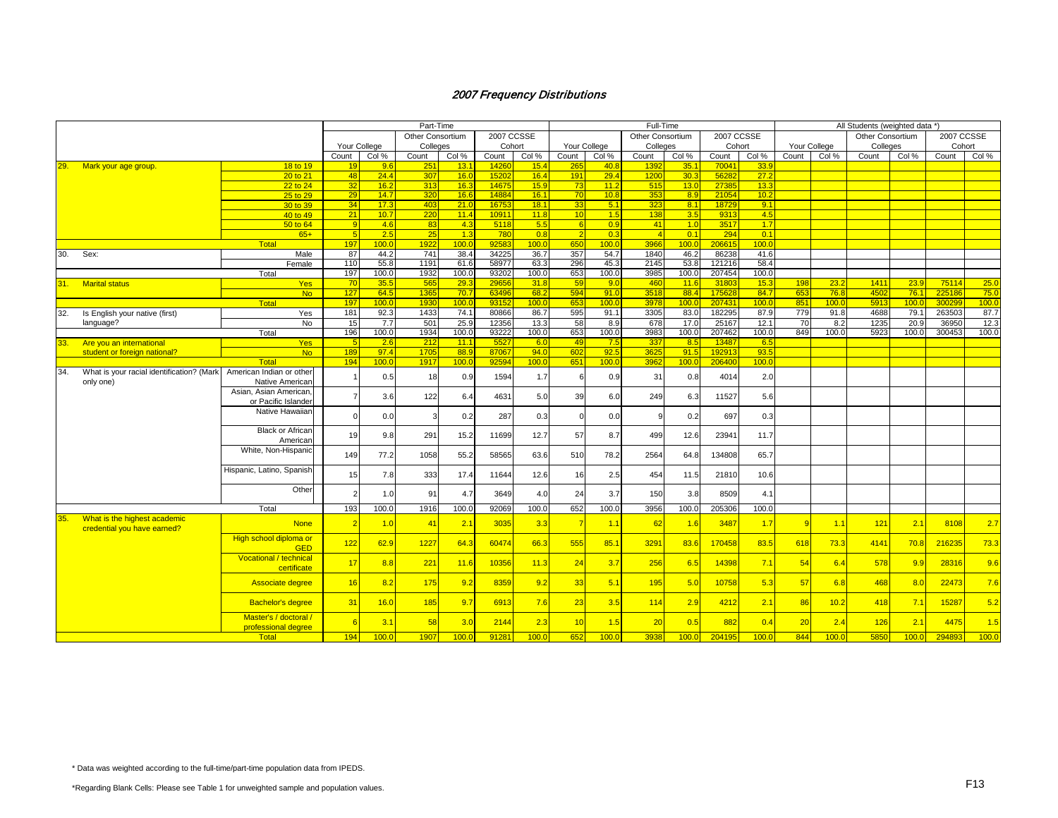|       |                                                             |                                               | Part-Time    |                           |             |                  |                |              |                |                  | Full-Time      |                   |                 |                  | All Students (weighted data *) |                  |              |              |               |              |  |
|-------|-------------------------------------------------------------|-----------------------------------------------|--------------|---------------------------|-------------|------------------|----------------|--------------|----------------|------------------|----------------|-------------------|-----------------|------------------|--------------------------------|------------------|--------------|--------------|---------------|--------------|--|
|       |                                                             | Other Consortium                              |              |                           |             | 2007 CCSSE       |                |              |                | Other Consortium |                | <b>2007 CCSSE</b> |                 |                  |                                | Other Consortium |              | 2007 CCSSE   |               |              |  |
|       |                                                             |                                               | Your College |                           | Colleges    |                  | Cohort         |              |                | Your College     | Colleges       |                   | Cohort          |                  | Your College                   |                  | Colleges     |              | Cohort        |              |  |
|       |                                                             |                                               | Count        | $\overline{\text{Col}}$ % | Count       | Col %            | Count          | Col %        | Count          | Col %            | Count          | Col %             | Count           | Col %            | Count                          | Col %            | Count        | Col %        | Count         | Col %        |  |
| 29.   | Mark your age group.                                        | 18 to 19                                      | 19           | 9.6                       | 251         | 13.1             | 14260          | 15.4         | 265            | 40.8             | 1392           | 35.1              | 70041           | 33.9             |                                |                  |              |              |               |              |  |
|       |                                                             | 20 to 21                                      | 48           | 24.4                      | 307         | 16.0             | 15202          | 16.4         | 191            | 29.4             | 1200           | 30.3              | 56282           | 27.2             |                                |                  |              |              |               |              |  |
|       |                                                             | 22 to 24                                      | 32           | 16.2                      | 313         | 16.3             | 14675          | 15.9         | 73             | 11.2             | 515            | 13.0              | 27385           | 13.3             |                                |                  |              |              |               |              |  |
|       |                                                             | 25 to 29                                      | 29           | 14.7                      | 320         | 16.6             | 14884          | 16.1         | 70             | 10.8             | 353            | 8.9               | 21054           | 10.2             |                                |                  |              |              |               |              |  |
|       |                                                             | 30 to 39                                      | 34           | 17.3                      | 403         | 21.0             | 16753          | 18.1         | 33             | 5.1              | 323            | 8.1               | 18729           | 9.1              |                                |                  |              |              |               |              |  |
|       |                                                             | 40 to 49                                      | 21           | 10.7                      | 220         | 11.4             | 10911          | 11.8         | 10             | 1.5              | 138            | 3.5               | 9313            | 4.5              |                                |                  |              |              |               |              |  |
|       |                                                             | 50 to 64                                      | -9           | 4.6                       | 83          | 4.3              | 5118           | 5.5          | -6             | 0.9              | 41             | 1.0               | 3517            | 1.7              |                                |                  |              |              |               |              |  |
|       |                                                             | $65+$                                         | -5           | 2.5                       | 25          | 1.3              | 780            | 0.8          | $\overline{2}$ | 0.3              | $\overline{4}$ | 0.1               | 294             | 0.1              |                                |                  |              |              |               |              |  |
|       |                                                             | <b>Total</b>                                  | 197          | 100.0                     | 1922        | 100 <sub>1</sub> | 9258           | 100.0        | 650            | 100 <sub>0</sub> | 3966           | 100.0             | 206615          | 100 <sub>c</sub> |                                |                  |              |              |               |              |  |
| 30.   | Sex:                                                        | Male                                          | 87           | 44.2<br>55.8              | 741         | 38.4             | 34225          | 36.7         | 357<br>296     | 54.7             | 1840           | 46.2<br>53.8      | 86238           | 41.6             |                                |                  |              |              |               |              |  |
|       |                                                             | Female                                        | 110          |                           | 1191        | 61.6             | 58977          | 63.3         | 653            | 45.3<br>100.0    | 2145           |                   | 121216          | 58.4<br>100.0    |                                |                  |              |              |               |              |  |
|       |                                                             | Total                                         | 197          | 100.0                     | 1932        | 100.0            | 93202          | 100.0        |                |                  | 3985           | 100.0             | 207454          |                  |                                |                  |              |              |               |              |  |
| 31. . | <b>Marital status</b>                                       | <b>Yes</b>                                    | 70<br>127    | 35.5<br>64.5              | 565<br>1365 | 29.3<br>70.7     | 29656<br>63496 | 31.8<br>68.2 | 59<br>594      | 9.0<br>91.0      | 460<br>3518    | 11.6<br>88.4      | 31803<br>175628 | 15.3<br>84.7     | 198<br>653                     | 23.2<br>76.8     | 1411<br>4502 | 23.9<br>76.1 | 7511<br>22518 | 25.0<br>75.0 |  |
|       |                                                             | No.<br>Total                                  | 197          | 100.0                     | 1930        | 100.0            | 93152          | 100.0        | 653            | 100.0            | 3978           | 100.0             | 207431          | 100.0            | 851                            | 100.0            | 5913         | 100.0        | 30029         | 100.0        |  |
| 32.   | Is English your native (first)                              | Yes                                           | 181          | 92.3                      | 1433        | 74.1             | 80866          | 86.7         | 595            | 91.1             | 3305           | 83.0              | 182295          | 87.9             | 779                            | 91.8             | 4688         | 79.1         | 263503        | 87.7         |  |
|       | language?                                                   | No                                            | 15           | 7.7                       | 501         | 25.9             | 12356          | 13.3         | 58             | 8.9              | 678            | 17.0              | 25167           | 12.1             | 70                             | 8.2              | 1235         | 20.9         | 3695          | 12.3         |  |
|       |                                                             | Total                                         | 196          | 100.0                     | 1934        | 100.0            | 93222          | 100.0        | 653            | 100.0            | 3983           | 100.0             | 207462          | 100.0            | 849                            | 100.0            | 5923         | 100.0        | 300453        | 100.0        |  |
|       | Are you an international                                    | <b>Yes</b>                                    | <b>F</b>     | 2.6                       | 212         | 11.1             | 5527           | 6.0          | 49             | 7.5              | 337            | 8.5               | 13487           | 6.5              |                                |                  |              |              |               |              |  |
|       | student or foreign national?                                | N <sub>o</sub>                                | 189          | 97.4                      | 1705        | 88.9             | 87067          | 94.0         | 602            | 92.5             | 3625           | 91.5              | 192913          | 93.5             |                                |                  |              |              |               |              |  |
|       |                                                             | Total                                         | 194          | 100.0                     | 1917        | 100 <sub>0</sub> | 92594          | 100.0        | 651            | 100.0            | 3962           | 100.0             | 206400          | 100.0            |                                |                  |              |              |               |              |  |
| 34.   | What is your racial identification? (Mark                   | American Indian or other                      |              |                           |             |                  |                |              |                |                  |                |                   |                 |                  |                                |                  |              |              |               |              |  |
|       | only one)                                                   | Native American                               |              | 0.5                       | 18          | 0.9              | 1594           | 1.7          | 6              | 0.9              | 31             | 0.8               | 4014            | 2.0              |                                |                  |              |              |               |              |  |
|       |                                                             | Asian, Asian American,<br>or Pacific Islander |              | 3.6                       | 122         | 6.4              | 4631           | 5.0          | 39             | 6.0              | 249            | 6.3               | 11527           | 5.6              |                                |                  |              |              |               |              |  |
|       |                                                             | Native Hawaiian                               |              | 0.0                       |             | 0.2              | 287            | 0.3          | $\Omega$       | 0.0              | $\mathbf c$    | 0.2               | 697             | 0.3              |                                |                  |              |              |               |              |  |
|       |                                                             | <b>Black or African</b><br>American           | 19           | 9.8                       | 291         | 15.2             | 11699          | 12.7         | 57             | 8.7              | 499            | 12.6              | 23941           | 11.7             |                                |                  |              |              |               |              |  |
|       |                                                             | White, Non-Hispanic                           | 149          | 77.2                      | 1058        | 55.2             | 58565          | 63.6         | 510            | 78.2             | 2564           | 64.8              | 134808          | 65.7             |                                |                  |              |              |               |              |  |
|       |                                                             | Hispanic, Latino, Spanish                     | 15           | 7.8                       | 333         | 17.4             | 11644          | 12.6         | 16             | 2.5              | 454            | 11.5              | 21810           | 10.6             |                                |                  |              |              |               |              |  |
|       |                                                             | Other                                         |              | 1.0                       | 91          | 4.7              | 3649           | 4.0          | 24             | 3.7              | 150            | 3.8               | 8509            | 4.1              |                                |                  |              |              |               |              |  |
|       |                                                             | Total                                         | 193          | 100.0                     | 1916        | 100.0            | 92069          | 100.0        | 652            | 100.0            | 3956           | 100.0             | 205306          | 100.0            |                                |                  |              |              |               |              |  |
| 35.   | What is the highest academic<br>credential you have earned? | <b>None</b>                                   | -2           | 1.0                       | 41          | 2.1              | 3035           | 3.3          | $\overline{7}$ | 1.1              | 62             | 1.6               | 3487            | 1.7              |                                | 1.1              | 121          | 2.1          | 8108          | 2.7          |  |
|       |                                                             | High school diploma or<br><b>GED</b>          | 122          | 62.9                      | 1227        | 64.3             | 60474          | 66.3         | 555            | 85.1             | 3291           | 83.6              | 170458          | 83.5             | 618                            | 73.3             | 4141         | 70.8         | 216235        | 73.3         |  |
|       |                                                             | Vocational / technical<br>certificate         | 17           | 8.8                       | 221         | 11.6             | 10356          | 11.3         | 24             | 3.7              | 256            | 6.5               | 14398           | 7.1              | 54                             | 6.4              | 578          | 9.9          | 2831          | 9.6          |  |
|       |                                                             | Associate degree                              | 16           | 8.2                       | 175         | 9.2              | 8359           | 9.2          | 33             | 5.1              | 195            | 5.0               | 10758           | 5.3              | 57                             | 6.8              | 468          | 8.0          | 2247          | 7.6          |  |
|       |                                                             | <b>Bachelor's degree</b>                      | 31           | 16.0                      | 185         | 9.7              | 6913           | 7.6          | 23             | 3.5              | 114            | 2.9               | 4212            | 2.1              | 86                             | 10.2             | 418          | 7.1          | 15287         | 5.2          |  |
|       |                                                             | Master's / doctoral /<br>professional degree  | $\epsilon$   | 3.1                       | 58          | 3.0              | 2144           | 2.3          | 10             | 1.5              | 20             | 0.5               | 882             | 0.4              | 20                             | 2.4              | 126          | 2.1          | 4475          | 1.5          |  |
|       |                                                             | Total                                         | 194          | 100.0                     | 1907        | 100.0            | 91281          | 100.0        | 652            | 100.0            | 3938           | 100.0             | 204195          | 100.0            | 844                            | 100.0            | 5850         | 100.0        | 294893        | 100.0        |  |